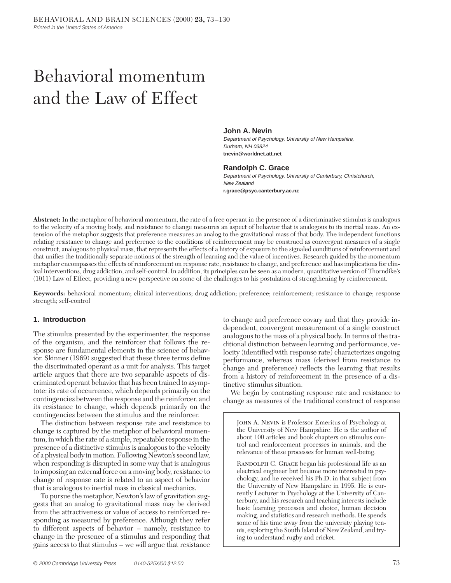# Behavioral momentum and the Law of Effect

## **John A. Nevin**

Department of Psychology, University of New Hampshire, Durham, NH 03824 **tnevin@worldnet.att.net**

#### **Randolph C. Grace**

Department of Psychology, University of Canterbury, Christchurch, New Zealand **r.grace@psyc.canterbury.ac.nz**

**Abstract:** In the metaphor of behavioral momentum, the rate of a free operant in the presence of a discriminative stimulus is analogous to the velocity of a moving body, and resistance to change measures an aspect of behavior that is analogous to its inertial mass. An extension of the metaphor suggests that preference measures an analog to the gravitational mass of that body. The independent functions relating resistance to change and preference to the conditions of reinforcement may be construed as convergent measures of a single construct, analogous to physical mass, that represents the effects of a history of exposure to the signaled conditions of reinforcement and that unifies the traditionally separate notions of the strength of learning and the value of incentives. Research guided by the momentum metaphor encompasses the effects of reinforcement on response rate, resistance to change, and preference and has implications for clinical interventions, drug addiction, and self-control. In addition, its principles can be seen as a modern, quantitative version of Thorndike's (1911) Law of Effect, providing a new perspective on some of the challenges to his postulation of strengthening by reinforcement.

**Keywords:** behavioral momentum; clinical interventions; drug addiction; preference; reinforcement; resistance to change; response strength; self-control

## **1. Introduction**

The stimulus presented by the experimenter, the response of the organism, and the reinforcer that follows the response are fundamental elements in the science of behavior. Skinner (1969) suggested that these three terms define the discriminated operant as a unit for analysis. This target article argues that there are two separable aspects of discriminated operant behavior that has been trained to asymptote: its rate of occurrence, which depends primarily on the contingencies between the response and the reinforcer, and its resistance to change, which depends primarily on the contingencies between the stimulus and the reinforcer.

The distinction between response rate and resistance to change is captured by the metaphor of behavioral momentum, in which the rate of a simple, repeatable response in the presence of a distinctive stimulus is analogous to the velocity of a physical body in motion. Following Newton's second law, when responding is disrupted in some way that is analogous to imposing an external force on a moving body, resistance to change of response rate is related to an aspect of behavior that is analogous to inertial mass in classical mechanics.

To pursue the metaphor, Newton's law of gravitation suggests that an analog to gravitational mass may be derived from the attractiveness or value of access to reinforced responding as measured by preference. Although they refer to different aspects of behavior – namely, resistance to change in the presence of a stimulus and responding that gains access to that stimulus – we will argue that resistance

to change and preference covary and that they provide independent, convergent measurement of a single construct analogous to the mass of a physical body. In terms of the traditional distinction between learning and performance, velocity (identified with response rate) characterizes ongoing performance, whereas mass (derived from resistance to change and preference) reflects the learning that results from a history of reinforcement in the presence of a distinctive stimulus situation.

We begin by contrasting response rate and resistance to change as measures of the traditional construct of response

John A. Nevin is Professor Emeritus of Psychology at the University of New Hampshire. He is the author of about 100 articles and book chapters on stimulus control and reinforcement processes in animals, and the relevance of these processes for human well-being.

RANDOLPH C. GRACE began his professional life as an electrical engineer but became more interested in psychology, and he received his Ph.D. in that subject from the University of New Hampshire in 1995. He is currently Lecturer in Psychology at the University of Canterbury, and his research and teaching interests include basic learning processes and choice, human decision making, and statistics and research methods. He spends some of his time away from the university playing tennis, exploring the South Island of New Zealand, and trying to understand rugby and cricket.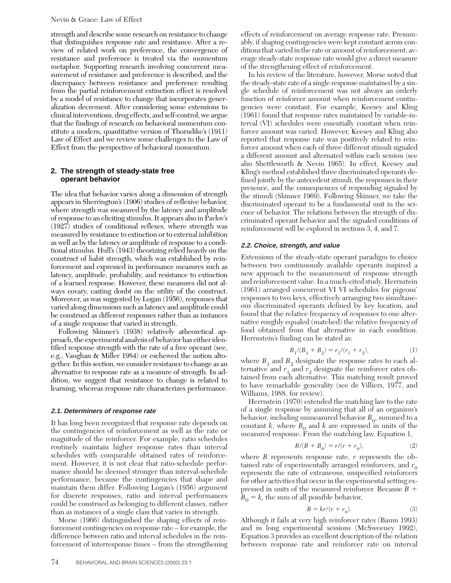#### Nevin & Grace: Law of Effect

strength and describe some research on resistance to change that distinguishes response rate and resistance. After a review of related work on preference, the convergence of resistance and preference is treated via the momentum metaphor. Supporting research involving concurrent measurement of resistance and preference is described, and the discrepancy between resistance and preference resulting from the partial reinforcement extinction effect is resolved by a model of resistance to change that incorporates generalization decrement. After considering some extensions to clinical interventions, drug effects, and self-control, we argue that the findings of research on behavioral momentum constitute a modern, quantitative version of Thorndike's (1911) Law of Effect and we review some challenges to the Law of Effect from the perspective of behavioral momentum.

#### **2. The strength of steady-state free operant behavior**

The idea that behavior varies along a dimension of strength appears in Sherrington's (1906) studies of reflexive behavior, where strength was measured by the latency and amplitude of response to an eliciting stimulus. It appears also in Pavlov's (1927) studies of conditional reflexes, where strength was measured by resistance to extinction or to external inhibition as well as by the latency or amplitude of response to a conditional stimulus. Hull's (1943) theorizing relied heavily on the construct of habit strength, which was established by reinforcement and expressed in performance measures such as latency, amplitude, probability, and resistance to extinction of a learned response. However, these measures did not always covary, casting doubt on the utility of the construct. Moreover, as was suggested by Logan (1956), responses that varied along dimensions such as latency and amplitude could be construed as different responses rather than as instances of a single response that varied in strength.

Following Skinner's (1938) relatively atheoretical approach, the experimental analysis of behavior has either identified response strength with the rate of a free operant (see, e.g., Vaughan & Miller 1984) or eschewed the notion altogether. In this section, we consider resistance to change as an alternative to response rate as a measure of strength. In addition, we suggest that resistance to change is related to learning, whereas response rate characterizes performance.

#### **2.1. Determiners of response rate**

It has long been recognized that response rate depends on the contingencies of reinforcement as well as the rate or magnitude of the reinforcer. For example, ratio schedules routinely maintain higher response rates than interval schedules with comparable obtained rates of reinforcement. However, it is not clear that ratio-schedule performance should be deemed stronger than interval-schedule performance, because the contingencies that shape and maintain them differ. Following Logan's (1956) argument for discrete responses, ratio and interval performances could be construed as belonging to different classes, rather than as instances of a single class that varies in strength.

Morse (1966) distinguished the shaping effects of reinforcement contingencies on response rate – for example, the difference between ratio and interval schedules in the reinforcement of interresponse times – from the strengthening effects of reinforcement on average response rate. Presumably, if shaping contingencies were kept constant across conditions that varied in the rate or amount of reinforcement, average steady-state response rate would give a direct measure of the strengthening effect of reinforcement.

In his review of the literature, however, Morse noted that the steady-state rate of a single response maintained by a single schedule of reinforcement was not always an orderly function of reinforcer amount when reinforcement contingencies were constant. For example, Keesey and Kling (1961) found that response rates maintained by variable-interval (VI) schedules were essentially constant when reinforcer amount was varied. However, Keesey and Kling also reported that response rate was positively related to reinforcer amount when each of three different stimuli signaled a different amount and alternated within each session (see also Shettleworth & Nevin 1965). In effect, Keesey and Kling's method established three discriminated operants defined jointly by the antecedent stimuli, the responses in their presence, and the consequences of responding signaled by the stimuli (Skinner 1969). Following Skinner, we take the discriminated operant to be a fundamental unit in the science of behavior. The relations between the strength of discriminated operant behavior and the signaled conditions of reinforcement will be explored in sections 3, 4, and 7.

#### **2.2. Choice, strength, and value**

Extensions of the steady-state operant paradigm to choice between two continuously available operants inspired a new approach to the measurement of response strength and reinforcement value. In a much-cited study, Herrnstein (1961) arranged concurrent VI VI schedules for pigeons' responses to two keys, effectively arranging two simultaneous discriminated operants defined by key location, and found that the relative frequency of responses to one alternative roughly equaled (matched) the relative frequency of food obtained from that alternative in each condition. Herrnstein's finding can be stated as:

$$
B_1/(B_1 + B_2) = r_1/(r_1 + r_2), \tag{1}
$$

where  $B_1$  and  $B_2$  designate the response rates to each alternative and  $r_1$  and  $r_2$  designate the reinforcer rates obtained from each alternative. This matching result proved to have remarkable generality (see de Villiers, 1977, and Williams, 1988, for review).

Herrnstein (1970) extended the matching law to the rate of a single response by assuming that all of an organism's behavior, including unmeasured behavior  $B_0$ , summed to a constant  $k$ , where  $B_0$  and  $k$  are expressed in units of the measured response. From the matching law, Equation 1,

$$
B/(B + B_0) = r/(r + r_0),
$$
 (2)

where *B* represents response rate, *r* represents the obtained rate of experimentally arranged reinforcers, and  $r<sub>0</sub>$ represents the rate of extraneous, unspecified reinforcers for other activities that occur in the experimental setting expressed in units of the measured reinforcer. Because  $B +$  $B_0 = k$ , the sum of all possible behavior,

$$
B = kr/(r + r_0). \tag{3}
$$

Although it fails at very high reinforcer rates (Baum 1993) and in long experimental sessions (McSweeney 1992), Equation 3 provides an excellent description of the relation between response rate and reinforcer rate on interval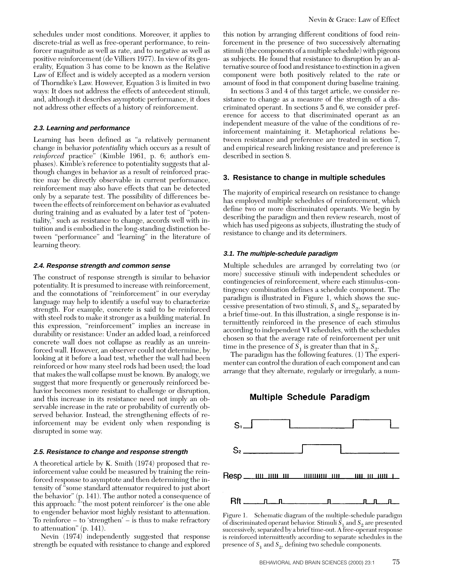schedules under most conditions. Moreover, it applies to discrete-trial as well as free-operant performance, to reinforcer magnitude as well as rate, and to negative as well as positive reinforcement (de Villiers 1977). In view of its generality, Equation 3 has come to be known as the Relative Law of Effect and is widely accepted as a modern version of Thorndike's Law. However, Equation 3 is limited in two ways: It does not address the effects of antecedent stimuli, and, although it describes asymptotic performance, it does not address other effects of a history of reinforcement.

#### **2.3. Learning and performance**

Learning has been defined as "a relatively permanent change in behavior *potentiality* which occurs as a result of *reinforced* practice" (Kimble 1961, p. 6; author's emphases). Kimble's reference to potentiality suggests that although changes in behavior as a result of reinforced practice may be directly observable in current performance, reinforcement may also have effects that can be detected only by a separate test. The possibility of differences between the effects of reinforcement on behavior as evaluated during training and as evaluated by a later test of "potentiality," such as resistance to change, accords well with intuition and is embodied in the long-standing distinction between "performance" and "learning" in the literature of learning theory.

#### **2.4. Response strength and common sense**

The construct of response strength is similar to behavior potentiality. It is presumed to increase with reinforcement, and the connotations of "reinforcement" in our everyday language may help to identify a useful way to characterize strength. For example, concrete is said to be reinforced with steel rods to make it stronger as a building material. In this expression, "reinforcement" implies an increase in durability or resistance: Under an added load, a reinforced concrete wall does not collapse as readily as an unreinforced wall. However, an observer could not determine, by looking at it before a load test, whether the wall had been reinforced or how many steel rods had been used; the load that makes the wall collapse must be known. By analogy, we suggest that more frequently or generously reinforced behavior becomes more resistant to challenge or disruption, and this increase in its resistance need not imply an observable increase in the rate or probability of currently observed behavior. Instead, the strengthening effects of reinforcement may be evident only when responding is disrupted in some way.

#### **2.5. Resistance to change and response strength**

A theoretical article by K. Smith (1974) proposed that reinforcement value could be measured by training the reinforced response to asymptote and then determining the intensity of "some standard attenuator required to just abort the behavior" (p. 141). The author noted a consequence of this approach: "'the most potent reinforcer' is the one able to engender behavior most highly resistant to attenuation. To reinforce – to 'strengthen' – is thus to make refractory to attenuation" (p. 141).

Nevin (1974) independently suggested that response strength be equated with resistance to change and explored

this notion by arranging different conditions of food reinforcement in the presence of two successively alternating stimuli (the components of a multiple schedule) with pigeons as subjects. He found that resistance to disruption by an alternative source of food and resistance to extinction in a given component were both positively related to the rate or amount of food in that component during baseline training.

In sections 3 and 4 of this target article, we consider resistance to change as a measure of the strength of a discriminated operant. In sections 5 and 6, we consider preference for access to that discriminated operant as an independent measure of the value of the conditions of reinforcement maintaining it. Metaphorical relations between resistance and preference are treated in section 7, and empirical research linking resistance and preference is described in section 8.

#### **3. Resistance to change in multiple schedules**

The majority of empirical research on resistance to change has employed multiple schedules of reinforcement, which define two or more discriminated operants. We begin by describing the paradigm and then review research, most of which has used pigeons as subjects, illustrating the study of resistance to change and its determiners.

#### **3.1. The multiple-schedule paradigm**

Multiple schedules are arranged by correlating two (or more) successive stimuli with independent schedules or contingencies of reinforcement, where each stimulus-contingency combination defines a schedule component. The paradigm is illustrated in Figure 1, which shows the successive presentation of two stimuli,  $S_1$  and  $S_2$ , separated by a brief time-out. In this illustration, a single response is intermittently reinforced in the presence of each stimulus according to independent VI schedules, with the schedules chosen so that the average rate of reinforcement per unit time in the presence of  $S_1$  is greater than that in  $S_2$ .

The paradigm has the following features. (1) The experimenter can control the duration of each component and can arrange that they alternate, regularly or irregularly, a num-

Multiple Schedule Paradigm



## Figure 1. Schematic diagram of the multiple-schedule paradigm of discriminated operant behavior. Stimuli  $\overline{S}_1$  and  $\overline{S}_2$  are presented successively, separated by a brief time-out. A free-operant response is reinforced intermittently according to separate schedules in the presence of  $S_1$  and  $S_2$ , defining two schedule components.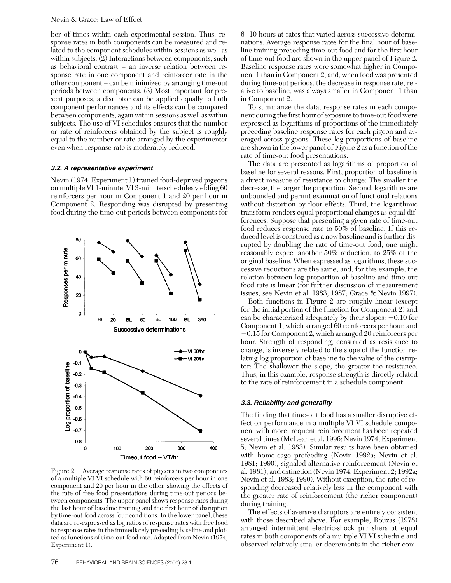#### Nevin & Grace: Law of Effect

ber of times within each experimental session. Thus, response rates in both components can be measured and related to the component schedules within sessions as well as within subjects. (2) Interactions between components, such as behavioral contrast – an inverse relation between response rate in one component and reinforcer rate in the other component – can be minimized by arranging time-out periods between components. (3) Most important for present purposes, a disruptor can be applied equally to both component performances and its effects can be compared between components, again within sessions as well as within subjects. The use of VI schedules ensures that the number or rate of reinforcers obtained by the subject is roughly equal to the number or rate arranged by the experimenter even when response rate is moderately reduced.

#### **3.2. A representative experiment**

Nevin (1974, Experiment 1) trained food-deprived pigeons on multiple VI 1-minute, VI 3-minute schedules yielding 60 reinforcers per hour in Component 1 and 20 per hour in Component 2. Responding was disrupted by presenting food during the time-out periods between components for



Figure 2. Average response rates of pigeons in two components of a multiple VI VI schedule with 60 reinforcers per hour in one component and 20 per hour in the other, showing the effects of the rate of free food presentations during time-out periods between components. The upper panel shows response rates during the last hour of baseline training and the first hour of disruption by time-out food across four conditions. In the lower panel, these data are re-expressed as log ratios of response rates with free food to response rates in the immediately preceding baseline and plotted as functions of time-out food rate. Adapted from Nevin (1974, Experiment 1).

6–10 hours at rates that varied across successive determinations. Average response rates for the final hour of baseline training preceding time-out food and for the first hour of time-out food are shown in the upper panel of Figure 2. Baseline response rates were somewhat higher in Component 1 than in Component 2, and, when food was presented during time-out periods, the decrease in response rate, relative to baseline, was always smaller in Component 1 than in Component 2.

To summarize the data, response rates in each component during the first hour of exposure to time-out food were expressed as logarithms of proportions of the immediately preceding baseline response rates for each pigeon and averaged across pigeons. These log proportions of baseline are shown in the lower panel of Figure 2 as a function of the rate of time-out food presentations.

The data are presented as logarithms of proportion of baseline for several reasons. First, proportion of baseline is a direct measure of resistance to change: The smaller the decrease, the larger the proportion. Second, logarithms are unbounded and permit examination of functional relations without distortion by floor effects. Third, the logarithmic transform renders equal proportional changes as equal differences. Suppose that presenting a given rate of time-out food reduces response rate to 50% of baseline. If this reduced level is construed as a new baseline and is further disrupted by doubling the rate of time-out food, one might reasonably expect another 50% reduction, to 25% of the original baseline. When expressed as logarithms, these successive reductions are the same, and, for this example, the relation between log proportion of baseline and time-out food rate is linear (for further discussion of measurement issues, see Nevin et al. 1983; 1987; Grace & Nevin 1997).

Both functions in Figure 2 are roughly linear (except for the initial portion of the function for Component 2) and can be characterized adequately by their slopes:  $-0.10$  for Component 1, which arranged 60 reinforcers per hour, and 20.15 for Component 2, which arranged 20 reinforcers per hour. Strength of responding, construed as resistance to change, is inversely related to the slope of the function relating log proportion of baseline to the value of the disruptor: The shallower the slope, the greater the resistance. Thus, in this example, response strength is directly related to the rate of reinforcement in a schedule component.

#### **3.3. Reliability and generality**

The finding that time-out food has a smaller disruptive effect on performance in a multiple VI VI schedule component with more frequent reinforcement has been repeated several times (McLean et al. 1996; Nevin 1974, Experiment 5; Nevin et al. 1983). Similar results have been obtained with home-cage prefeeding (Nevin 1992a; Nevin et al. 1981; 1990), signaled alternative reinforcement (Nevin et al. 1981), and extinction (Nevin 1974, Experiment 2; 1992a; Nevin et al. 1983; 1990). Without exception, the rate of responding decreased relatively less in the component with the greater rate of reinforcement (the richer component) during training.

The effects of aversive disruptors are entirely consistent with those described above. For example, Bouzas (1978) arranged intermittent electric-shock punishers at equal rates in both components of a multiple VI VI schedule and observed relatively smaller decrements in the richer com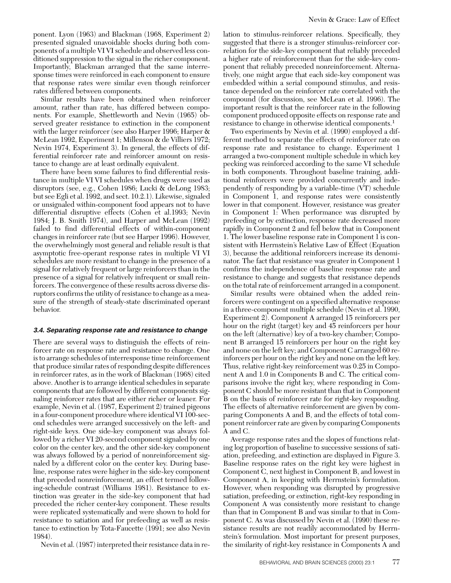ponent. Lyon (1963) and Blackman (1968, Experiment 2) presented signaled unavoidable shocks during both components of a multiple VI VI schedule and observed less conditioned suppression to the signal in the richer component. Importantly, Blackman arranged that the same interresponse times were reinforced in each component to ensure that response rates were similar even though reinforcer rates differed between components.

Similar results have been obtained when reinforcer amount, rather than rate, has differed between components. For example, Shettleworth and Nevin (1965) observed greater resistance to extinction in the component with the larger reinforcer (see also Harper 1996; Harper & McLean 1992, Experiment 1; Millenson & de Villiers 1972; Nevin 1974, Experiment 3). In general, the effects of differential reinforcer rate and reinforcer amount on resistance to change are at least ordinally equivalent.

There have been some failures to find differential resistance in multiple VI VI schedules when drugs were used as disruptors (see, e.g., Cohen 1986; Lucki & deLong 1983; but see Egli et al. 1992, and sect. 10.2.1). Likewise, signaled or unsignaled within-component food appears not to have differential disruptive effects (Cohen et al.1993; Nevin 1984; J. B. Smith 1974), and Harper and McLean (1992) failed to find differential effects of within-component changes in reinforcer rate (but see Harper 1996). However, the overwhelmingly most general and reliable result is that asymptotic free-operant response rates in multiple VI VI schedules are more resistant to change in the presence of a signal for relatively frequent or large reinforcers than in the presence of a signal for relatively infrequent or small reinforcers. The convergence of these results across diverse disruptors confirms the utility of resistance to change as a measure of the strength of steady-state discriminated operant behavior.

#### **3.4. Separating response rate and resistance to change**

There are several ways to distinguish the effects of reinforcer rate on response rate and resistance to change. One is to arrange schedules of interresponse time reinforcement that produce similar rates of responding despite differences in reinforcer rates, as in the work of Blackman (1968) cited above. Another is to arrange identical schedules in separate components that are followed by different components signaling reinforcer rates that are either richer or leaner. For example, Nevin et al. (1987, Experiment 2) trained pigeons in a four-component procedure where identical VI 100-second schedules were arranged successively on the left- and right-side keys. One side-key component was always followed by a richer VI 20-second component signaled by one color on the center key, and the other side-key component was always followed by a period of nonreinforcement signaled by a different color on the center key. During baseline, response rates were higher in the side-key component that preceded nonreinforcement, an effect termed following-schedule contrast (Williams 1981). Resistance to extinction was greater in the side-key component that had preceded the richer center-key component. These results were replicated systematically and were shown to hold for resistance to satiation and for prefeeding as well as resistance to extinction by Tota-Faucette (1991; see also Nevin 1984).

Nevin et al. (1987) interpreted their resistance data in re-

lation to stimulus-reinforcer relations. Specifically, they suggested that there is a stronger stimulus-reinforcer correlation for the side-key component that reliably preceded a higher rate of reinforcement than for the side-key component that reliably preceded nonreinforcement. Alternatively, one might argue that each side-key component was embedded within a serial compound stimulus, and resistance depended on the reinforcer rate correlated with the compound (for discussion, see McLean et al. 1996). The important result is that the reinforcer rate in the following component produced opposite effects on response rate and resistance to change in otherwise identical components.1

Two experiments by Nevin et al. (1990) employed a different method to separate the effects of reinforcer rate on response rate and resistance to change. Experiment 1 arranged a two-component multiple schedule in which key pecking was reinforced according to the same VI schedule in both components. Throughout baseline training, additional reinforcers were provided concurrently and independently of responding by a variable-time (VT) schedule in Component 1, and response rates were consistently lower in that component. However, resistance was greater in Component 1: When performance was disrupted by prefeeding or by extinction, response rate decreased more rapidly in Component 2 and fell below that in Component 1. The lower baseline response rate in Component 1 is consistent with Herrnstein's Relative Law of Effect (Equation 3), because the additional reinforcers increase its denominator. The fact that resistance was greater in Component 1 confirms the independence of baseline response rate and resistance to change and suggests that resistance depends on the total rate of reinforcement arranged in a component.

Similar results were obtained when the added reinforcers were contingent on a specified alternative response in a three-component multiple schedule (Nevin et al. 1990, Experiment 2). Component A arranged 15 reinforcers per hour on the right (target) key and 45 reinforcers per hour on the left (alternative) key of a two-key chamber; Component B arranged 15 reinforcers per hour on the right key and none on the left key; and Component C arranged 60 reinforcers per hour on the right key and none on the left key. Thus, relative right-key reinforcement was 0.25 in Component A and 1.0 in Components B and C. The critical comparisons involve the right key, where responding in Component C should be more resistant than that in Component B on the basis of reinforcer rate for right-key responding. The effects of alternative reinforcement are given by comparing Components A and B, and the effects of total component reinforcer rate are given by comparing Components A and C.

Average response rates and the slopes of functions relating log proportion of baseline to successive sessions of satiation, prefeeding, and extinction are displayed in Figure 3. Baseline response rates on the right key were highest in Component C, next highest in Component B, and lowest in Component A, in keeping with Herrnstein's formulation. However, when responding was disrupted by progressive satiation, prefeeding, or extinction, right-key responding in Component A was consistently more resistant to change than that in Component B and was similar to that in Component C. As was discussed by Nevin et al. (1990) these resistance results are not readily accommodated by Herrnstein's formulation. Most important for present purposes, the similarity of right-key resistance in Components A and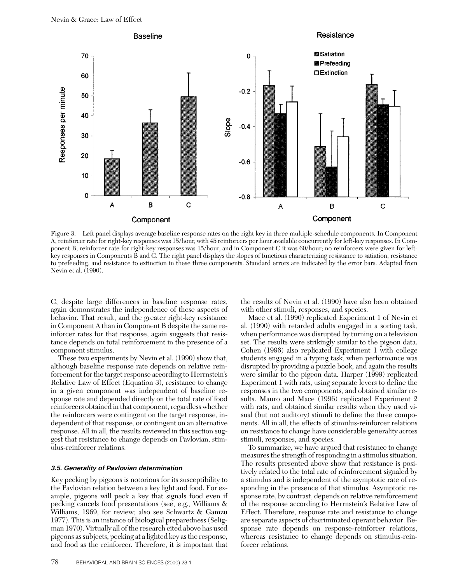

Figure 3. Left panel displays average baseline response rates on the right key in three multiple-schedule components. In Component A, reinforcer rate for right-key responses was 15/hour, with 45 reinforcers per hour available concurrently for left-key responses. In Component B, reinforcer rate for right-key responses was 15/hour, and in Component C it was 60/hour; no reinforcers were given for leftkey responses in Components B and C. The right panel displays the slopes of functions characterizing resistance to satiation, resistance to prefeeding, and resistance to extinction in these three components. Standard errors are indicated by the error bars. Adapted from Nevin et al. (1990).

C, despite large differences in baseline response rates, again demonstrates the independence of these aspects of behavior. That result, and the greater right-key resistance in Component A than in Component B despite the same reinforcer rates for that response, again suggests that resistance depends on total reinforcement in the presence of a component stimulus.

These two experiments by Nevin et al. (1990) show that, although baseline response rate depends on relative reinforcement for the target response according to Herrnstein's Relative Law of Effect (Equation 3), resistance to change in a given component was independent of baseline response rate and depended directly on the total rate of food reinforcers obtained in that component, regardless whether the reinforcers were contingent on the target response, independent of that response, or contingent on an alternative response. All in all, the results reviewed in this section suggest that resistance to change depends on Pavlovian, stimulus-reinforcer relations.

#### **3.5. Generality of Pavlovian determination**

Key pecking by pigeons is notorious for its susceptibility to the Pavlovian relation between a key light and food. For example, pigeons will peck a key that signals food even if pecking cancels food presentations (see, e.g., Williams & Williams, 1969, for review; also see Schwartz & Gamzu 1977). This is an instance of biological preparedness (Seligman 1970). Virtually all of the research cited above has used pigeons as subjects, pecking at a lighted key as the response, and food as the reinforcer. Therefore, it is important that

78 BEHAVIORAL AND BRAIN SCIENCES (2000) 23:1

the results of Nevin et al. (1990) have also been obtained with other stimuli, responses, and species.

Mace et al. (1990) replicated Experiment 1 of Nevin et al. (1990) with retarded adults engaged in a sorting task, when performance was disrupted by turning on a television set. The results were strikingly similar to the pigeon data. Cohen (1996) also replicated Experiment 1 with college students engaged in a typing task, when performance was disrupted by providing a puzzle book, and again the results were similar to the pigeon data. Harper (1999) replicated Experiment 1 with rats, using separate levers to define the responses in the two components, and obtained similar results. Mauro and Mace (1996) replicated Experiment 2 with rats, and obtained similar results when they used visual (but not auditory) stimuli to define the three components. All in all, the effects of stimulus-reinforcer relations on resistance to change have considerable generality across stimuli, responses, and species.

To summarize, we have argued that resistance to change measures the strength of responding in a stimulus situation. The results presented above show that resistance is positively related to the total rate of reinforcement signaled by a stimulus and is independent of the asymptotic rate of responding in the presence of that stimulus. Asymptotic response rate, by contrast, depends on relative reinforcement of the response according to Herrnstein's Relative Law of Effect. Therefore, response rate and resistance to change are separate aspects of discriminated operant behavior: Response rate depends on response-reinforcer relations, whereas resistance to change depends on stimulus-reinforcer relations.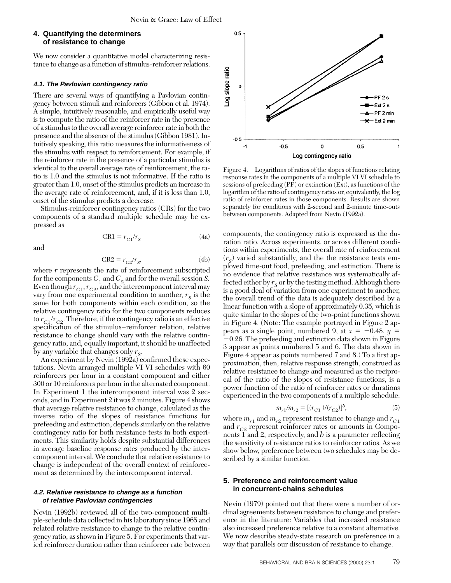## **4. Quantifying the determiners of resistance to change**

We now consider a quantitative model characterizing resistance to change as a function of stimulus-reinforcer relations.

#### **4.1. The Pavlovian contingency ratio**

There are several ways of quantifying a Pavlovian contingency between stimuli and reinforcers (Gibbon et al. 1974). A simple, intuitively reasonable, and empirically useful way is to compute the ratio of the reinforcer rate in the presence of a stimulus to the overall average reinforcer rate in both the presence and the absence of the stimulus (Gibbon 1981). Intuitively speaking, this ratio measures the informativeness of the stimulus with respect to reinforcement. For example, if the reinforcer rate in the presence of a particular stimulus is identical to the overall average rate of reinforcement, the ratio is 1.0 and the stimulus is not informative. If the ratio is greater than 1.0, onset of the stimulus predicts an increase in the average rate of reinforcement, and, if it is less than 1.0, onset of the stimulus predicts a decrease.

Stimulus-reinforcer contingency ratios (CRs) for the two components of a standard multiple schedule may be expressed as

and

$$
CRI = r_{C1}/r_S \tag{4a}
$$

$$
CR2 = r_{C2}/r_S. \tag{4b}
$$

where *r* represents the rate of reinforcement subscripted for the components  $C_1$  and  $C_2$  and for the overall session *S*. Even though  $r_{C1}$ ,  $r_{C2}$ , and the intercomponent interval may vary from one experimental condition to another,  $r<sub>S</sub>$  is the same for both components within each condition, so the relative contingency ratio for the two components reduces to  $r_{C_1}/r_{C_2}$ . Therefore, if the contingency ratio is an effective specification of the stimulus–reinforcer relation, relative resistance to change should vary with the relative contingency ratio, and, equally important, it should be unaffected by any variable that changes only  $r_S$ .

An experiment by Nevin (1992a) confirmed these expectations. Nevin arranged multiple VI VI schedules with 60 reinforcers per hour in a constant component and either 300 or 10 reinforcers per hour in the alternated component. In Experiment 1 the intercomponent interval was 2 seconds, and in Experiment 2 it was 2 minutes. Figure 4 shows that average relative resistance to change, calculated as the inverse ratio of the slopes of resistance functions for prefeeding and extinction, depends similarly on the relative contingency ratio for both resistance tests in both experiments. This similarity holds despite substantial differences in average baseline response rates produced by the intercomponent interval. We conclude that relative resistance to change is independent of the overall context of reinforcement as determined by the intercomponent interval.

## **4.2. Relative resistance to change as a function of relative Pavlovian contingencies**

Nevin (1992b) reviewed all of the two-component multiple-schedule data collected in his laboratory since 1965 and related relative resistance to change to the relative contingency ratio, as shown in Figure 5. For experiments that varied reinforcer duration rather than reinforcer rate between



Figure 4. Logarithms of ratios of the slopes of functions relating response rates in the components of a multiple VI VI schedule to sessions of prefeeding (PF) or extinction (Ext), as functions of the logarithm of the ratio of contingency ratios or, equivalently, the log ratio of reinforcer rates in those components. Results are shown separately for conditions with 2-second and 2-minute time-outs between components. Adapted from Nevin (1992a).

components, the contingency ratio is expressed as the duration ratio. Across experiments, or across different conditions within experiments, the overall rate of reinforcement  $(r<sub>s</sub>)$  varied substantially, and the the resistance tests employed time-out food, prefeeding, and extinction. There is no evidence that relative resistance was systematically affected either by  $r<sub>s</sub>$  or by the testing method. Although there is a good deal of variation from one experiment to another, the overall trend of the data is adequately described by a linear function with a slope of approximately 0.35, which is quite similar to the slopes of the two-point functions shown in Figure 4. (Note: The example portrayed in Figure 2 appears as a single point, numbered 9, at  $x = -0.48$ ,  $y =$  $-0.26$ . The prefeeding and extinction data shown in Figure 3 appear as points numbered 5 and 6. The data shown in Figure 4 appear as points numbered 7 and 8.) To a first approximation, then, relative response strength, construed as relative resistance to change and measured as the reciprocal of the ratio of the slopes of resistance functions, is a power function of the ratio of reinforcer rates or durations experienced in the two components of a multiple schedule:

$$
m_{r1}/m_{r2} = [(r_{C1})/(r_{C2})]^b, \tag{5}
$$

where  $m_{r1}$  and  $m_{r2}$  represent resistance to change and  $r_{C1}$ and  $r_{C2}$  represent reinforcer rates or amounts in Components 1 and 2, respectively, and *b* is a parameter reflecting the sensitivity of resistance ratios to reinforcer ratios. As we show below, preference between two schedules may be described by a similar function.

## **5. Preference and reinforcement value in concurrent-chains schedules**

Nevin (1979) pointed out that there were a number of ordinal agreements between resistance to change and preference in the literature: Variables that increased resistance also increased preference relative to a constant alternative. We now describe steady-state research on preference in a way that parallels our discussion of resistance to change.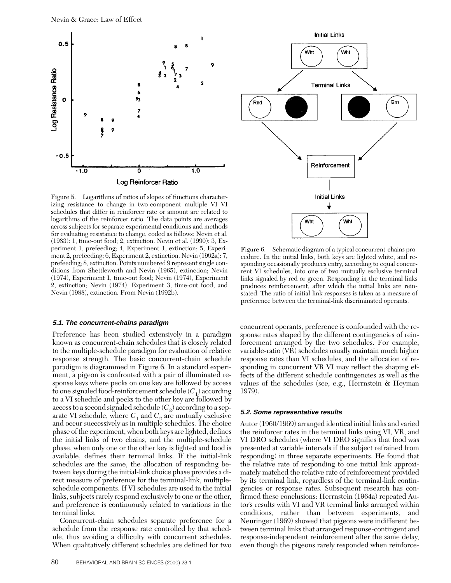

Figure 5. Logarithms of ratios of slopes of functions characterizing resistance to change in two-component multiple VI VI schedules that differ in reinforcer rate or amount are related to logarithms of the reinforcer ratio. The data points are averages across subjects for separate experimental conditions and methods for evaluating resistance to change, coded as follows: Nevin et al. (1983): 1, time-out food; 2, extinction. Nevin et al. (1990): 3, Experiment 1, prefeeding; 4, Experiment 1, extinction; 5, Experiment 2, prefeeding; 6, Experiment 2, extinction. Nevin (1992a): 7, prefeeding; 8, extinction. Points numbered 9 represent single conditions from Shettleworth and Nevin (1965), extinction; Nevin (1974), Experiment 1, time-out food; Nevin (1974), Experiment 2, extinction; Nevin (1974), Experiment 3, time-out food; and Nevin (1988), extinction. From Nevin (1992b).

#### **5.1. The concurrent-chains paradigm**

Preference has been studied extensively in a paradigm known as concurrent-chain schedules that is closely related to the multiple-schedule paradigm for evaluation of relative response strength. The basic concurrent-chain schedule paradigm is diagrammed in Figure 6. In a standard experiment, a pigeon is confronted with a pair of illuminated response keys where pecks on one key are followed by access to one signaled food-reinforcement schedule (*C*<sup>1</sup> ) according to a VI schedule and pecks to the other key are followed by access to a second signaled schedule ( $C_2$ ) according to a separate VI schedule, where  $C_1$  and  $C_2$  are mutually exclusive and occur successively as in multiple schedules. The choice phase of the experiment, when both keys are lighted, defines the initial links of two chains, and the multiple-schedule phase, when only one or the other key is lighted and food is available, defines their terminal links. If the initial-link schedules are the same, the allocation of responding between keys during the initial-link choice phase provides a direct measure of preference for the terminal-link, multipleschedule components. If VI schedules are used in the initial links, subjects rarely respond exclusively to one or the other, and preference is continuously related to variations in the terminal links.

Concurrent-chain schedules separate preference for a schedule from the response rate controlled by that schedule, thus avoiding a difficulty with concurrent schedules. When qualitatively different schedules are defined for two



Figure 6. Schematic diagram of a typical concurrent-chains procedure. In the initial links, both keys are lighted white, and responding occasionally produces entry, according to equal concurrent VI schedules, into one of two mutually exclusive terminal links signaled by red or green. Responding in the terminal links produces reinforcement, after which the initial links are reinstated. The ratio of initial-link responses is taken as a measure of preference between the terminal-link discriminated operants.

concurrent operants, preference is confounded with the response rates shaped by the different contingencies of reinforcement arranged by the two schedules. For example, variable-ratio (VR) schedules usually maintain much higher response rates than VI schedules, and the allocation of responding in concurrent VR VI may reflect the shaping effects of the different schedule contingencies as well as the values of the schedules (see, e.g., Herrnstein & Heyman 1979).

### **5.2. Some representative results**

Autor (1960/1969) arranged identical initial links and varied the reinforcer rates in the terminal links using VI, VR, and VI DRO schedules (where VI DRO signifies that food was presented at variable intervals if the subject refrained from responding) in three separate experiments. He found that the relative rate of responding to one initial link approximately matched the relative rate of reinforcement provided by its terminal link, regardless of the terminal-link contingencies or response rates. Subsequent research has confirmed these conclusions: Herrnstein (1964a) repeated Autor's results with VI and VR terminal links arranged within conditions, rather than between experiments, and Neuringer (1969) showed that pigeons were indifferent between terminal links that arranged response-contingent and response-independent reinforcement after the same delay, even though the pigeons rarely responded when reinforce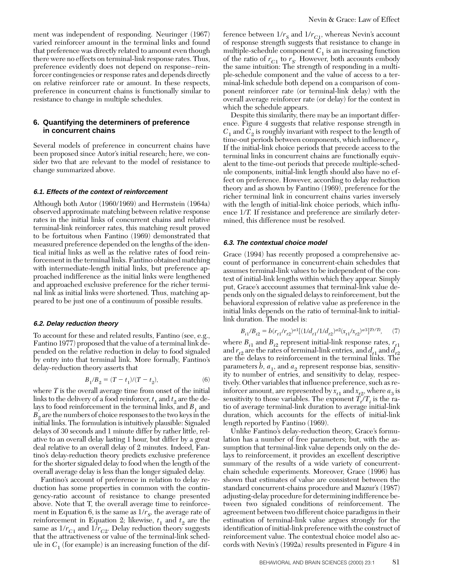ment was independent of responding. Neuringer (1967) varied reinforcer amount in the terminal links and found that preference was directly related to amount even though there were no effects on terminal-link response rates. Thus, preference evidently does not depend on response–reinforcer contingencies or response rates and depends directly on relative reinforcer rate or amount. In these respects, preference in concurrent chains is functionally similar to resistance to change in multiple schedules.

#### **6. Quantifying the determiners of preference in concurrent chains**

Several models of preference in concurrent chains have been proposed since Autor's initial research; here, we consider two that are relevant to the model of resistance to change summarized above.

#### **6.1. Effects of the context of reinforcement**

Although both Autor (1960/1969) and Herrnstein (1964a) observed approximate matching between relative response rates in the initial links of concurrent chains and relative terminal-link reinforcer rates, this matching result proved to be fortuitous when Fantino (1969) demonstrated that measured preference depended on the lengths of the identical initial links as well as the relative rates of food reinforcement in the terminal links. Fantino obtained matching with intermediate-length initial links, but preference approached indifference as the initial links were lengthened and approached exclusive preference for the richer terminal link as initial links were shortened. Thus, matching appeared to be just one of a continuum of possible results.

#### **6.2. Delay reduction theory**

To account for these and related results, Fantino (see, e.g., Fantino 1977) proposed that the value of a terminal link depended on the relative reduction in delay to food signaled by entry into that terminal link. More formally, Fantino's delay-reduction theory asserts that

$$
B_1/B_2=(T-t_1)/(T-t_2),\eqno(6)
$$

where *T* is the overall average time from onset of the initial links to the delivery of a food reinforcer,  $t_1$  and  $t_2$  are the delays to food reinforcement in the terminal links, and  $B_1$  and  $B<sub>2</sub>$  are the numbers of choice responses to the two keys in the initial links. The formulation is intuitively plausible: Signaled delays of 30 seconds and 1 minute differ by rather little, relative to an overall delay lasting 1 hour, but differ by a great deal relative to an overall delay of 2 minutes. Indeed, Fantino's delay-reduction theory predicts exclusive preference for the shorter signaled delay to food when the length of the overall average delay is less than the longer signaled delay.

Fantino's account of preference in relation to delay reduction has some properties in common with the contingency-ratio account of resistance to change presented above. Note that T, the overall average time to reinforcement in Equation 6, is the same as  $1/r<sub>s</sub>$ , the average rate of reinforcement in Equation 2; likewise,  $t_1$  and  $t_2$  are the same as  $1/r_{C1}$  and  $1/r_{C2}$ . Delay reduction theory suggests that the attractiveness or value of the terminal-link schedule in  $C_1$  (for example) is an increasing function of the dif-

ference between  $1/r_s$  and  $1/r_{C1}$ , whereas Nevin's account of response strength suggests that resistance to change in multiple-schedule component  $C_1$  is an increasing function of the ratio of  $r_{C1}$  to  $r_S$ . However, both accounts embody the same intuition: The strength of responding in a multiple-schedule component and the value of access to a terminal-link schedule both depend on a comparison of component reinforcer rate (or terminal-link delay) with the overall average reinforcer rate (or delay) for the context in which the schedule appears.

Despite this similarity, there may be an important difference. Figure 4 suggests that relative response strength in  $C_1$  and  $C_2$  is roughly invariant with respect to the length of time-out periods between components, which influence  $r_{s}$ . If the initial-link choice periods that precede access to the terminal links in concurrent chains are functionally equivalent to the time-out periods that precede multiple-schedule components, initial-link length should also have no effect on preference. However, according to delay reduction theory and as shown by Fantino (1969), preference for the richer terminal link in concurrent chains varies inversely with the length of initial-link choice periods, which influence  $1/T$ . If resistance and preference are similarly determined, this difference must be resolved.

#### **6.3. The contextual choice model**

Grace (1994) has recently proposed a comprehensive account of performance in concurrent-chain schedules that assumes terminal-link values to be independent of the context of initial-link lengths within which they appear. Simply put, Grace's acccount assumes that terminal-link value depends only on the signaled delays to reinforcement, but the behavioral expression of relative value as preference in the initial links depends on the ratio of terminal-link to initiallink duration. The model is:

$$
B_{i1}/B_{i2}=b(r_{t1}/r_{t2})^{a1}[(1/d_{t1}/1/d_{t2})^{a2}(x_{t1}/x_{t2})^{a3}]^{Tt/Ti},\quad \ \ (7)
$$

where  $B_{i1}$  and  $B_{i2}$  represent initial-link response rates,  $r_{t1}$ and  $r_{t2}$  are the rates of terminal-link entries, and  $d_{t1}$  and  $d_{t2}$ are the delays to reinforcement in the terminal links. The parameters  $b, a_1$  and  $a_2$  represent response bias, sensitivity to number of entries, and sensitivity to delay, respectively. Other variables that influence preference, such as reinforcer amount, are represented by  $x_{t1}$  and  $x_{t2}$ , where  $a_3$  is sensitivity to those variables. The exponent  $T_t/T_i$  is the ratio of average terminal-link duration to average initial-link duration, which accounts for the effects of initial-link length reported by Fantino (1969).

Unlike Fantino's delay-reduction theory, Grace's formulation has a number of free parameters; but, with the assumption that terminal-link value depends only on the delays to reinforcement, it provides an excellent descriptive summary of the results of a wide variety of concurrentchain schedule experiments. Moreover, Grace (1996) has shown that estimates of value are consistent between the standard concurrent-chains procedure and Mazur's (1987) adjusting-delay procedure for determining indifference between two signaled conditions of reinforcement. The agreement between two different choice paradigms in their estimation of terminal-link value argues strongly for the identification of initial-link preference with the construct of reinforcement value. The contextual choice model also accords with Nevin's (1992a) results presented in Figure 4 in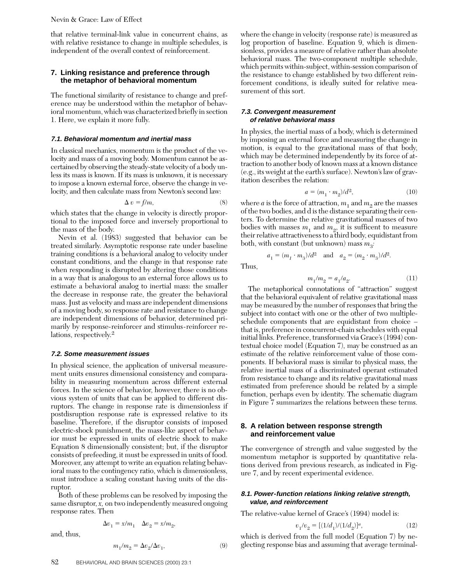that relative terminal-link value in concurrent chains, as with relative resistance to change in multiple schedules, is independent of the overall context of reinforcement.

## **7. Linking resistance and preference through the metaphor of behavioral momentum**

The functional similarity of resistance to change and preference may be understood within the metaphor of behavioral momentum, which was characterized briefly in section 1. Here, we explain it more fully.

#### **7.1. Behavioral momentum and inertial mass**

In classical mechanics, momentum is the product of the velocity and mass of a moving body. Momentum cannot be ascertained by observing the steady-state velocity of a body unless its mass is known. If its mass is unknown, it is necessary to impose a known external force, observe the change in velocity, and then calculate mass from Newton's second law:

$$
\Delta v = f/m,\tag{8}
$$

which states that the change in velocity is directly proportional to the imposed force and inversely proportional to the mass of the body.

Nevin et al. (1983) suggested that behavior can be treated similarly. Asymptotic response rate under baseline training conditions is a behavioral analog to velocity under constant conditions, and the change in that response rate when responding is disrupted by altering those conditions in a way that is analogous to an external force allows us to estimate a behavioral analog to inertial mass: the smaller the decrease in response rate, the greater the behavioral mass. Just as velocity and mass are independent dimensions of a moving body, so response rate and resistance to change are independent dimensions of behavior, determined primarily by response-reinforcer and stimulus-reinforcer relations, respectively.<sup>2</sup>

#### **7.2. Some measurement issues**

In physical science, the application of universal measurement units ensures dimensional consistency and comparability in measuring momentum across different external forces. In the science of behavior, however, there is no obvious system of units that can be applied to different disruptors. The change in response rate is dimensionless if postdisruption response rate is expressed relative to its baseline. Therefore, if the disruptor consists of imposed electric-shock punishment, the mass-like aspect of behavior must be expressed in units of electric shock to make Equation 8 dimensionally consistent; but, if the disruptor consists of prefeeding, it must be expressed in units of food. Moreover, any attempt to write an equation relating behavioral mass to the contingency ratio, which is dimensionless, must introduce a scaling constant having units of the disruptor.

Both of these problems can be resolved by imposing the same disruptor, *x,* on two independently measured ongoing response rates. Then

 $\Delta v_1 = x/m_1 \quad \Delta v_2 = x/m_2$ 

and, thus,

$$
f_{\rm{max}}
$$

$$
m_1/m_2 = \Delta v_2/\Delta v_1,
$$

, (9)

where the change in velocity (response rate) is measured as log proportion of baseline. Equation 9, which is dimensionless, provides a measure of relative rather than absolute behavioral mass. The two-component multiple schedule, which permits within-subject, within-session comparison of the resistance to change established by two different reinforcement conditions, is ideally suited for relative measurement of this sort.

#### **7.3. Convergent measurement of relative behavioral mass**

In physics, the inertial mass of a body, which is determined by imposing an external force and measuring the change in motion, is equal to the gravitational mass of that body, which may be determined independently by its force of attraction to another body of known mass at a known distance (e.g., its weight at the earth's surface). Newton's law of gravitation describes the relation:

$$
a=(m_1\cdot m_2)/d^2,\qquad \qquad (10)
$$

where *a* is the force of attraction,  $m_1$  and  $m_2$  are the masses of the two bodies, and d is the distance separating their centers. To determine the relative gravitational masses of two bodies with masses  $m_1$  and  $m_2$ , it is sufficent to measure their relative attractiveness to a third body, equidistant from both, with constant (but unknown) mass  $m_3$ :

 $a_1=(m_1\cdot m_3)/d^2 \quad \text{and} \quad a_2=(m_2\cdot m_3)/d^2.$ 

Thus,

$$
m_1/m_2 = a_1/a_2. \eqno{(11)}
$$

The metaphorical connotations of "attraction" suggest that the behavioral equivalent of relative gravitational mass may be measured by the number of responses that bring the subject into contact with one or the other of two multipleschedule components that are equidistant from choice – that is, preference in concurrent-chain schedules with equal initial links. Preference, transformed via Grace's (1994) contextual choice model (Equation 7), may be construed as an estimate of the relative reinforcement value of those components. If behavioral mass is similar to physical mass, the relative inertial mass of a discriminated operant estimated from resistance to change and its relative gravitational mass estimated from preference should be related by a simple function, perhaps even by identity. The schematic diagram in Figure 7 summarizes the relations between these terms.

#### **8. A relation between response strength and reinforcement value**

The convergence of strength and value suggested by the momentum metaphor is supported by quantitative relations derived from previous research, as indicated in Figure 7, and by recent experimental evidence.

## **8.1. Power-function relations linking relative strength, value, and reinforcement**

The relative-value kernel of Grace's (1994) model is:

$$
v_1/v_2 = [(1/d_1)/(1/d_2)]^a, \eqno(12)
$$

which is derived from the full model (Equation 7) by neglecting response bias and assuming that average terminal-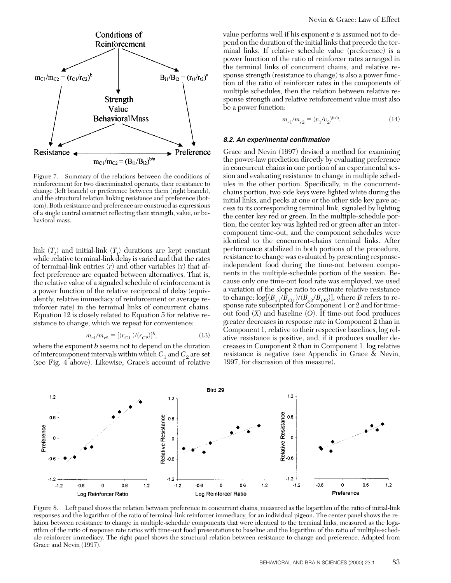

Figure 7. Summary of the relations between the conditions of reinforcement for two discriminated operants, their resistance to change (left branch) or preference between them (right branch), and the structural relation linking resistance and preference (bottom). Both resistance and preference are construed as expressions of a single central construct reflecting their strength, value, or behavioral mass.

link  $(T_t)$  and initial-link  $(T_i)$  durations are kept constant while relative terminal-link delay is varied and that the rates of terminal-link entries (*r*) and other variables (*x*) that affect preference are equated between alternatives. That is, the relative value of a signaled schedule of reinforcement is a power function of the relative reciprocal of delay (equivalently, relative immediacy of reinforcement or average reinforcer rate) in the terminal links of concurrent chains. Equation 12 is closely related to Equation 5 for relative resistance to change, which we repeat for convenience:

$$
m_{r1}/m_{r2} = [(r_{C1})/(r_{C2})]^b, \tag{13}
$$

where the exponent *b* seems not to depend on the duration of intercomponent intervals within which  $C_1$  and  $C_2$  are set (see Fig. 4 above). Likewise, Grace's account of relative value performs well if his exponent *a* is assumed not to depend on the duration of the initial links that precede the terminal links. If relative schedule value (preference) is a power function of the ratio of reinforcer rates arranged in the terminal links of concurrent chains, and relative response strength (resistance to change) is also a power function of the ratio of reinforcer rates in the components of multiple schedules, then the relation between relative response strength and relative reinforcement value must also be a power function:

$$
m_{r1}/m_{r2} = (v_1/v_2)^{b/a}.
$$
 (14)

#### **8.2. An experimental confirmation**

Grace and Nevin (1997) devised a method for examining the power-law prediction directly by evaluating preference in concurrent chains in one portion of an experimental session and evaluating resistance to change in multiple schedules in the other portion. Specifically, in the concurrentchains portion, two side keys were lighted white during the initial links, and pecks at one or the other side key gave access to its corresponding terminal link, signaled by lighting the center key red or green. In the multiple-schedule portion, the center key was lighted red or green after an intercomponent time-out, and the component schedules were identical to the concurrent-chains terminal links. After performance stabilized in both portions of the procedure, resistance to change was evaluated by presenting responseindependent food during the time-out between components in the multiple-schedule portion of the session. Because only one time-out food rate was employed, we used a variation of the slope ratio to estimate relative resistance to change:  $\log[(B_{x1}/B_{O1})/(B_{x2}/B_{O2})]$ , where *B* refers to response rate subscripted for Component 1 or 2 and for timeout food (*X*) and baseline (*O*). If time-out food produces greater decreases in response rate in Component 2 than in Component 1, relative to their respective baselines, log relative resistance is positive, and, if it produces smaller decreases in Component 2 than in Component 1, log relative resistance is negative (see Appendix in Grace & Nevin, 1997, for discussion of this measure).



Figure 8. Left panel shows the relation between preference in concurrent chains, measured as the logarithm of the ratio of initial-link responses and the logarithm of the ratio of terminal-link reinforcer immediacy, for an individual pigeon. The center panel shows the relation between resistance to change in multiple-schedule components that were identical to the terminal links, measured as the logarithm of the ratio of response rate ratios with time-out food presentations to baseline and the logarithm of the ratio of multiple-schedule reinforcer immediacy. The right panel shows the structural relation between resistance to change and preference. Adapted from Grace and Nevin (1997).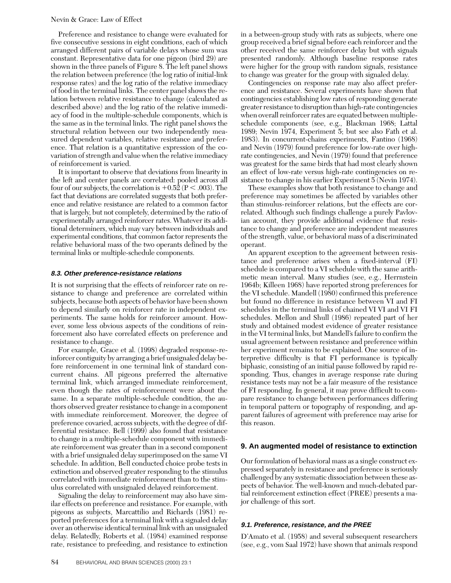#### Nevin & Grace: Law of Effect

Preference and resistance to change were evaluated for five consecutive sessions in eight conditions, each of which arranged different pairs of variable delays whose sum was constant. Representative data for one pigeon (bird 29) are shown in the three panels of Figure 8. The left panel shows the relation between preference (the log ratio of initial-link response rates) and the log ratio of the relative immediacy of food in the terminal links. The center panel shows the relation between relative resistance to change (calculated as described above) and the log ratio of the relative immediacy of food in the multiple-schedule components, which is the same as in the terminal links. The right panel shows the structural relation between our two independently measured dependent variables, relative resistance and preference. That relation is a quantitative expression of the covariation of strength and value when the relative immediacy of reinforcement is varied.

It is important to observe that deviations from linearity in the left and center panels are correlated: pooled across all four of our subjects, the correlation is  $+0.52$  (P  $< .003$ ). The fact that deviations are correlated suggests that both preference and relative resistance are related to a common factor that is largely, but not completely, determined by the ratio of experimentally arranged reinforcer rates. Whatever its additional determiners, which may vary between individuals and experimental conditions, that common factor represents the relative behavioral mass of the two operants defined by the terminal links or multiple-schedule components.

#### **8.3. Other preference-resistance relations**

It is not surprising that the effects of reinforcer rate on resistance to change and preference are correlated within subjects, because both aspects of behavior have been shown to depend similarly on reinforcer rate in independent experiments. The same holds for reinforcer amount. However, some less obvious aspects of the conditions of reinforcement also have correlated effects on preference and resistance to change.

For example, Grace et al. (1998) degraded response-reinforcer contiguity by arranging a brief unsignaled delay before reinforcement in one terminal link of standard concurrent chains. All pigeons preferred the alternative terminal link, which arranged immediate reinforcement, even though the rates of reinforcement were about the same. In a separate multiple-schedule condition, the authors observed greater resistance to change in a component with immediate reinforcement. Moreover, the degree of preference covaried, across subjects, with the degree of differential resistance. Bell (1999) also found that resistance to change in a multiple-schedule component with immediate reinforcement was greater than in a second component with a brief unsignaled delay superimposed on the same VI schedule. In addition, Bell conducted choice probe tests in extinction and observed greater responding to the stimulus correlated with immediate reinforcement than to the stimulus correlated with unsignaled delayed reinforcement.

Signaling the delay to reinforcement may also have similar effects on preference and resistance. For example, with pigeons as subjects, Marcattilio and Richards (1981) reported preferences for a terminal link with a signaled delay over an otherwise identical terminal link with an unsignaled delay. Relatedly, Roberts et al. (1984) examined response rate, resistance to prefeeding, and resistance to extinction in a between-group study with rats as subjects, where one group received a brief signal before each reinforcer and the other received the same reinforcer delay but with signals presented randomly. Although baseline response rates were higher for the group with random signals, resistance to change was greater for the group with signaled delay.

Contingencies on response rate may also affect preference and resistance. Several experiments have shown that contingencies establishing low rates of responding generate greater resistance to disruption than high-rate contingencies when overall reinforcer rates are equated between multipleschedule components (see, e.g., Blackman 1968; Lattal 1989; Nevin 1974, Experiment 5; but see also Fath et al. 1983). In concurrent-chains experiments, Fantino (1968) and Nevin (1979) found preference for low-rate over highrate contingencies, and Nevin (1979) found that preference was greatest for the same birds that had most clearly shown an effect of low-rate versus high-rate contingencies on resistance to change in his earlier Experiment 5 (Nevin 1974).

These examples show that both resistance to change and preference may sometimes be affected by variables other than stimulus-reinforcer relations, but the effects are correlated. Although such findings challenge a purely Pavlovian account, they provide additional evidence that resistance to change and preference are independent measures of the strength, value, or behavioral mass of a discriminated operant.

An apparent exception to the agreement between resistance and preference arises when a fixed-interval (FI) schedule is compared to a VI schedule with the same arithmetic mean interval. Many studies (see, e.g., Herrnstein 1964b; Killeen 1968) have reported strong preferences for the VI schedule. Mandell (1980) confirmed this preference but found no difference in resistance between VI and FI schedules in the terminal links of chained VI VI and VI FI schedules. Mellon and Shull (1986) repeated part of her study and obtained modest evidence of greater resistance in the VI terminal links, but Mandell's failure to confirm the usual agreement between resistance and preference within her experiment remains to be explained. One source of interpretive difficulty is that FI performance is typically biphasic, consisting of an initial pause followed by rapid responding. Thus, changes in average response rate during resistance tests may not be a fair measure of the resistance of FI responding. In general, it may prove difficult to compare resistance to change between performances differing in temporal pattern or topography of responding, and apparent failures of agreement with preference may arise for this reason.

#### **9. An augmented model of resistance to extinction**

Our formulation of behavioral mass as a single construct expressed separately in resistance and preference is seriously challenged by any systematic dissociation between these aspects of behavior. The well-known and much-debated partial reinforcement extinction effect (PREE) presents a major challenge of this sort.

#### **9.1. Preference, resistance, and the PREE**

D'Amato et al. (1958) and several subsequent researchers (see, e.g., vom Saal 1972) have shown that animals respond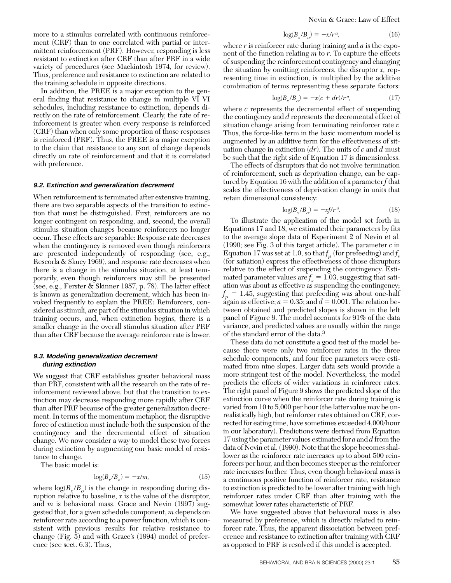more to a stimulus correlated with continuous reinforcement (CRF) than to one correlated with partial or intermittent reinforcement (PRF). However, responding is less resistant to extinction after CRF than after PRF in a wide variety of procedures (see Mackintosh 1974, for review). Thus, preference and resistance to extinction are related to the training schedule in opposite directions.

In addition, the PREE is a major exception to the general finding that resistance to change in multiple VI VI schedules, including resistance to extinction, depends directly on the rate of reinforcement. Clearly, the rate of reinforcement is greater when every response is reinforced (CRF) than when only some proportion of those responses is reinforced (PRF). Thus, the PREE is a major exception to the claim that resistance to any sort of change depends directly on rate of reinforcement and that it is correlated with preference.

#### **9.2. Extinction and generalization decrement**

When reinforcement is terminated after extensive training, there are two separable aspects of the transition to extinction that must be distinguished. First, reinforcers are no longer contingent on responding, and, second, the overall stimulus situation changes because reinforcers no longer occur. These effects are separable: Response rate decreases when the contingency is removed even though reinforcers are presented independently of responding (see, e.g., Rescorla & Skucy 1969), and response rate decreases when there is a change in the stimulus situation, at least temporarily, even though reinforcers may still be presented (see, e.g., Ferster & Skinner 1957, p. 78). The latter effect is known as generalization decrement, which has been invoked frequently to explain the PREE: Reinforcers, considered as stimuli, are part of the stimulus situation in which training occurs, and, when extinction begins, there is a smaller change in the overall stimulus situation after PRF than after CRF because the average reinforcer rate is lower.

## **9.3. Modeling generalization decrement during extinction**

We suggest that CRF establishes greater behavioral mass than PRF, consistent with all the research on the rate of reinforcement reviewed above, but that the transition to extinction may decrease responding more rapidly after CRF than after PRF because of the greater generalization decrement. In terms of the momentum metaphor, the disruptive force of extinction must include both the suspension of the contingency and the decremental effect of situation change. We now consider a way to model these two forces during extinction by augmenting our basic model of resistance to change.

The basic model is:

$$
\log(B_x/B_o) = -x/m,\tag{15}
$$

where  $\log(B_x/B_o)$  is the change in responding during disruption relative to baseline, *x* is the value of the disruptor, and *m* is behavioral mass. Grace and Nevin (1997) suggested that, for a given schedule component, *m* depends on reinforcer rate according to a power function, which is consistent with previous results for relative resistance to change (Fig. 5) and with Grace's (1994) model of preference (see sect. 6.3). Thus,

$$
\log(B_x/B_o) = -x/r^a,\tag{16}
$$

where *r* is reinforcer rate during training and *a* is the exponent of the function relating *m* to *r*. To capture the effects of suspending the reinforcement contingency and changing the situation by omitting reinforcers, the disruptor *x,* representing time in extinction, is multiplied by the additive combination of terms representing these separate factors:

$$
\log(B_x/B_o) = -x(c + dr)/r^a,\tag{17}
$$

where *c* represents the decremental effect of suspending the contingency and *d* represents the decremental effect of situation change arising from terminating reinforcer rate *r.* Thus, the force-like term in the basic momentum model is augmented by an additive term for the effectiveness of situation change in extinction (*dr*). The units of *c* and *d* must be such that the right side of Equation 17 is dimensionless.

The effects of disruptors that do not involve termination of reinforcement, such as deprivation change, can be captured by Equation 16 with the addition of a parameter *f* that scales the effectiveness of deprivation change in units that retain dimensional consistency:

$$
\log(B_x/B_o) = -xf/r^a. \tag{18}
$$

To illustrate the application of the model set forth in Equations 17 and 18, we estimated their parameters by fits to the average slope data of Experiment 2 of Nevin et al. (1990; see Fig. 3 of this target article). The parameter *c* in Equation 17 was set at 1.0, so that  $f_p$  (for prefeeding) and  $f_s$ (for satiation) express the effectiveness of those disruptors relative to the effect of suspending the contingency. Estimated parameter values are  $f_s = 1.03$ , suggesting that satiation was about as effective as suspending the contingency;  $f_p = 1.45$ , suggesting that prefeeding was about one-half again as effective;  $a = 0.35$ ; and  $d = 0.001$ . The relation between obtained and predicted slopes is shown in the left panel of Figure 9. The model accounts for 91% of the data variance, and predicted values are usually within the range of the standard error of the data.3

These data do not constitute a good test of the model because there were only two reinforcer rates in the three schedule components, and four free parameters were estimated from nine slopes. Larger data sets would provide a more stringent test of the model. Nevertheless, the model predicts the effects of wider variations in reinforcer rates. The right panel of Figure 9 shows the predicted slope of the extinction curve when the reinforcer rate during training is varied from 10 to 5,000 per hour (the latter value may be unrealistically high, but reinforcer rates obtained on CRF, corrected for eating time, have sometimes exceeded 4,000/hour in our laboratory). Predictions were derived from Equation 17 using the parameter values estimated for *a* and *d* from the data of Nevin et al. (1990). Note that the slope becomes shallower as the reinforcer rate increases up to about 500 reinforcers per hour, and then becomes steeper as the reinforcer rate increases further. Thus, even though behavioral mass is a continuous positive function of reinforcer rate, resistance to extinction is predicted to be lower after training with high reinforcer rates under CRF than after training with the somewhat lower rates characteristic of PRF.

We have suggested above that behavioral mass is also measured by preference, which is directly related to reinforcer rate. Thus, the apparent dissociation between preference and resistance to extinction after training with CRF as opposed to PRF is resolved if this model is accepted.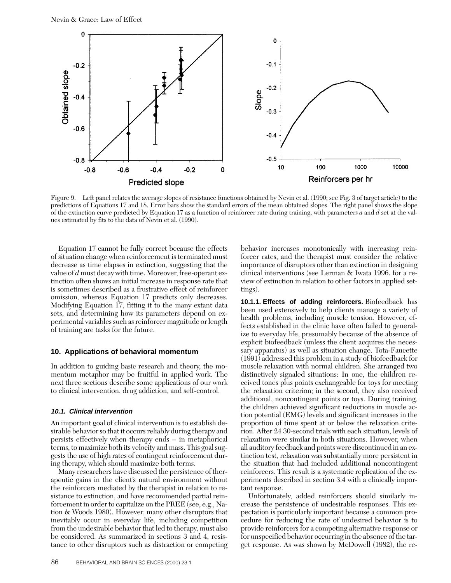

Figure 9. Left panel relates the average slopes of resistance functions obtained by Nevin et al. (1990; see Fig. 3 of target article) to the predictions of Equations 17 and 18. Error bars show the standard errors of the mean obtained slopes. The right panel shows the slope of the extinction curve predicted by Equation 17 as a function of reinforcer rate during training, with parameters *a* and *d* set at the values estimated by fits to the data of Nevin et al. (1990).

Equation 17 cannot be fully correct because the effects of situation change when reinforcement is terminated must decrease as time elapses in extinction, suggesting that the value of *d* must decay with time. Moreover, free-operant extinction often shows an initial increase in response rate that is sometimes described as a frustrative effect of reinforcer omission, whereas Equation 17 predicts only decreases. Modifying Equation 17, fitting it to the many extant data sets, and determining how its parameters depend on experimental variables such as reinforcer magnitude or length of training are tasks for the future.

#### **10. Applications of behavioral momentum**

In addition to guiding basic research and theory, the momentum metaphor may be fruitful in applied work. The next three sections describe some applications of our work to clinical intervention, drug addiction, and self-control.

#### **10.1. Clinical intervention**

An important goal of clinical intervention is to establish desirable behavior so that it occurs reliably during therapy and persists effectively when therapy ends – in metaphorical terms, to maximize both its velocity and mass. This goal suggests the use of high rates of contingent reinforcement during therapy, which should maximize both terms.

Many researchers have discussed the persistence of therapeutic gains in the client's natural environment without the reinforcers mediated by the therapist in relation to resistance to extinction, and have recommended partial reinforcement in order to capitalize on the PREE (see, e.g., Nation & Woods 1980). However, many other disruptors that inevitably occur in everyday life, including competition from the undesirable behavior that led to therapy, must also be considered. As summarized in sections 3 and 4, resistance to other disruptors such as distraction or competing behavior increases monotonically with increasing reinforcer rates, and the therapist must consider the relative importance of disruptors other than extinction in designing clinical interventions (see Lerman & Iwata 1996. for a review of extinction in relation to other factors in applied settings).

**10.1.1. Effects of adding reinforcers.** Biofeedback has been used extensively to help clients manage a variety of health problems, including muscle tension. However, effects established in the clinic have often failed to generalize to everyday life, presumably because of the absence of explicit biofeedback (unless the client acquires the necessary apparatus) as well as situation change. Tota-Faucette (1991) addressed this problem in a study of biofeedback for muscle relaxation with normal children. She arranged two distinctively signaled situations: In one, the children received tones plus points exchangeable for toys for meeting the relaxation criterion; in the second, they also received additional, noncontingent points or toys. During training, the children achieved significant reductions in muscle action potential (EMG) levels and significant increases in the proportion of time spent at or below the relaxation criterion. After 24 30-second trials with each situation, levels of relaxation were similar in both situations. However, when all auditory feedback and points were discontinued in an extinction test, relaxation was substantially more persistent in the situation that had included additional noncontingent reinforcers. This result is a systematic replication of the experiments described in section 3.4 with a clinically important response.

Unfortunately, added reinforcers should similarly increase the persistence of undesirable responses. This expectation is particularly important because a common procedure for reducing the rate of undesired behavior is to provide reinforcers for a competing alternative response or for unspecified behavior occurring in the absence of the target response. As was shown by McDowell (1982), the re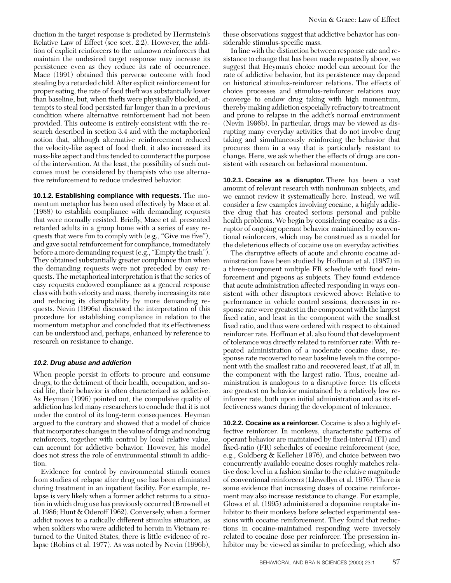duction in the target response is predicted by Herrnstein's Relative Law of Effect (see sect. 2.2). However, the addition of explicit reinforcers to the unknown reinforcers that maintain the undesired target response may increase its persistence even as they reduce its rate of occurrence. Mace (1991) obtained this perverse outcome with food stealing by a retarded child. After explicit reinforcement for proper eating, the rate of food theft was substantially lower than baseline, but, when thefts were physically blocked, attempts to steal food persisted far longer than in a previous condition where alternative reinforcement had not been provided. This outcome is entirely consistent with the research described in section 3.4 and with the metaphorical notion that, although alternative reinforcement reduced the velocity-like aspect of food theft, it also increased its mass-like aspect and thus tended to counteract the purpose of the intervention. At the least, the possibility of such outcomes must be considered by therapists who use alternative reinforcement to reduce undesired behavior.

**10.1.2. Establishing compliance with requests.** The momentum metaphor has been used effectively by Mace et al. (1988) to establish compliance with demanding requests that were normally resisted. Briefly, Mace et al. presented retarded adults in a group home with a series of easy requests that were fun to comply with (e.g., "Give me five"), and gave social reinforcement for compliance, immediately before a more demanding request (e.g., "Empty the trash"). They obtained substantially greater compliance than when the demanding requests were not preceded by easy requests. The metaphorical interpretation is that the series of easy requests endowed compliance as a general response class with both velocity and mass, thereby increasing its rate and reducing its disruptability by more demanding requests. Nevin (1996a) discussed the interpretation of this procedure for establishing compliance in relation to the momentum metaphor and concluded that its effectiveness can be understood and, perhaps, enhanced by reference to research on resistance to change.

#### **10.2. Drug abuse and addiction**

When people persist in efforts to procure and consume drugs, to the detriment of their health, occupation, and social life, their behavior is often characterized as addictive. As Heyman (1996) pointed out, the compulsive quality of addiction has led many researchers to conclude that it is not under the control of its long-term consequences. Heyman argued to the contrary and showed that a model of choice that incorporates changes in the value of drugs and nondrug reinforcers, together with control by local relative value, can account for addictive behavior. However, his model does not stress the role of environmental stimuli in addiction.

Evidence for control by environmental stimuli comes from studies of relapse after drug use has been eliminated during treatment in an inpatient facility. For example, relapse is very likely when a former addict returns to a situation in which drug use has previously occurred (Brownell et al. 1986; Hunt & Oderoff 1962). Conversely, when a former addict moves to a radically different stimulus situation, as when soldiers who were addicted to heroin in Vietnam returned to the United States, there is little evidence of relapse (Robins et al. 1977). As was noted by Nevin (1996b),

these observations suggest that addictive behavior has considerable stimulus-specific mass.

In line with the distinction between response rate and resistance to change that has been made repeatedly above, we suggest that Heyman's choice model can account for the rate of addictive behavior, but its persistence may depend on historical stimulus-reinforcer relations. The effects of choice processes and stimulus-reinforcer relations may converge to endow drug taking with high momentum, thereby making addiction especially refractory to treatment and prone to relapse in the addict's normal environment (Nevin 1996b). In particular, drugs may be viewed as disrupting many everyday activities that do not involve drug taking and simultaneously reinforcing the behavior that procures them in a way that is particularly resistant to change. Here, we ask whether the effects of drugs are consistent with research on behavioral momentum.

**10.2.1. Cocaine as a disruptor.** There has been a vast amount of relevant research with nonhuman subjects, and we cannot review it systematically here. Instead, we will consider a few examples involving cocaine, a highly addictive drug that has created serious personal and public health problems. We begin by considering cocaine as a disruptor of ongoing operant behavior maintained by conventional reinforcers, which may be construed as a model for the deleterious effects of cocaine use on everyday activities.

The disruptive effects of acute and chronic cocaine adminstration have been studied by Hoffman et al. (1987) in a three-component multiple FR schedule with food reinforcement and pigeons as subjects. They found evidence that acute administration affected responding in ways consistent with other disruptors reviewed above: Relative to performance in vehicle control sessions, decreases in response rate were greatest in the component with the largest fixed ratio, and least in the component with the smallest fixed ratio, and thus were ordered with respect to obtained reinforcer rate. Hoffman et al. also found that development of tolerance was directly related to reinforcer rate: With repeated administration of a moderate cocaine dose, response rate recovered to near baseline levels in the component with the smallest ratio and recovered least, if at all, in the component with the largest ratio. Thus, cocaine administration is analogous to a disruptive force: Its effects are greatest on behavior maintained by a relatively low reinforcer rate, both upon initial administration and as its effectiveness wanes during the development of tolerance.

**10.2.2. Cocaine as a reinforcer.** Cocaine is also a highly effective reinforcer. In monkeys, characteristic patterns of operant behavior are maintained by fixed-interval (FI) and fixed-ratio (FR) schedules of cocaine reinforcement (see, e.g., Goldberg & Kelleher 1976), and choice between two concurrently available cocaine doses roughly matches relative dose level in a fashion similar to the relative magnitude of conventional reinforcers (Llewellyn et al. 1976). There is some evidence that increasing doses of cocaine reinforcement may also increase resistance to change. For example, Glowa et al. (1995) administered a dopamine reuptake inhibitor to their monkeys before selected experimental sessions with cocaine reinforcement. They found that reductions in cocaine-maintained responding were inversely related to cocaine dose per reinforcer. The presession inhibitor may be viewed as similar to prefeeding, which also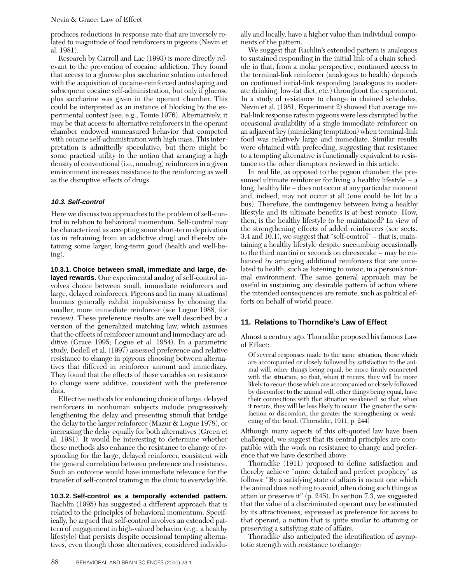produces reductions in response rate that are inversely related to magnitude of food reinforcers in pigeons (Nevin et al. 1981).

Research by Carroll and Lac (1993) is more directly relevant to the prevention of cocaine addiction. They found that access to a glucose plus saccharine solution interfered with the acquisition of cocaine-reinforced autoshaping and subsequent cocaine self-administration, but only if glucose plus saccharine was given in the operant chamber. This could be interpreted as an instance of blocking by the experimental context (see, e.g., Tomie 1976). Alternatively, it may be that access to alternative reinforcers in the operant chamber endowed unmeasured behavior that competed with cocaine self-administration with high mass. This interpretation is admittedly speculative, but there might be some practical utility to the notion that arranging a high density of conventional (i.e., nondrug) reinforcers in a given environment increases resistance to the reinforcing as well as the disruptive effects of drugs.

#### **10.3. Self-control**

Here we discuss two approaches to the problem of self-control in relation to behavioral momentum. Self-control may be characterized as accepting some short-term deprivation (as in refraining from an addictive drug) and thereby obtaining some larger, long-term good (health and well-being).

**10.3.1. Choice between small, immediate and large, delayed rewards.** One experimental analog of self-control involves choice between small, immediate reinforcers and large, delayed reinforcers. Pigeons and (in many situations) humans generally exhibit impulsiveness by choosing the smaller, more immediate reinforcer (see Logue 1988, for review). These preference results are well described by a version of the generalized matching law, which assumes that the effects of reinforcer amount and immediacy are additive (Grace 1995; Logue et al. 1984). In a parametric study, Bedell et al. (1997) assessed preference and relative resistance to change in pigeons choosing between alternatives that differed in reinforcer amount and immediacy. They found that the effects of these variables on resistance to change were additive, consistent with the preference data.

Effective methods for enhancing choice of large, delayed reinforcers in nonhuman subjects include progressively lengthening the delay and presenting stimuli that bridge the delay to the larger reinforcer (Mazur & Logue 1978), or increasing the delay equally for both alternatives (Green et al. 1981). It would be interesting to determine whether these methods also enhance the resistance to change of responding for the large, delayed reinforcer, consistent with the general correlation between preference and resistance. Such an outcome would have immediate relevance for the transfer of self-control training in the clinic to everyday life.

**10.3.2. Self-control as a temporally extended pattern.** Rachlin (1995) has suggested a different approach that is related to the principles of behavioral momentum. Specifically, he argued that self-control involves an extended pattern of engagement in high-valued behavior (e.g., a healthy lifestyle) that persists despite occasional tempting alternatives, even though those alternatives, considered individually and locally, have a higher value than individual components of the pattern.

We suggest that Rachlin's extended pattern is analogous to sustained responding in the initial link of a chain schedule in that, from a molar perspective, continued access to the terminal-link reinforcer (analogous to health) depends on continued initial-link responding (analogous to moderate drinking, low-fat diet, etc.) throughout the experiment. In a study of resistance to change in chained schedules, Nevin et al. (1981, Experiment 2) showed that average initial-link response rates in pigeons were less disrupted by the occasional availability of a single immediate reinforcer on an adjacent key (mimicking temptation) when terminal-link food was relatively large and immediate. Similar results were obtained with prefeeding, suggesting that resistance to a tempting alternative is functionally equivalent to resistance to the other disruptors reviewed in this article.

In real life, as opposed to the pigeon chamber, the presumed ultimate reinforcer for living a healthy lifestyle – a long, healthy life – does not occur at any particular moment and, indeed, may not occur at all (one could be hit by a bus). Therefore, the contingency between living a healthy lifestyle and its ultimate benefits is at best remote. How, then, is the healthy lifestyle to be maintained? In view of the strengthening effects of added reinforcers (see sects. 3.4 and 10.1), we suggest that "self-control" – that is, maintaining a healthy lifestyle despite succumbing occasionally to the third martini or seconds on cheesecake – may be enhanced by arranging additional reinforcers that are unrelated to health, such as listening to music, in a person's normal environment. The same general approach may be useful in sustaining any desirable pattern of action where the intended consequences are remote, such as political efforts on behalf of world peace.

## **11. Relations to Thorndike's Law of Effect**

Almost a century ago, Thorndike proposed his famous Law of Effect:

Of several responses made to the same situation, those which are accompanied or closely followed by satisfaction to the animal will, other things being equal, be more firmly connected with the situation, so that, when it recurs, they will be more likely to recur; those which are accompanied or closely followed by discomfort to the animal will, other things being equal, have their connections with that situation weakened, so that, when it recurs, they will be less likely to occur. The greater the satisfaction or discomfort, the greater the strengthening or weakening of the bond. (Thorndike, 1911, p. 244)

Although many aspects of this oft-quoted law have been challenged, we suggest that its central principles are compatible with the work on resistance to change and preference that we have described above.

Thorndike (1911) proposed to define satisfaction and thereby achieve "more detailed and perfect prophecy" as follows: "By a satisfying state of affairs is meant one which the animal does nothing to avoid, often doing such things as attain or preserve it" (p. 245). In section 7.3, we suggested that the value of a discriminated operant may be estimated by its attractiveness, expressed as preference for access to that operant, a notion that is quite similar to attaining or preserving a satisfying state of affairs.

Thorndike also anticipated the identification of asymptotic strength with resistance to change: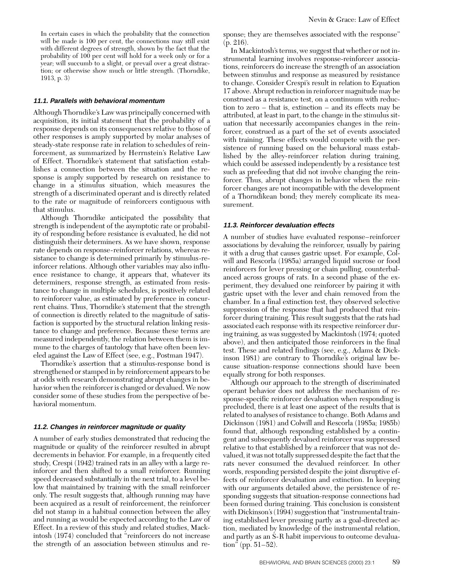In certain cases in which the probability that the connection will be made is 100 per cent, the connections may still exist with different degrees of strength, shown by the fact that the probability of 100 per cent will hold for a week only or for a year; will succumb to a slight, or prevail over a great distraction; or otherwise show much or little strength. (Thorndike, 1913, p. 3)

#### **11.1. Parallels with behavioral momentum**

Although Thorndike's Law was principally concerned with acquisition, its initial statement that the probability of a response depends on its consequences relative to those of other responses is amply supported by molar analyses of steady-state response rate in relation to schedules of reinforcement, as summarized by Herrnstein's Relative Law of Effect. Thorndike's statement that satisfaction establishes a connection between the situation and the response is amply supported by research on resistance to change in a stimulus situation, which measures the strength of a discriminated operant and is directly related to the rate or magnitude of reinforcers contiguous with that stimulus.

Although Thorndike anticipated the possibility that strength is independent of the asymptotic rate or probability of responding before resistance is evaluated, he did not distinguish their determiners. As we have shown, response rate depends on response-reinforcer relations, whereas resistance to change is determined primarily by stimulus-reinforcer relations. Although other variables may also influence resistance to change, it appears that, whatever its determiners, response strength, as estimated from resistance to change in multiple schedules, is positively related to reinforcer value, as estimated by preference in concurrent chains. Thus, Thorndike's statement that the strength of connection is directly related to the magnitude of satisfaction is supported by the structural relation linking resistance to change and preference. Because these terms are measured independently, the relation between them is immune to the charges of tautology that have often been leveled against the Law of Effect (see, e.g., Postman 1947).

Thorndike's assertion that a stimulus-response bond is strengthened or stamped in by reinforcement appears to be at odds with research demonstrating abrupt changes in behavior when the reinforcer is changed or devalued. We now consider some of these studies from the perspective of behavioral momentum.

#### **11.2. Changes in reinforcer magnitude or quality**

A number of early studies demonstrated that reducing the magnitude or quality of the reinforcer resulted in abrupt decrements in behavior. For example, in a frequently cited study, Crespi (1942) trained rats in an alley with a large reinforcer and then shifted to a small reinforcer. Running speed decreased substantially in the next trial, to a level below that maintained by training with the small reinforcer only. The result suggests that, although running may have been acquired as a result of reinforcement, the reinforcer did not stamp in a habitual connection between the alley and running as would be expected according to the Law of Effect. In a review of this study and related studies, Mackintosh (1974) concluded that "reinforcers do not increase the strength of an association between stimulus and response; they are themselves associated with the response" (p. 216).

In Mackintosh's terms, we suggest that whether or not instrumental learning involves response-reinforcer associations, reinforcers do increase the strength of an association between stimulus and response as measured by resistance to change. Consider Crespi's result in relation to Equation 17 above. Abrupt reduction in reinforcer magnitude may be construed as a resistance test, on a continuum with reduction to zero – that is, extinction – and its effects may be attributed, at least in part, to the change in the stimulus situation that necessarily accompanies changes in the reinforcer, construed as a part of the set of events associated with training. These effects would compete with the persistence of running based on the behavioral mass established by the alley-reinforcer relation during training, which could be assessed independently by a resistance test such as prefeeding that did not involve changing the reinforcer. Thus, abrupt changes in behavior when the reinforcer changes are not incompatible with the development of a Thorndikean bond; they merely complicate its measurement.

#### **11.3. Reinforcer devaluation effects**

A number of studies have evaluated response–reinforcer associations by devaluing the reinforcer, usually by pairing it with a drug that causes gastric upset. For example, Colwill and Rescorla (1985a) arranged liquid sucrose or food reinforcers for lever pressing or chain pulling, counterbalanced across groups of rats. In a second phase of the experiment, they devalued one reinforcer by pairing it with gastric upset with the lever and chain removed from the chamber. In a final extinction test, they observed selective suppression of the response that had produced that reinforcer during training. This result suggests that the rats had associated each response with its respective reinforcer during training, as was suggested by Mackintosh (1974; quoted above), and then anticipated those reinforcers in the final test. These and related findings (see, e.g., Adams & Dickinson 1981) are contrary to Thorndike's original law because situation-response connections should have been equally strong for both responses.

Although our approach to the strength of discriminated operant behavior does not address the mechanism of response-specific reinforcer devaluation when responding is precluded, there is at least one aspect of the results that is related to analyses of resistance to change. Both Adams and Dickinson (1981) and Colwill and Rescorla (1985a; 1985b) found that, although responding established by a contingent and subsequently devalued reinforcer was suppressed relative to that established by a reinforcer that was not devalued, it was not totally suppressed despite the fact that the rats never consumed the devalued reinforcer. In other words, responding persisted despite the joint disruptive effects of reinforcer devaluation and extinction. In keeping with our arguments detailed above, the persistence of responding suggests that situation-response connections had been formed during training. This conclusion is consistent with Dickinson's (1994) suggestion that "instrumental training established lever pressing partly as a goal-directed action, mediated by knowledge of the instrumental relation, and partly as an S-R habit impervious to outcome devaluation" (pp. 51–52).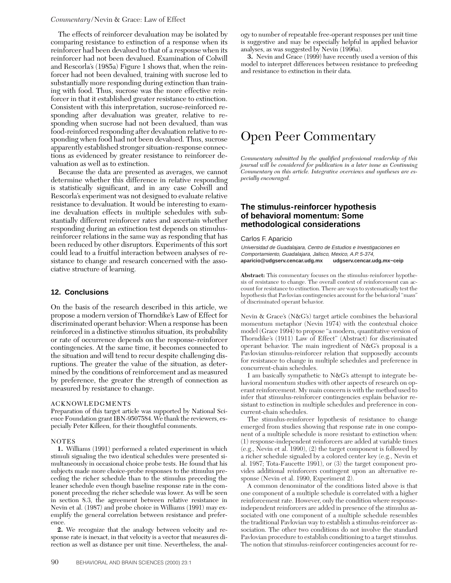#### *Commentary*/Nevin & Grace: Law of Effect

The effects of reinforcer devaluation may be isolated by comparing resistance to extinction of a response when its reinforcer had been devalued to that of a response when its reinforcer had not been devalued. Examination of Colwill and Rescorla's (1985a) Figure 1 shows that, when the reinforcer had not been devalued, training with sucrose led to substantially more responding during extinction than training with food. Thus, sucrose was the more effective reinforcer in that it established greater resistance to extinction. Consistent with this interpretation, sucrose-reinforced responding after devaluation was greater, relative to responding when sucrose had not been devalued, than was food-reinforced responding after devaluation relative to responding when food had not been devalued. Thus, sucrose apparently established stronger situation-response connections as evidenced by greater resistance to reinforcer devaluation as well as to extinction.

Because the data are presented as averages, we cannot determine whether this difference in relative responding is statistically significant, and in any case Colwill and Rescorla's experiment was not designed to evaluate relative resistance to devaluation. It would be interesting to examine devaluation effects in multiple schedules with substantially different reinforcer rates and ascertain whether responding during an extinction test depends on stimulusreinforcer relations in the same way as responding that has been reduced by other disruptors. Experiments of this sort could lead to a fruitful interaction between analyses of resistance to change and research concerned with the associative structure of learning.

## **12. Conclusions**

On the basis of the research described in this article, we propose a modern version of Thorndike's Law of Effect for discriminated operant behavior: When a response has been reinforced in a distinctive stimulus situation, its probability or rate of occurrence depends on the response-reinforcer contingencies. At the same time, it becomes connected to the situation and will tend to recur despite challenging disruptions. The greater the value of the situation, as determined by the conditions of reinforcement and as measured by preference, the greater the strength of connection as measured by resistance to change.

#### ACKNOWLEDGMENTS

Preparation of this target article was supported by National Science Foundation grant IBN-9507584. We thank the reviewers, especially Peter Killeen, for their thoughtful comments.

#### NOTES

**1.** Williams (1991) performed a related experiment in which stimuli signaling the two identical schedules were presented simultaneously in occasional choice probe tests. He found that his subjects made more choice-probe responses to the stimulus preceding the richer schedule than to the stimulus preceding the leaner schedule even though baseline response rate in the component preceding the richer schedule was lower. As will be seen in section 8.3, the agreement between relative resistance in Nevin et al. (1987) and probe choice in Williams (1991) may exemplify the general correlation between resistance and preference.

**2.** We recognize that the analogy between velocity and response rate is inexact, in that velocity is a vector that measures direction as well as distance per unit time. Nevertheless, the analogy to number of repeatable free-operant responses per unit time is suggestive and may be especially helpful in applied behavior analyses, as was suggested by Nevin (1996a).

**3.** Nevin and Grace (1999) have recently used a version of this model to interpret differences between resistance to prefeeding and resistance to extinction in their data.

## Open Peer Commentary

*Commentary submitted by the qualified professional readership of this journal will be considered for publication in a later issue as Continuing Commentary on this article. Integrative overviews and syntheses are especially encouraged.*

## **The stimulus-reinforcer hypothesis of behavioral momentum: Some methodological considerations**

#### Carlos F. Aparicio

Universidad de Guadalajara, Centro de Estudios e Investigaciones en Comportamiento, Guadalajara, Jalisco, Mexico, A.P. 5-374, **aparicio@udgserv.cencar.udg.mx udgserv.cencar.udg.mx~ceip**

**Abstract:** This commentary focuses on the stimulus-reinforcer hypothesis of resistance to change. The overall context of reinforcement can account for resistance to extinction. There are ways to systematically test the hypothesis that Pavlovian contingencies account for the behavioral "mass" of discriminated operant behavior.

Nevin & Grace's (N&G's) target article combines the behavioral momentum metaphor (Nevin 1974) with the contextual choice model (Grace 1994) to propose "a modern, quantitative version of Thorndike's (1911) Law of Effect" (Abstract) for discriminated operant behavior. The main ingredient of N&G's proposal is a Pavlovian stimulus-reinforcer relation that supposedly accounts for resistance to change in multiple schedules and preference in concurrent-chain schedules.

I am basically sympathetic to N&G's attempt to integrate behavioral momentum studies with other aspects of research on operant reinforcement. My main concern is with the method used to infer that stimulus-reinforcer contingencies explain behavior resistant to extinction in multiple schedules and preference in concurrent-chain schedules.

The stimulus-reinforcer hypothesis of resistance to change emerged from studies showing that response rate in one component of a multiple schedule is more resistant to extinction when: (1) response-independent reinforcers are added at variable times (e.g., Nevin et al. 1990), (2) the target component is followed by a richer schedule signaled by a colored center key (e.g., Nevin et al. 1987; Tota-Faucette 1991), or (3) the target component provides additional reinforcers contingent upon an alternative response (Nevin et al. 1990, Experiment 2).

A common denominator of the conditions listed above is that one component of a multiple schedule is correlated with a higher reinforcement rate. However, only the condition where responseindependent reinforcers are added in presence of the stimulus associated with one component of a multiple schedule resembles the traditional Pavlovian way to establish a stimulus-reinforcer association. The other two conditions do not involve the standard Pavlovian procedure to establish conditioning to a target stimulus. The notion that stimulus-reinforcer contingencies account for re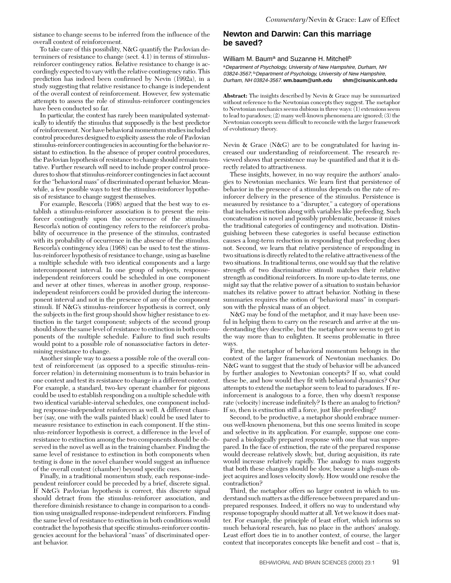sistance to change seems to be inferred from the influence of the overall context of reinforcement.

To take care of this possibility, N&G quantify the Pavlovian determiners of resistance to change (sect. 4.1) in terms of stimulusreinforcer contingency ratios. Relative resistance to change is accordingly expected to vary with the relative contingency ratio. This prediction has indeed been confirmed by Nevin (1992a), in a study suggesting that relative resistance to change is independent of the overall context of reinforcement. However, few systematic attempts to assess the role of stimulus-reinforcer contingencies have been conducted so far.

In particular, the context has rarely been manipulated systematically to identify the stimulus that supposedly is the best predictor of reinforcement. Nor have behavioral momentum studies included control procedures designed to explicity assess the role of Pavlovian stimulus-reinforcer contingencies in accounting for the behavior resistant to extinction. In the absence of proper control procedures, the Pavlovian hypothesis of resistance to change should remain tentative. Further research will need to include proper control procedures to show that stimulus-reinforcer contingencies in fact account for the "behavioral mass" of discriminated operant behavior. Meanwhile, a few possible ways to test the stimulus-reinforcer hypothesis of resistance to change suggest themselves.

For example, Rescorla (1968) argued that the best way to establish a stimulus-reinforcer association is to present the reinforcer contingently upon the occurrence of the stimulus. Rescorla's notion of contingency refers to the reinforcer's probability of occurrence in the presence of the stimulus, contrasted with its probability of occurrence in the absence of the stimulus. Rescorla's contingency idea (1968) can be used to test the stimulus-reinforcer hypothesis of resistance to change, using as baseline a multiple schedule with two identical components and a large intercomponent interval. In one group of subjects, responseindependent reinforcers could be scheduled in one component and never at other times, whereas in another group, responseindependent reinforcers could be provided during the intercomponent interval and not in the presence of any of the component stimuli. If N&G's stimulus-reinforcer hypothesis is correct, only the subjects in the first group should show higher resistance to extinction in the target component; subjects of the second group should show the same level of resistance to extinction in both components of the multiple schedule. Failure to find such results would point to a possible role of nonassociative factors in determining resistance to change.

Another simple way to assess a possible role of the overall context of reinforcement (as opposed to a specific stimulus-reinforcer relation) in determining momentum is to train behavior in one context and test its resistance to change in a different context. For example, a standard, two-key operant chamber for pigeons could be used to establish responding on a multiple schedule with two identical variable-interval schedules, one component including response-independent reinforcers as well. A different chamber (say, one with the walls painted black) could be used later to measure resistance to extinction in each component. If the stimulus-reinforcer hypothesis is correct, a difference in the level of resistance to extinction among the two components should be observed in the novel as well as in the training chamber. Finding the same level of resistance to extinction in both components when testing is done in the novel chamber would suggest an influence of the overall context (chamber) beyond specific cues.

Finally, in a traditional momentum study, each response-independent reinforcer could be preceded by a brief, discrete signal. If N&G's Pavlovian hypothesis is correct, this discrete signal should detract from the stimulus-reinforcer association, and therefore diminish resistance to change in comparison to a condition using unsignalled response-independent reinforcers. Finding the same level of resistance to extinction in both conditions would contradict the hypothesis that specific stimulus-reinforcer contingencies account for the behavioral "mass" of discriminated operant behavior.

## **Newton and Darwin: Can this marriage be saved?**

#### William M. Baum<sup>a</sup> and Suzanne H. Mitchell<sup>b</sup>

aDepartment of Psychology, University of New Hampshire, Durham, NH 03824-3567; **bDepartment of Psychology, University of New Hampshire,** Durham, NH 03824-3567. **wm.baum@unh.edu shm@cisunix.unh.edu**

**Abstract:** The insights described by Nevin & Grace may be summarized without reference to the Newtonian concepts they suggest. The metaphor to Newtonian mechanics seems dubious in three ways: (1) extensions seem to lead to paradoxes; (2) many well-known phenomena are ignored; (3) the Newtonian concepts seem difficult to reconcile with the larger framework of evolutionary theory.

Nevin & Grace (N&G) are to be congratulated for having increased our understanding of reinforcement. The research reviewed shows that persistence may be quantified and that it is directly related to attractiveness.

These insights, however, in no way require the authors' analogies to Newtonian mechanics. We learn first that persistence of behavior in the presence of a stimulus depends on the rate of reinforcer delivery in the presence of the stimulus. Persistence is measured by resistance to a "disrupter," a category of operations that includes extinction along with variables like prefeeding. Such concatenation is novel and possibly problematic, because it mixes the traditional categories of contingency and motivation. Distinguishing between these categories is useful because extinction causes a long-term reduction in responding that prefeeding does not. Second, we learn that relative persistence of responding in two situations is directly related to the relative attractiveness of the two situations. In traditional terms, one would say that the relative strength of two discriminative stimuli matches their relative strength as conditional reinforcers. In more up-to-date terms, one might say that the relative power of a situation to sustain behavior matches its relative power to attract behavior. Nothing in these summaries requires the notion of "behavioral mass" in comparison with the physical mass of an object.

N&G may be fond of the metaphor, and it may have been useful in helping them to carry on the research and arrive at the understanding they describe, but the metaphor now seems to get in the way more than to enlighten. It seems problematic in three ways.

First, the metaphor of behavioral momentum belongs in the context of the larger framework of Newtonian mechanics. Do N&G want to suggest that the study of behavior will be advanced by further analogies to Newtonian concepts? If so, what could these be, and how would they fit with behavioral dynamics? Our attempts to extend the metaphor seem to lead to paradoxes. If reinforcement is analogous to a force, then why doesn't response rate (velocity) increase indefinitely? Is there an analog to friction? If so, then is extinction still a force, just like prefeeding?

Second, to be productive, a metaphor should embrace numerous well-known phenomena, but this one seems limited in scope and selective in its application. For example, suppose one compared a biologically prepared response with one that was unprepared. In the face of extinction, the rate of the prepared response would decrease relatively slowly, but, during acquisition, its rate would increase relatively rapidly. The analogy to mass suggests that both these changes should be slow, because a high-mass object acquires and loses velocity slowly. How would one resolve the contradiction?

Third, the metaphor offers no larger context in which to understand such matters as the difference between prepared and unprepared responses. Indeed, it offers no way to understand why response topography should matter at all. Yet we know it does matter. For example, the principle of least effort, which informs so much behavioral research, has no place in the authors' analogy. Least effort does tie in to another context, of course, the larger context that incorporates concepts like benefit and cost – that is,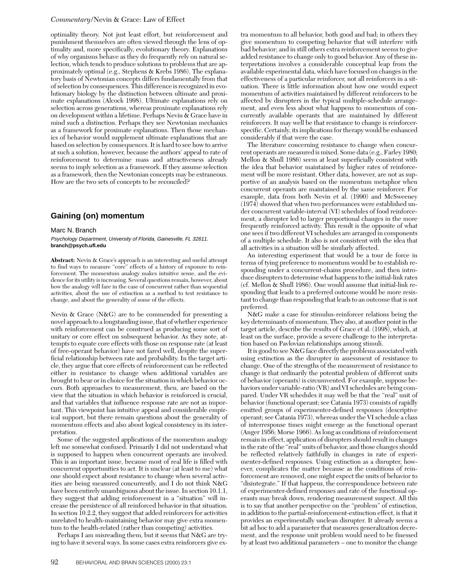## *Commentary/*Nevin & Grace: Law of Effect

optimality theory. Not just least effort, but reinforcement and punishment themselves are often viewed through the lens of optimality and, more specifically, evolutionary theory. Explanations of why organisms behave as they do frequently rely on natural selection, which tends to produce solutions to problems that are approximately optimal (e.g., Stephens & Krebs 1986). The explanatory basis of Newtonian concepts differs fundamentally from that of selection by consequences. This difference is recognized in evolutionary biology by the distinction between ultimate and proximate explanations (Alcock 1998). Ultimate explanations rely on selection across generations, whereas proximate explanations rely on development within a lifetime. Perhaps Nevin & Grace have in mind such a distinction. Perhaps they see Newtonian mechanics as a framework for proximate explanations. Then those mechanics of behavior would supplement ultimate explanations that are based on selection by consequences. It is hard to see how to arrive at such a solution, however, because the authors' appeal to rate of reinforcement to determine mass and attractiveness already seems to imply selection as a framework. If they assume selection as a framework, then the Newtonian concepts may be extraneous. How are the two sets of concepts to be reconciled?

## **Gaining (on) momentum**

Marc N. Branch

Psychology Department, University of Florida, Gainesville, FL 32611. **branch@psych.ufl.edu**

**Abstract:** Nevin & Grace's approach is an interesting and useful attempt to find ways to measure "core" effects of a history of exposure to reinforcement. The momentum analogy makes intuitive sense, and the evidence for its utility is increasing. Several questions remain, however, about how the analogy will fare in the case of concurrent rather than sequential activities, about the use of extinction as a method to test resistance to change, and about the generality of some of the effects.

Nevin & Grace (N&G) are to be commended for presenting a novel approach to a longstanding issue, that of whether experience with reinforcement can be construed as producing some sort of unitary or core effect on subsequent behavior. As they note, attempts to equate core effects with those on response rate (at least of free-operant behavior) have not fared well, despite the superficial relationship between rate and probability. In the target article, they argue that core effects of reinforcement can be reflected either in resistance to change when additional variables are brought to bear or in choice for the situation in which behavior occurs. Both approaches to measurement, then, are based on the view that the situation in which behavior is reinforced is crucial, and that variables that influence response rate are not as important. This viewpoint has intuitive appeal and considerable empirical support, but there remain questions about the generality of momentum effects and also about logical consistency in its interpretation.

Some of the suggested applications of the momentum analogy left me somewhat confused. Primarily I did not understand what is supposed to happen when concurrent operants are involved. This is an important issue, because most of real life is filled with concurrent opportunities to act. It is unclear (at least to me) what one should expect about resistance to change when several activities are being measured concurrently, and I do not think N&G have been entirely unambiguous about the issue. In section 10.1.1, they suggest that adding reinforcement in a "situation" will increase the persistence of all reinforced behavior in that situation. In section 10.2.2, they suggest that added reinforcers for activities unrelated to health-maintaining behavior may give extra momentum to the health-related (rather than competing) activities.

Perhaps I am misreading them, but it seems that N&G are trying to have it several ways. In some cases extra reinforcers give extra momentum to all behavior, both good and bad; in others they give momentum to competing behavior that will interfere with bad behavior; and in still others extra reinforcement seems to give added resistance to change only to good behavior. Any of these interpretations involves a considerable conceptual leap from the available experimental data, which have focused on changes in the effectiveness of a particular reinforcer, not all reinforcers in a situation. There is little information about how one would expect momentum of activities maintained by different reinforcers to be affected by disrupters in the typical multiple-schedule arrangement, and even less about what happens to momentum of concurrently available operants that are maintained by different reinforcers. It may well be that resistance to change is reinforcerspecific. Certainly, its implications for therapy would be enhanced considerably if that were the case.

The literature concerning resistance to change when concurrent operants are measured is mixed. Some data (e.g., Farley 1980; Mellon & Shull 1986) seem at least superficially consistent with the idea that behavior maintained by higher rates of reinforcement will be more resistant. Other data, however, are not as supportive of an analysis based on the momentum metaphor when concurrent operants are maintained by the same reinforcer. For example, data from both Nevin et al. (1990) and McSweeney (1974) showed that when two performances were established under concurrent variable-interval (VI) schedules of food reinforcement, a disrupter led to larger proportional changes in the more frequently reinforced activity. This result is the opposite of what one sees if two different VI schedules are arranged in components of a multiple schedule. It also is not consistent with the idea that all activities in a situation will be similarly affected.

An interesting experiment that would be a tour de force in terms of tying preference to momentum would be to establish responding under a concurrent-chains procedure, and then introduce disrupters to determine what happens to the initial-link rates (cf. Mellon & Shull 1986). One would assume that initial-link responding that leads to a preferred outcome would be more resistant to change than responding that leads to an outcome that is not preferred.

N&G make a case for stimulus-reinforcer relations being the key determinants of momentum. They also, at another point in the target article, describe the results of Grace et al. (1998), which, at least on the surface, provide a severe challenge to the interpretation based on Pavlovian relationships among stimuli.

It is good to see N&G face directly the problems associated with using extinction as the disrupter in assessment of resistance to change. One of the strengths of the measurement of resistance to change is that ordinarily the potential problem of different units of behavior (operants) is circumvented. For example, suppose behaviors under variable-ratio (VR) and VI schedules are being compared. Under VR schedules it may well be that the "real" unit of behavior (functional operant; see Catania 1973) consists of rapidly emitted groups of experimenter-defined responses (descriptive operant; see Catania 1973), whereas under the VI schedule a class of interresponse times might emerge as the functional operant (Anger 1956; Morse 1966). As long as conditions of reinforcement remain in effect, application of disrupters should result in changes in the rate of the "real" units of behavior, and those changes should be reflected relatively faithfully in changes in rate of experimenter-defined responses. Using extinction as a disrupter, however, complicates the matter because as the conditions of reinforcement are removed, one might expect the units of behavior to "disintegrate." If that happens, the correspondence between rate of experimenter-defined responses and rate of the functional operants may break down, rendering measurement suspect. All this is to say that another perspective on the "problem" of extinction, in addition to the partial-reinforcement-extinction effect, is that it provides an experimentally unclean disrupter. It already seems a bit ad hoc to add a parameter that measures generalization decrement, and the response unit problem would need to be finessed by at least two additional parameters – one to monitor the change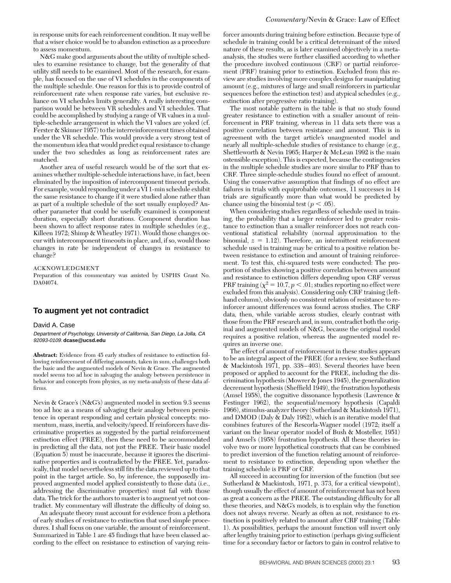in response units for each reinforcement condition. It may well be that a wiser choice would be to abandon extinction as a procedure to assess momentum.

N&G make good arguments about the utility of multiple schedules to examine resistance to change, but the generality of that utility still needs to be examined. Most of the research, for example, has focused on the use of VI schedules in the components of the multiple schedule. One reason for this is to provide control of reinforcement rate when response rate varies, but exclusive reliance on VI schedules limits generality. A really interesting comparison would be between VR schedules and VI schedules. That could be accomplished by studying a range of VR values in a multiple-schedule arrangement in which the VI values are yoked (cf. Ferster & Skinner 1957) to the interreinforcement times obtained under the VR schedule. This would provide a very strong test of the momentum idea that would predict equal resistance to change under the two schedules as long as reinforcement rates are matched.

Another area of useful research would be of the sort that examines whether multiple-schedule interactions have, in fact, been eliminated by the imposition of intercomponent timeout periods. For example, would responding under a VI 1-min schedule exhibit the same resistance to change if it were studied alone rather than as part of a multiple schedule of the sort usually employed? Another parameter that could be usefully examined is component duration, especially short durations. Component duration has been shown to affect response rates in multiple schedules (e.g., Killeen 1972; Shimp & Wheatley 1971). Would those changes occur with intercomponent timeouts in place, and, if so, would those changes in rate be independent of changes in resistance to change?

#### ACKNOWLEDGMENT

Preparation of this commentary was assisted by USPHS Grant No. DA04074.

## **To augment yet not contradict**

#### David A. Case

Department of Psychology, University of California, San Diego, La Jolla, CA 92093-0109. **dcase@ucsd.edu**

**Abstract:** Evidence from 45 early studies of resistance to extinction following reinforcement of differing amounts, taken in sum, challenges both the basic and the augmented models of Nevin & Grace. The augmented model seems too ad hoc in salvaging the analogy between persistence in behavior and concepts from physics, as my meta-analysis of these data affirms.

Nevin & Grace's (N&G's) augmented model in section 9.3 seems too ad hoc as a means of salvaging their analogy between persistence in operant responding and certain physical concepts: momentum, mass, inertia, and velocity/speed. If reinforcers have discriminative properties as suggested by the partial reinforcement extinction effect (PREE), then these need to be accommodated in predicting all the data, not just the PREE. Their basic model (Equation 5) must be inaccurate, because it ignores the discriminative properties and is contradicted by the PREE. Yet, paradoxically, that model nevertheless still fits the data reviewed up to that point in the target article. So, by inference, the supposedly improved augmented model applied consistently to those data (i.e., addressing the discriminative properties) must fail with those data. The trick for the authors to master is to augment yet not contradict. My commentary will illustrate the difficulty of doing so.

An adequate theory must account for evidence from a plethora of early studies of resistance to extinction that used simple procedures. I shall focus on one variable, the amount of reinforcement. Summarized in Table 1 are 45 findings that have been classed according to the effect on resistance to extinction of varying rein-

forcer amounts during training before extinction. Because type of schedule in training could be a critical determinant of the mixed nature of these results, as is later examined objectively in a metaanalysis, the studies were further classified according to whether the procedure involved continuous (CRF) or partial reinforcement (PRF) training prior to extinction. Excluded from this review are studies involving more complex designs for manipulating amount (e.g., mixtures of large and small reinforcers in particular sequences before the extinction test) and atypical schedules (e.g., extinction after progressive ratio training).

The most notable pattern in the table is that no study found greater resistance to extinction with a smaller amount of reinforcement in PRF training, whereas in 11 data sets there was a positive correlation between resistance and amount. This is in agreement with the target article's unaugmented model and nearly all multiple-schedule studies of resistance to change (e.g., Shettleworth & Nevin 1965; Harper & McLean 1992 is the main ostensible exception). This is expected, because the contingencies in the multiple schedule studies are more similar to PRF than to CRF. Three simple-schedule studies found no effect of amount. Using the conservative assumption that findings of no effect are failures in trials with equiprobable outcomes, 11 successes in 14 trials are significantly more than what would be predicted by chance using the binomial test ( $p < .05$ ).

When considering studies regardless of schedule used in training, the probability that a larger reinforcer led to greater resistance to extinction than a smaller reinforcer does not reach conventional statistical reliability (normal approximation to the binomial,  $z = 1.12$ ). Therefore, an intermittent reinforcement schedule used in training may be critical to a positive relation between resistance to extinction and amount of training reinforcement. To test this, chi-squared tests were conducted: The proportion of studies showing a positive correlation between amount and resistance to extinction differs depending upon CRF versus PRF training  $(\chi^2 = 10.7, p < .01;$  studies reporting no effect were excluded from this analysis). Considering only CRF training (lefthand column), obviously no consistent relation of resistance to reinforcer amount differences was found across studies. The CRF data, then, while variable across studies, clearly contrast with those from the PRF research and, in sum, contradict both the original and augmented models of N&G, because the original model requires a positive relation, whereas the augmented model requires an inverse one.

The effect of amount of reinforcement in these studies appears to be an integral aspect of the PREE (for a review, see Sutherland & Mackintosh 1971, pp. 338–403). Several theories have been proposed or applied to account for the PREE, including the discrimination hypothesis (Mowrer & Jones 1945), the generalization decrement hypothesis (Sheffield 1949), the frustration hypothesis (Amsel 1958), the cognitive dissonance hypothesis (Lawrence & Festinger 1962), the sequential/memory hypothesis (Capaldi 1966), stimulus-analyzer theory (Sutherland & Mackintosh 1971), and DMOD (Daly & Daly 1982), which is an iterative model that combines features of the Rescorla-Wagner model (1972; itself a variant on the linear operator model of Bush & Mosteller, 1951) and Amsel's (1958) frustration hypothesis. All these theories involve two or more hypothetical constructs that can be combined to predict inversion of the function relating amount of reinforcement to resistance to extinction, depending upon whether the training schedule is PRF or CRF.

All succeed in accounting for inversion of the function (but see Sutherland & Mackintosh, 1971, p. 373, for a critical viewpoint), though usually the effect of amount of reinforcement has not been as great a concern as the PREE. The outstanding difficulty for all these theories, and N&G's models, is to explain why the function does not always reverse. Nearly as often as not, resistance to extinction is positively related to amount after CRF training (Table 1). As possibilities, perhaps the amount function will invert only after lengthy training prior to extinction (perhaps giving sufficient time for a secondary factor or factors to gain in control relative to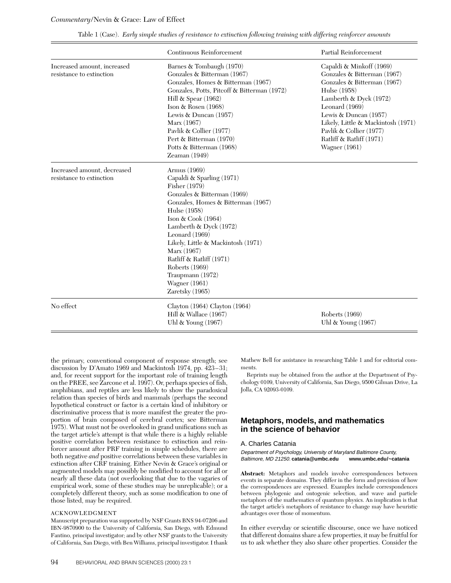|                             | Continuous Reinforcement                    | Partial Reinforcement              |
|-----------------------------|---------------------------------------------|------------------------------------|
| Increased amount, increased | Barnes & Tombaugh (1970)                    | Capaldi & Minkoff (1969)           |
| resistance to extinction    | Gonzales & Bitterman (1967)                 | Gonzales & Bitterman (1967)        |
|                             | Gonzales, Homes & Bitterman (1967)          | Gonzales & Bitterman (1967)        |
|                             | Gonzales, Potts, Pitcoff & Bitterman (1972) | Hulse (1958)                       |
|                             | Hill & Spear $(1962)$                       | Lamberth & Dyck (1972)             |
|                             | Ison & Rosen (1968)                         | Leonard $(1969)$                   |
|                             | Lewis & Duncan $(1957)$                     | Lewis & Duncan $(1957)$            |
|                             | Marx (1967)                                 | Likely, Little & Mackintosh (1971) |
|                             | Pavlik & Collier (1977)                     | Pavlik & Collier (1977)            |
|                             | Pert & Bitterman (1970)                     | Ratliff & Ratliff (1971)           |
|                             | Potts & Bitterman (1968)                    | Wagner (1961)                      |
|                             | Zeaman $(1949)$                             |                                    |
| Increased amount, decreased | Armus (1969)                                |                                    |
| resistance to extinction    | Capaldi & Sparling (1971)                   |                                    |
|                             | Fisher (1979)                               |                                    |
|                             | Gonzales & Bitterman (1969)                 |                                    |
|                             | Gonzales, Homes & Bitterman (1967)          |                                    |
|                             | Hulse (1958)                                |                                    |
|                             | Ison & Cook $(1964)$                        |                                    |
|                             | Lamberth & Dyck (1972)                      |                                    |
|                             | Leonard (1969)                              |                                    |
|                             | Likely, Little & Mackintosh (1971)          |                                    |
|                             | Marx (1967)                                 |                                    |
|                             | Ratliff & Ratliff (1971)                    |                                    |
|                             | Roberts (1969)                              |                                    |
|                             | Traupmann (1972)                            |                                    |
|                             | Wagner (1961)                               |                                    |
|                             | Zaretsky (1965)                             |                                    |
| No effect                   | Clayton (1964) Clayton (1964)               |                                    |
|                             | Hill & Wallace (1967)                       | Roberts (1969)                     |

Table 1 (Case). *Early simple studies of resistance to extinction following training with differing reinforcer amounts*

the primary, conventional component of response strength; see discussion by D'Amato 1969 and Mackintosh 1974, pp. 423–31; and, for recent support for the important role of training length on the PREE, see Zarcone et al. 1997). Or, perhaps species of fish, amphibians, and reptiles are less likely to show the paradoxical relation than species of birds and mammals (perhaps the second hypothetical construct or factor is a certain kind of inhibitory or discriminative process that is more manifest the greater the proportion of brain composed of cerebral cortex; see Bitterman 1975). What must not be overlooked in grand unifications such as the target article's attempt is that while there is a highly reliable positive correlation between resistance to extinction and reinforcer amount after PRF training in simple schedules, there are both negative *and* positive correlations between these variables in extinction after CRF training. Either Nevin & Grace's original or augmented models may possibly be modified to account for all or nearly all these data (not overlooking that due to the vagaries of empirical work, some of these studies may be unreplicable); or a completely different theory, such as some modification to one of those listed, may be required.

#### ACKNOWLEDGMENT

Manuscript preparation was supported by NSF Grants BNS 94-07206 and IBN-9870900 to the University of California, San Diego, with Edmund Fantino, principal investigator; and by other NSF grants to the University of California, San Diego, with Ben Williams, principal investigator. I thank Mathew Bell for assistance in researching Table 1 and for editorial comments.

Reprints may be obtained from the author at the Department of Psychology 0109, University of California, San Diego, 9500 Gilman Drive, La Jolla, CA 92093-0109.

## **Metaphors, models, and mathematics in the science of behavior**

#### A. Charles Catania

Uhl & Young (1967) Uhl & Young (1967)

Department of Psychology, University of Maryland Baltimore County, Baltimore, MD 21250. **catania@umbc.edu www.umbc.edu/~catania**

**Abstract:** Metaphors and models involve correspondences between events in separate domains. They differ in the form and precision of how the correspondences are expressed. Examples include correspondences between phylogenic and ontogenic selection, and wave and particle metaphors of the mathematics of quantum physics. An implication is that the target article's metaphors of resistance to change may have heuristic advantages over those of momentum.

In either everyday or scientific discourse, once we have noticed that different domains share a few properties, it may be fruitful for us to ask whether they also share other properties. Consider the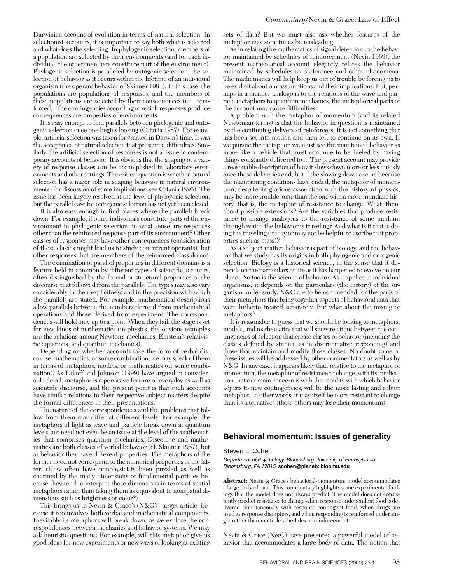Darwinian account of evolution in terms of natural selection. In selectionist accounts, it is important to say both what is selected and what does the selecting. In phylogenic selection, members of a population are selected by their environments (and for each individual, the other members constitute part of the environment). Phylogenic selection is paralleled by ontogenic selection, the selection of behavior as it occurs within the lifetime of an individual organism (the operant behavior of Skinner 1981). In this case, the populations are populations of responses, and the members of these populations are selected by their consequences (i.e., reinforced). The contingencies according to which responses produce consequences are properties of environments.

It is easy enough to find parallels between phylogenic and ontogenic selection once one begins looking (Catania 1987). For example, artificial selection was taken for granted in Darwin's time. It was the acceptance of natural selection that presented difficulties. Similarly, the artificial selection of responses is not at issue in contemporary accounts of behavior. It is obvious that the shaping of a variety of response classes can be accomplished in laboratory environments and other settings. The critical question is whether natural selection has a major role in shaping behavior in natural environments (for discussion of some implications, see Catania 1995). The issue has been largely resolved at the level of phylogenic selection, but the parallel case for ontogenic selection has not yet been closed.

It is also easy enough to find places where the parallels break down. For example, if other individuals constitute parts of the environment in phylogenic selection, in what sense are responses other than the reinforced response part of its environment? Other classes of responses may have other consequences (consideration of these classes might lead us to study concurrent operants), but other responses that are members of the reinforced class do not.

The examination of parallel properties in different domains is a feature held in common by different types of scientific accounts, often distinguished by the formal or structural properties of the discourse that followed from the parallels. The types may also vary considerably in their explicitness and in the precision with which the parallels are stated. For example, mathematical descriptions allow parallels between the numbers derived from mathematical operations and those derived from experiment. The correspondences will hold only up to a point. When they fail, the stage is set for new kinds of mathematics (in physics, the obvious examples are the relations among Newton's mechanics, Einstein's relativistic equations, and quantum mechanics).

Depending on whether accounts take the form of verbal discourse, mathematics, or some combination, we may speak of them in terms of metaphors, models, or mathematics (or some combination). As Lakoff and Johnson (1999) have argued in considerable detail, metaphor is a pervasive feature of everyday as well as scientific discourse, and the present point is that such accounts have similar relations to their respective subject matters despite the formal differences in their presentations.

The nature of the correspondences and the problems that follow from them may differ at different levels. For example, the metaphors of light as wave and particle break down at quantum levels but need not even be an issue at the level of the mathematics that comprises quantum mechanics. Discourse and mathematics are both classes of verbal behavior (cf. Skinner 1957), but as behavior they have different properties. The metaphors of the former need not correspond to the numerical properties of the latter. (How often have nonphysicists been puzzled as well as charmed by the many dimensions of fundamental particles because they tend to interpret those dimensions in terms of spatial metaphors rather than taking them as equivalent to nonspatial dimensions such as brightness or color?)

This brings us to Nevin & Grace's (N&G's) target article, because it too involves both verbal and mathematical components. Inevitably its metaphors will break down, as we explore the correspondences between mechanics and behavior systems. We may ask heuristic questions: For example, will this metaphor give us good ideas for new experiments or new ways of looking at existing

sets of data? But we must also ask whether features of the metaphor may sometimes be misleading.

As in relating the mathematics of signal detection to the behavior maintained by schedules of reinforcement (Nevin 1969), the present mathematical account elegantly relates the behavior maintained by schedules to preference and other phenomena. The mathematics will help keep us out of trouble by forcing us to be explicit about our assumptions and their implications. But, perhaps in a manner analogous to the relations of the wave and particle metaphors to quantum mechanics, the metaphorical parts of the account may cause difficulties.

A problem with the metaphor of momentum (and its related Newtonian terms) is that the behavior in question is maintained by the continuing delivery of reinforcers. It is not something that has been set into motion and then left to continue on its own. If we pursue the metaphor, we must see the maintained behavior as more like a vehicle that must continue to be fueled by having things constantly delivered to it. The present account may provide a reasonable description of how it slows down more or less quickly once those deliveries end, but if the slowing down occurs because the maintaining conditions have ended, the metaphor of momentum, despite its glorious association with the history of physics, may be more troublesome than the one with a more mundane history, that is, the metaphor of resistance to change. What, then, about possible extensions? Are the variables that produce resistance to change analogous to the resistance of some medium through which the behavior is traveling? And what is it that is doing the traveling (it may or may not be helpful to ascribe to it properties such as mass)?

As a subject matter, behavior is part of biology, and the behavior that we study has its origins in both phylogenic and ontogenic selection. Biology is a historical science, in the sense that it depends on the particulars of life as it has happened to evolve on our planet. So too is the science of behavior. As it applies to individual organisms, it depends on the particulars (the history) of the organism under study. N&G are to be commended for the parts of their metaphors that bring together aspects of behavioral data that were hitherto treated separately. But what about the mixing of metaphors?

It is reasonable to guess that we should be looking to metaphors, models, and mathematics that will show relations between the contingencies of selection that create classes of behavior (including the classes defined by stimuli, as in discriminative responding) and those that maintain and modify those classes. No doubt some of these issues will be addressed by other commentators as well as by N&G. In any case, it appears likely that, relative to the metaphor of momentum, the metaphor of resistance to change, with its implication that our main concern is with the rapidity with which behavior adjusts to new contingencies, will be the more lasting and robust metaphor. In other words, it may itself be more resistant to change than its alternatives (those others may lose their momentum).

## **Behavioral momentum: Issues of generality**

#### Steven L. Cohen

Department of Psychology, Bloomsburg University of Pennsylvania, Bloomsburg, PA 17815. **scohen@planetx.bloomu.edu**

**Abstract:** Nevin & Grace's behavioral-momentum model accommodates a large body of data. This commentary highlights some experimental findings that the model does not always predict. The model does not consistently predict resistance to change when response-independent food is delivered simultaneously with response-contingent food, when drugs are used as response disrupters, and when responding is reinforced under single rather than multiple schedules of reinforcement.

Nevin & Grace (N&G) have presented a powerful model of behavior that accommodates a large body of data. The notion that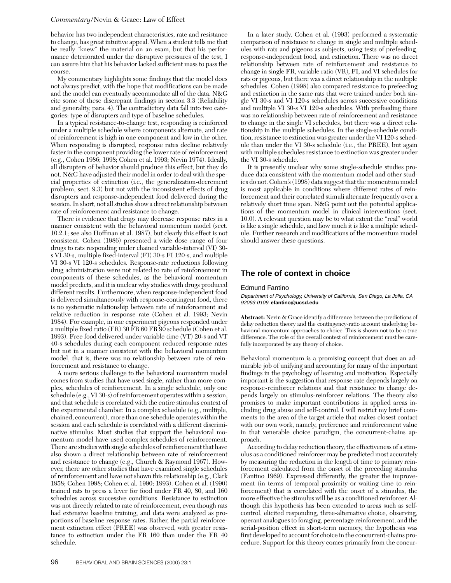## *Commentary/*Nevin & Grace: Law of Effect

behavior has two independent characteristics, rate and resistance to change, has great intuitive appeal. When a student tells me that he really "knew" the material on an exam, but that his performance deteriorated under the disruptive pressures of the test, I can assure him that his behavior lacked sufficient mass to pass the course.

My commentary highlights some findings that the model does not always predict, with the hope that modifications can be made and the model can eventually accommodate all of the data. N&G cite some of these discrepant findings in section 3.3 (Reliability and generality, para. 4). The contradictory data fall into two categories: type of disrupters and type of baseline schedules.

In a typical resistance-to-change test, responding is reinforced under a multiple schedule where components alternate, and rate of reinforcement is high in one component and low in the other. When responding is disrupted, response rates decline relatively faster in the component providing the lower rate of reinforcement (e.g., Cohen 1986; 1998; Cohen et al. 1993; Nevin 1974). Ideally, all disrupters of behavior should produce this effect, but they do not. N&G have adjusted their model in order to deal with the special properties of extinction (i.e., the generalization-decrement problem, sect. 9.3) but not with the inconsistent effects of drug disrupters and response-independent food delivered during the session. In short, not all studies show a direct relationship between rate of reinforcement and resistance to change.

There is evidence that drugs may decrease response rates in a manner consistent with the behavioral momentum model (sect. 10.2.1; see also Hoffman et al. 1987), but clearly this effect is not consistent. Cohen (1986) presented a wide dose range of four drugs to rats responding under chained variable-interval (VI) 30 s VI 30-s, multiple fixed-interval (FI) 30-s FI 120-s, and multiple VI 30-s VI 120-s schedules. Response-rate reductions following drug administration were not related to rate of reinforcement in components of these schedules, as the behavioral momentum model predicts, and it is unclear why studies with drugs produced different results. Furthermore, when response-independent food is delivered simultaneously with response-contingent food, there is no systematic relationship between rate of reinforcement and relative reduction in response rate (Cohen et al. 1993; Nevin 1984). For example, in one experiment pigeons responded under a multiple fixed ratio (FR) 30 FR 60 FR 90 schedule (Cohen et al. 1993). Free food delivered under variable time (VT) 20-s and VT 40-s schedules during each component reduced response rates but not in a manner consistent with the behavioral momentum model, that is, there was no relationship between rate of reinforcement and resistance to change.

A more serious challenge to the behavioral momentum model comes from studies that have used single, rather than more complex, schedules of reinforcement. In a single schedule, only one schedule (e.g., VI 30-s) of reinforcement operates within a session, and that schedule is correlated with the entire stimulus context of the experimental chamber. In a complex schedule (e.g., multiple, chained, concurrent), more than one schedule operates within the session and each schedule is correlated with a different discriminative stimulus. Most studies that support the behavioral momentum model have used complex schedules of reinforcement. There are studies with single schedules of reinforcement that have also shown a direct relationship between rate of reinforcement and resistance to change (e.g., Church & Raymond 1967). However, there are other studies that have examined single schedules of reinforcement and have not shown this relationship (e.g., Clark 1958; Cohen 1998; Cohen et al. 1990; 1993). Cohen et al. (1990) trained rats to press a lever for food under FR 40, 80, and 160 schedules across successive conditions. Resistance to extinction was not directly related to rate of reinforcement, even though rats had extensive baseline training, and data were analyzed as proportions of baseline response rates. Rather, the partial reinforcement extinction effect (PREE) was observed, with greater resistance to extinction under the FR 160 than under the FR 40 schedule.

In a later study, Cohen et al. (1993) performed a systematic comparison of resistance to change in single and multiple schedules with rats and pigeons as subjects, using tests of prefeeding, response-independent food, and extinction. There was no direct relationship between rate of reinforcement and resistance to change in single FR, variable ratio (VR), FI, and VI schedules for rats or pigeons, but there was a direct relationship in the multiple schedules. Cohen (1998) also compared resistance to prefeeding and extinction in the same rats that were trained under both single VI 30-s and VI 120-s schedules across successive conditions and multiple VI 30-s VI 120-s schedules. With prefeeding there was no relationship between rate of reinforcement and resistance to change in the single VI schedules, but there was a direct relationship in the multiple schedules. In the single-schedule condition, resistance to extinction was greater under the VI 120-s schedule than under the VI 30-s schedule (i.e., the PREE), but again with multiple schedules resistance to extinction was greater under the VI 30-s schedule.

It is presently unclear why some single-schedule studies produce data consistent with the momentum model and other studies do not. Cohen's (1998) data suggest that the momentum model is most applicable in conditions where different rates of reinforcement and their correlated stimuli alternate frequently over a relatively short time span. N&G point out the potential applications of the momentum model in clinical interventions (sect. 10.0). A relevant question may be to what extent the "real" world is like a single schedule, and how much it is like a multiple schedule. Further research and modifications of the momentum model should answer these questions.

## **The role of context in choice**

#### Edmund Fantino

Department of Psychology, University of California, San Diego, La Jolla, CA 92093-0109. **efantino@ucsd.edu**

**Abstract:** Nevin & Grace identify a difference between the predictions of delay reduction theory and the contingency-ratio account underlying behavioral momentum approaches to choice. This is shown not to be a true difference. The role of the overall context of reinforcement must be carefully incorporated by any theory of choice.

Behavioral momentum is a promising concept that does an admirable job of unifying and accounting for many of the important findings in the psychology of learning and motivation. Especially important is the suggestion that response rate depends largely on response-reinforcer relations and that resistance to change depends largely on stimulus-reinforcer relations. The theory also promises to make important contributions in applied areas including drug abuse and self-control. I will restrict my brief comments to the area of the target article that makes closest contact with our own work, namely, preference and reinforcement value in that venerable choice paradigm, the concurrent-chains approach.

According to delay reduction theory, the effectiveness of a stimulus as a conditioned reinforcer may be predicted most accurately by measuring the reduction in the length of time to primary reinforcement calculated from the onset of the preceding stimulus (Fantino 1969). Expressed differently, the greater the improvement (in terms of temporal proximity or waiting time to reinforcement) that is correlated with the onset of a stimulus, the more effective the stimulus will be as a conditioned reinforcer. Although this hypothesis has been extended to areas such as selfcontrol, elicited responding, three-alternative choice, observing, operant analogues to foraging, percentage reinforcement, and the serial-position effect in short-term memory, the hypothesis was first developed to account for choice in the concurrent-chains procedure. Support for this theory comes primarily from the concur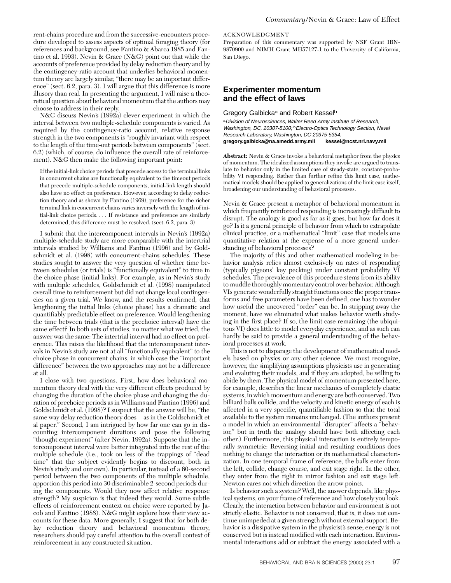rent-chains procedure and from the successive-encounters procedure developed to assess aspects of optimal foraging theory (for references and background, see Fantino & Abarca 1985 and Fantino et al. 1993). Nevin & Grace (N&G) point out that while the accounts of preference provided by delay reduction theory and by the contingency-ratio account that underlies behavioral momentum theory are largely similar, "there may be an important difference" (sect. 6.2, para. 3). I will argue that this difference is more illusory than real. In presenting the argument, I will raise a theoretical question about behavioral momentum that the authors may choose to address in their reply.

N&G discuss Nevin's (1992a) clever experiment in which the interval between two multiple-schedule components is varied. As required by the contingency-ratio account, relative response strength in the two components is "roughly invariant with respect to the length of the time-out periods between components" (sect. 6.2) (which, of course, do influence the overall rate of reinforcement). N&G then make the following important point:

If the initial-link choice periods that precede access to the terminal links in concurrent chains are functionally equivalent to the timeout periods that precede multiple-schedule components, initial-link length should also have no effect on preference. However, according to delay reduction theory and as shown by Fantino (1969), preference for the richer terminal link in concurrent chains varies inversely with the length of initial-link choice periods. . . . If resistance and preference are similarly determined, this difference must be resolved. (sect. 6.2, para. 3)

I submit that the intercomponent intervals in Nevin's (1992a) multiple-schedule study are more comparable with the intertrial intervals studied by Williams and Fantino (1996) and by Goldschmidt et al. (1998) with concurrent-chains schedules. These studies sought to answer the very question of whether time between schedules (or trials) is "functionally equivalent" to time in the choice phase (initial links). For example, as in Nevin's study with multiple schedules, Goldschmidt et al. (1998) manipulated overall time to reinforcement but did not change local contingencies on a given trial. We know, and the results confirmed, that lengthening the initial links (choice phase) has a dramatic and quantifiably predictable effect on preference. Would lengthening the time between trials (that is the prechoice interval) have the same effect? In both sets of studies, no matter what we tried, the answer was the same: The intertrial interval had no effect on preference. This raises the likelihood that the intercomponent intervals in Nevin's study are not at all "functionally equivalent" to the choice phase in concurrent chains, in which case the "important difference" between the two approaches may not be a difference at all.

I close with two questions. First, how does behavioral momentum theory deal with the very different effects produced by changing the duration of the choice phase and changing the duration of prechoice periods as in Williams and Fantino (1996) and Goldschmidt et al. (1998)? I suspect that the answer will be, "the same way delay reduction theory does – as in the Goldschmidt et al paper." Second, I am intrigued by how far one can go in discounting intercomponent durations and pose the following "thought experiment" (after Nevin, 1992a). Suppose that the intercomponent interval were better integrated into the rest of the multiple schedule (i.e., took on less of the trappings of "dead time" that the subject evidently begins to discount, both in Nevin's study and our own). In particular, instead of a 60-second period between the two components of the multiple schedule, apportion this period into 30 discriminable 2-second periods during the components. Would they now affect relative response strength? My suspicion is that indeed they would. Some subtle effects of reinforcement context on choice were reported by Jacob and Fantino (1988). N&G might explore how their view accounts for these data. More generally, I suggest that for both delay reduction theory and behavioral momentum theory, researchers should pay careful attention to the overall context of reinforcement in any constructed situation.

#### ACKNOWLEDGMENT

Preparation of this commentary was supported by NSF Grant IBN-9870900 and NIMH Grant MH57127-1 to the University of California, San Diego.

## **Experimenter momentum and the effect of laws**

Gregory Galbicka<sup>a</sup> and Robert Kessel<sup>b</sup>

aDivision of Neurosciences, Walter Reed Army Institute of Research, Washington, DC, 20307-5100; bElectro-Optics Technology Section, Naval Research Laboratory, Washington, DC 20375-5354. **gregory.galbicka@na.amedd.army.mil kessel@ncst.nrl.navy.mil**

**Abstract:** Nevin & Grace invoke a behavioral metaphor from the physics of momentum. The idealized assumptions they invoke are argued to translate to behavior only in the limited case of steady-state, constant-probability VI responding. Rather than further refine this limit case, mathematical models should be applied to generalizations of the limit case itself, broadening our understanding of behavioral processes.

Nevin & Grace present a metaphor of behavioral momentum in which frequently reinforced responding is increasingly difficult to disrupt. The analogy is good as far as it goes, but how far does it go? Is it a general principle of behavior from which to extrapolate clinical practice, or a mathematical "limit" case that models one quantitative relation at the expense of a more general understanding of behavioral processes?

The majority of this and other mathematical modeling in behavior analysis relies almost exclusively on rates of responding (typically pigeons' key pecking) under constant probability VI schedules. The prevalence of this procedure stems from its ability to muddle thoroughly momentary control over behavior. Although VIs generate wonderfully straight functions once the proper transforms and free parameters have been defined, one has to wonder how useful the uncovered "order" can be. In stripping away the moment, have we eliminated what makes behavior worth studying in the first place? If so, the limit case remaining (the ubiquitous VI) does little to model everyday experience, and as such can hardly be said to provide a general understanding of the behavioral processes at work.

This is not to disparage the development of mathematical models based on physics or any other science. We must recognize, however, the simplifying assumptions physicists use in generating and evaluting their models, and if they are adopted, be willing to abide by them. The physical model of momentum presented here, for example, describes the linear mechanics of completely elastic systems, in which momentum and energy are both conserved. Two billiard balls collide, and the velocity and kinetic energy of each is affected in a very specific, quantifiable fashion so that the total available to the system remains unchanged. (The authors present a model in which an environmental "disrupter" affects a "behavior," but in truth the analogy should have both affecting each other.) Furthermore, this physical interaction is entirely temporally symmetric: Reversing initial and resulting conditions does nothing to change the interaction or its mathematical characterization. In one temporal frame of reference, the balls enter from the left, collide, change course, and exit stage right. In the other, they enter from the right in mirror fashion and exit stage left. Newton cares not which direction the arrow points.

Is behavior such a system? Well, the answer depends, like physical systems, on your frame of reference and how closely you look. Clearly, the interaction between behavior and environment is not strictly elastic. Behavior is not conserved, that is, it does not continue unimpeded at a given strength without external support. Behavior is a dissipative system in the physicist's sense; energy is not conserved but is instead modified with each interaction. Environmental interactions add or subtract the energy associated with a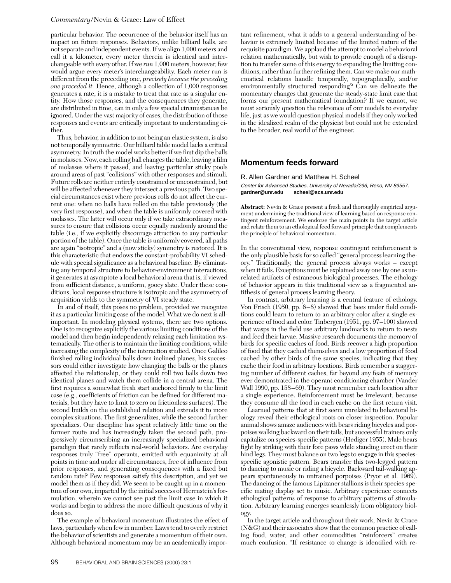## *Commentary/*Nevin & Grace: Law of Effect

particular behavior. The occurrence of the behavior itself has an impact on future responses. Behaviors, unlike billiard balls, are not separate and independent events. If we align 1,000 meters and call it a kilometer, every meter therein is identical and interchangeable with every other. If we *run* 1,000 meters, however, few would argue every meter's interchangeability. Each meter run is different from the preceding one, *precisely because the preceding one preceded it.* Hence, although a collection of 1,000 responses generates a rate, it is a mistake to treat that rate as a singular entity. How those responses, and the consequences they generate, are distributed in time, can in only a few special circumstances be ignored. Under the vast majority of cases, the distribution of those responses and events are critically important to understanding either.

Thus, behavior, in addition to not being an elastic system, is also not temporally symmetric. Our billiard table model lacks a critical asymmetry. In truth the model works better if we first dip the balls in molasses. Now, each rolling ball changes the table, leaving a film of molasses where it passed, and leaving particular sticky pools around areas of past "collisions" with other responses and stimuli. Future rolls are neither entirely constrained or unconstrained, but will be affected whenever they intersect a previous path. Two special circumstances exist where previous rolls do not affect the current one: when no balls have rolled on the table previously (the very first response), and when the table is uniformly covered with molasses. The latter will occur only if we take extraordinary measures to ensure that collisions occur equally randomly around the table (i.e., if we explicitly discourage attraction to any particular portion of the table). Once the table is uniformly covered, all paths are again "isotropic" and a (now sticky) symmetry is restored. It is this characteristic that endows the constant-probability VI schedule with special significance as a behavioral baseline. By eliminating any temporal structure to behavior-environment interactions, it generates at asymptote a local behavioral arena that is, if viewed from sufficient distance, a uniform, gooey slate. Under these conditions, local response structure is isotropic and the asymmetry of acquisition yields to the symmetry of VI steady state.

In and of itself, this poses no problem, provided we recognize it as a particular limiting case of the model. What we do next is allimportant. In modeling physical systems, there are two options. One is to recognize explicitly the various limiting conditions of the model and then begin independently relaxing each limitation systematically. The other is to maintain the limiting conditions, while increasing the complexity of the interaction studied. Once Galileo finished rolling individual balls down inclined planes, his successors could either investigate how changing the balls or the planes affected the relationship, or they could roll two balls down two identical planes and watch them collide in a central arena. The first requires a somewhat fresh start anchored firmly to the limit case (e.g., coefficients of friction can be defined for different materials, but they have to limit to zero on frictionless surfaces). The second builds on the established relation and extends it to more complex situations. The first generalizes, while the second further specializes. Our discipline has spent relatively little time on the former route and has increasingly taken the second path, progressively circumscribing an increasingly specialized behavioral paradigm that rarely reflects real-world behaviors. Are everyday responses truly "free" operants, emitted with equanimity at all points in time and under all circumstances, free of influence from prior responses, and generating consequences with a fixed but random rate? Few responses satisfy this description, and yet we model them as if they did. We seem to be caught up in a momentum of our own, imparted by the initial success of Herrnstein's formulation, wherein we cannot see past the limit case in which it works and begin to address the more difficult questions of why it does so.

The example of behavioral momentum illustrates the effect of laws, particularly when few in number. Laws tend to overly restrict the behavior of scientists and generate a momentum of their own. Although behavioral momentum may be an academically important refinement, what it adds to a general understanding of behavior is extremely limited because of the limited nature of the requisite paradigm. We applaud the attempt to model a behavioral relation mathematically, but wish to provide enough of a disruption to transfer some of this energy to expanding the limiting conditions, rather than further refining them. Can we make our mathematical relations handle temporally, topographically, and/or environmentally structured responding? Can we delineate the momentary changes that generate the steady-state limit case that forms our present mathematical foundation? If we cannot, we must seriously question the relevance of our models to everyday life, just as we would question physical models if they only worked in the idealized realm of the physicist but could not be extended to the broader, real world of the engineer.

## **Momentum feeds forward**

#### R. Allen Gardner and Matthew H. Scheel Center for Advanced Studies, University of Nevada/296, Reno, NV 89557. **gardner@unr.edu scheel@scs.unr.edu**

**Abstract:** Nevin & Grace present a fresh and thoroughly empirical argument undermining the traditional view of learning based on response contingent reinforcement. We endorse the main points in the target article and relate them to an ethological feed forward principle that complements the principle of behavioral momentum.

In the conventional view, response contingent reinforcement is the only plausible basis for so called "general process learning theory." Traditionally, the general process always works – except when it fails. Exceptions must be explained away one by one as unrelated artifacts of extraneous biological processes. The ethology of behavior appears in this traditional view as a fragmented antithesis of general process learning theory.

In contrast, arbitrary learning is a central feature of ethology. Von Frisch (1950, pp. 6–8) showed that bees under field conditions could learn to return to an arbitrary color after a single experience of food and color. Tinbergen (1951, pp. 97–100) showed that wasps in the field use arbitrary landmarks to return to nests and feed their larvae. Massive research documents the memory of birds for specific caches of food. Birds recover a high proportion of food that they cached themselves and a low proportion of food cached by other birds of the same species, indicating that they cache their food in arbitrary locations. Birds remember a staggering number of different caches, far beyond any feats of memory ever demonstrated in the operant conditioning chamber (Vander Wall 1990, pp. 158–69). They must remember each location after a single experience. Reinforcement must be irrelevant, because they consume all the food in each cache on the first return visit.

Learned patterns that at first seem unrelated to behavioral biology reveal their ethological roots on closer inspection. Popular animal shows amaze audiences with bears riding bicycles and porpoises walking backward on their tails, but successful trainers only capitalize on species-specific patterns (Hediger 1955). Male bears fight by striking with their fore paws while standing erect on their hind legs. They must balance on two legs to engage in this speciesspecific agonistic pattern. Bears transfer this two-legged pattern to dancing to music or riding a bicycle. Backward tail-walking appears spontaneously in untrained porpoises (Pryor et al. 1969). The dancing of the famous Lipizaner stallions is their species-specific mating display set to music. Arbitrary experience connects ethological patterns of response to arbitrary patterns of stimulation. Arbitrary learning emerges seamlessly from obligatory biology.

In the target article and throughout their work, Nevin & Grace (N&G) and their associates show that the common practice of calling food, water, and other commodities "reinforcers" creates much confusion. "If resistance to change is identified with re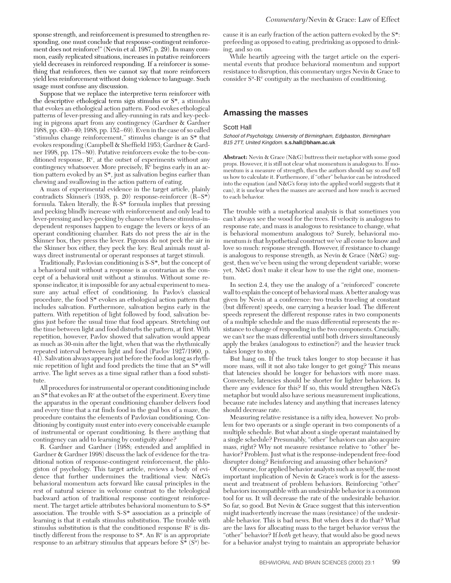sponse strength, and reinforcement is presumed to strengthen responding, one must conclude that response-contingent reinforcement does not reinforce!" (Nevin et al. 1987, p. 29). In many common, easily replicated situations, increases in putative reinforcers yield decreases in reinforced responding. If a reinforcer is something that reinforces, then we cannot say that more reinforcers yield less reinforcement without doing violence to language. Such usage must confuse any discussion.

Suppose that we replace the interpretive term reinforcer with the descriptive ethological term sign stimulus or S\*, a stimulus that evokes an ethological action pattern. Food evokes ethological patterns of lever-pressing and alley-running in rats and key-pecking in pigeons apart from any contingency (Gardner & Gardner 1988, pp. 430–40; 1988, pp. 152–69). Even in the case of so called "stimulus change reinforcement," stimulus change is an S\* that evokes responding (Campbell & Sheffield 1953; Gardner & Gardner 1998, pp. 178–80). Putative reinforcers evoke the to-be-conditioned response, R<sup>c</sup>, at the outset of experiments without any contingency whatsoever. More precisely,  $R<sup>c</sup>$  begins early in an action pattern evoked by an S\*, just as salivation begins earlier than chewing and swallowing in the action pattern of eating.

A mass of experimental evidence in the target article, plainly contradicts Skinner's (1938, p. 20) response-reinforcer (R–S\*) formula. Taken literally, the R-S\* formula implies that pressing and pecking blindly increase with reinforcement and only lead to lever-pressing and key-pecking by chance when these stimulus-independent responses happen to engage the levers or keys of an operant conditioning chamber. Rats do not press the air in the Skinner box, they press the lever. Pigeons do not peck the air in the Skinner box either, they peck the key. Real animals must always direct instrumental or operant responses at target stimuli.

Traditionally, Pavlovian conditioning is S-S\*, but the concept of a behavioral unit without a response is as contrarian as the concept of a behavioral unit without a stimulus. Without some response indicator, it is impossible for any actual experiment to measure any actual effect of conditioning. In Pavlov's classical procedure, the food S\* evokes an ethological action pattern that includes salivation. Furthermore, salivation begins early in the pattern. With repetition of light followed by food, salivation begins just before the usual time that food appears. Stretching out the time between light and food disturbs the pattern, at first. With repetition, however, Pavlov showed that salivation would appear as much as 30-min after the light, when that was the rhythmically repeated interval between light and food (Pavlov 1927/1960, p. 41). Salivation always appears just before the food as long as rhythmic repetition of light and food predicts the time that an S\* will arrive. The light serves as a time signal rather than a food substitute.

All procedures for instrumental or operant conditioning include an  $S^*$  that evokes an  $R^c$  at the outset of the experiment. Every time the apparatus in the operant conditioning chamber delivers food and every time that a rat finds food in the goal box of a maze, the procedure contains the elements of Pavlovian conditioning. Conditioning by contiguity must enter into every conceivable example of instrumental or operant conditioning. Is there anything that contingency can add to learning by contiguity alone?

R. Gardner and Gardner (1988; extended and amplified in Gardner & Gardner 1998) discuss the lack of evidence for the traditional notion of response-contingent reinforcement, the phlogiston of psychology. This target article, reviews a body of evidence that further undermines the traditional view. N&G's behavioral momentum acts forward like causal principles in the rest of natural science in welcome contrast to the teleological backward action of traditional response contingent reinforcement. The target article attributes behavioral momentum to S-S\* association. The trouble with S-S\* association as a principle of learning is that it entails stimulus substitution. The trouble with stimulus substitution is that the conditioned response  $\mathbb{R}^c$  is distinctly different from the response to  $S^*$ . An  $R^c$  is an appropriate response to an arbitrary stimulus that appears before  $\hat{S}^*$  ( $\hat{S}^a$ ) because it is an early fraction of the action pattern evoked by the S\*: prefeeding as opposed to eating, predrinking as opposed to drinking, and so on.

While heartily agreeing with the target article on the experimental events that produce behavioral momentum and support resistance to disruption, this commentary urges Nevin & Grace to consider S<sup>a</sup>-R<sup>c</sup> contiguity as the mechanism of conditioning.

## **Amassing the masses**

#### Scott Hall

#### School of Psychology, University of Birmingham, Edgbaston, Birmingham B15 2TT, United Kingdom. **s.s.hall@bham.ac.uk**

**Abstract:** Nevin & Grace (N&G) buttress their metaphor with some good props. However, it is still not clear what momentum is analogous to. If momentum is a measure of strength, then the authors should say so *and* tell us how to calculate it. Furthermore, if "other" behavior can be introduced into the equation (and N&G's foray into the applied world suggests that it can), it is unclear when the masses are accrued and how much is accrued to each behavior.

The trouble with a metaphorical analysis is that sometimes you can't always see the wood for the trees. If velocity is analogous to response rate, and mass is analogous to resistance to change, what is behavioral momentum analogous to? Surely, behavioral momentum *is* that hypothetical construct we've all come to know and love so much: response strength. However, if resistance to change is analogous to response strength, as Nevin & Grace (N&G) suggest, then we've been using the wrong dependent variable; worse yet, N&G don't make it clear how to use the right one, momentum.

In section 2.4, they use the analogy of a "reinforced" concrete wall to explain the concept of behavioral mass. A better analogy was given by Nevin at a conference: two trucks traveling at constant (but different) speeds, one carrying a heavier load. The different speeds represent the different response rates in two components of a multiple schedule and the mass differential represents the resistance to change of responding in the two components. Crucially, we can't *see* the mass differential until both drivers simultaneously apply the brakes (analogous to extinction?) and the heavier truck takes longer to stop.

But hang on. If the truck takes longer to stop because it has more mass, will it not also take longer to get going? This means that latencies should be longer for behaviors with more mass. Conversely, latencies should be shorter for lighter behaviors. Is there any evidence for this? If so, this would strengthen N&G's metaphor but would also have serious measurement implications, because rate includes latency and anything that increases latency should decrease rate.

Measuring relative resistance is a nifty idea, however. No problem for two operants or a single operant in two components of a multiple schedule. But what about a single operant maintained by a single schedule? Presumably, "other" behaviors can also acquire mass, right? Why not measure resistance relative to "other" behavior? Problem. Just what is the response-independent free-food disrupter doing? Reinforcing and amassing other behaviors?

Of course, for applied behavior analysts such as myself, the most important implication of Nevin & Grace's work is for the assessment and treatment of problem behaviors. Reinforcing "other" behaviors incompatible with an undesirable behavior is a common tool for us. It will decrease the rate of the undesirable behavior. So far, so good. But Nevin & Grace suggest that this intervention might inadvertently increase the mass (resistance) of the undesirable behavior. This is bad news. But when does it do that? What are the laws for allocating mass to the target behavior versus the "other" behavior? If *both* get heavy, that would also be good news for a behavior analyst trying to maintain an appropriate behavior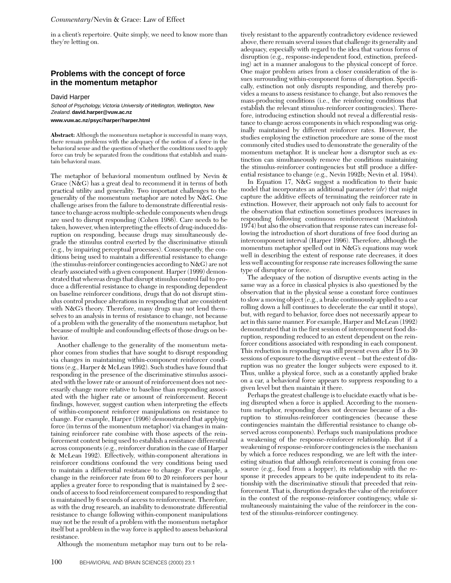#### *Commentary/*Nevin & Grace: Law of Effect

in a client's repertoire. Quite simply, we need to know more than they're letting on.

## **Problems with the concept of force in the momentum metaphor**

David Harper

School of Psychology, Victoria University of Wellington, Wellington, New Zealand. **david.harper@vuw.ac.nz www.vuw.ac.nz/psyc/harper/harper.html**

**Abstract:** Although the momentum metaphor is successful in many ways, there remain problems with the adequacy of the notion of a force in the behavioral sense and the question of whether the conditions used to apply force can truly be separated from the conditions that establish and maintain behavioral mass.

The metaphor of behavioral momentum outlined by Nevin & Grace (N&G) has a great deal to recommend it in terms of both practical utility and generality. Two important challenges to the generality of the momentum metaphor are noted by N&G. One challenge arises from the failure to demonstrate differential resistance to change across multiple-schedule components when drugs are used to disrupt responding (Cohen 1986). Care needs to be taken, however, when interpreting the effects of drug-induced disruption on responding, because drugs may simultaneously degrade the stimulus control exerted by the discriminative stimuli (e.g., by impairing perceptual processes). Consequently, the conditions being used to maintain a differential resistance to change (the stimulus-reinforcer contingencies according to N&G) are not clearly associated with a given component. Harper (1999) demonstrated that whereas drugs that disrupt stimulus control fail to produce a differential resistance to change in responding dependent on baseline reinforcer conditions, drugs that do not disrupt stimulus control produce alterations in responding that are consistent with N&G's theory. Therefore, many drugs may not lend themselves to an analysis in terms of resistance to change, not because of a problem with the generality of the momentum metaphor, but because of multiple and confounding effects of those drugs on behavior.

Another challenge to the generality of the momentum metaphor comes from studies that have sought to disrupt responding via changes in maintaining within-component reinforcer conditions (e.g., Harper & McLean 1992). Such studies have found that responding in the presence of the discriminative stimulus associated with the lower rate or amount of reinforcement does not necessarily change more relative to baseline than responding associated with the higher rate or amount of reinforcement. Recent findings, however, suggest caution when interpreting the effects of within-component reinforcer manipulations on resistance to change. For example, Harper (1996) demonstrated that applying force (in terms of the momentum metaphor) via changes in maintaining reinforcer rate combine with those aspects of the reinforcement context being used to establish a resistance differential across components (e.g., reinforcer duration in the case of Harper & McLean 1992). Effectively, within-component alterations in reinforcer conditions confound the very conditions being used to maintain a differential resistance to change. For example, a change in the reinforcer rate from 60 to 20 reinforcers per hour applies a greater force to responding that is maintained by 2 seconds of access to food reinforcement compared to responding that is maintained by 6 seconds of access to reinforcement. Therefore, as with the drug research, an inability to demonstrate differential resistance to change following within-component manipulations may not be the result of a problem with the momentum metaphor itself but a problem in the way force is applied to assess behavioral resistance.

Although the momentum metaphor may turn out to be rela-

tively resistant to the apparently contradictory evidence reviewed above, there remain several issues that challenge its generality and adequacy, especially with regard to the idea that various forms of disruption (e.g., response-independent food, extinction, prefeeding) act in a manner analogous to the physical concept of force. One major problem arises from a closer consideration of the issues surrounding within-component forms of disruption. Specifically, extinction not only disrupts responding, and thereby provides a means to assess resistance to change, but also removes the mass-producing conditions (i.e., the reinforcing conditions that establish the relevant stimulus-reinforcer contingencies). Therefore, introducing extinction should not reveal a differential resistance to change across components in which responding was originally maintained by different reinforcer rates. However, the studies employing the extinction procedure are some of the most commonly cited studies used to demonstrate the generality of the momentum metaphor. It is unclear how a disruptor such as extinction can simultaneously remove the conditions maintaining the stimulus-reinforcer contingencies but still produce a differential resistance to change (e.g., Nevin 1992b; Nevin et al. 1984).

In Equation 17, N&G suggest a modification to their basic model that incorporates an additional parameter (*dr*) that might capture the additive effects of terminating the reinforcer rate in extinction. However, their approach not only fails to account for the observation that extinction sometimes produces increases in responding following continuous reinforcement (Mackintosh 1974) but also the observation that response rates can increase following the introduction of short durations of free food during an intercomponent interval (Harper 1996). Therefore, although the momentum metaphor spelled out in N&G's equations may work well in describing the extent of response rate decreases, it does less well accounting for response rate increases following the same type of disruptor or force.

The adequacy of the notion of disruptive events acting in the same way as a force in classical physics is also questioned by the observation that in the physical sense a constant force continues to slow a moving object (e.g., a brake continuously applied to a car rolling down a hill continues to decelerate the car until it stops), but, with regard to behavior, force does not necessarily appear to act in this same manner. For example, Harper and McLean (1992) demonstrated that in the first session of intercomponent food disruption, responding reduced to an extent dependent on the reinforcer conditions associated with responding in each component. This reduction in responding was still present even after 15 to 30 sessions of exposure to the disruptive event – but the extent of disruption was no greater the longer subjects were exposed to it. Thus, unlike a physical force, such as a constantly applied brake on a car, a behavioral force appears to suppress responding to a given level but then maintain it there.

Perhaps the greatest challenge is to elucidate exactly what is being disrupted when a force is applied. According to the momentum metaphor, responding does not decrease because of a disruption to stimulus-reinforcer contingencies (because these contingencies maintain the differential resistance to change observed across components). Perhaps such manipulations produce a weakening of the response-reinforcer relationship. But if a weakening of response-reinforcer contingencies is the mechanism by which a force reduces responding, we are left with the interesting situation that although reinforcement is coming from one source (e.g., food from a hopper), its relationship with the response it precedes appears to be quite independent to its relationship with the discriminative stimuli that preceded that reinforcement. That is, disruption degrades the value of the reinforcer in the context of the response-reinforcer contingency, while simultaneously maintaining the value of the reinforcer in the context of the stimulus-reinforcer contingency.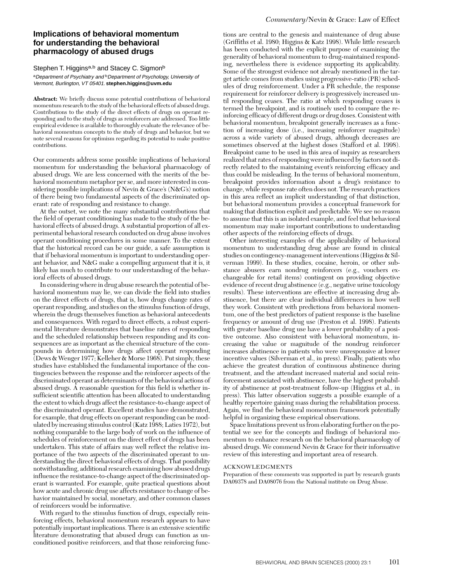## **Implications of behavioral momentum for understanding the behavioral pharmacology of abused drugs**

Stephen T. Higgins<sup>a,b</sup> and Stacey C. Sigmon<sup>b</sup>

aDepartment of Psychiatry and **bDepartment of Psychology, University of** Vermont, Burlington, VT 05401. **stephen.higgins@uvm.edu**

**Abstract:** We briefly discuss some potential contributions of behavioral momentum research to the study of the behavioral effects of abused drugs. Contributions to the study of the direct effects of drugs on operant responding and to the study of drugs as reinforcers are addressed. Too little empirical evidence is available to thoroughly evaluate the relevance of behavioral momentum concepts to the study of drugs and behavior, but we note several reasons for optimism regarding its potential to make positive contributions.

Our comments address some possible implications of behavioral momentum for understanding the behavioral pharmacology of abused drugs. We are less concerned with the merits of the behavioral momentum metaphor per se, and more interested in considering possible implications of Nevin & Grace's (N&G's) notion of there being two fundamental aspects of the discriminated operant: rate of responding and resistance to change.

At the outset, we note the many substantial contributions that the field of operant conditioning has made to the study of the behavioral effects of abused drugs. A substantial proportion of all experimental behavioral research conducted on drug abuse involves operant conditioning procedures in some manner. To the extent that the historical record can be our guide, a safe assumption is that if behavioral momentum is important to understanding operant behavior, and N&G make a compelling argument that it is, it likely has much to contribute to our understanding of the behavioral effects of abused drugs.

In considering where in drug abuse research the potential of behavioral momentum may lie, we can divide the field into studies on the direct effects of drugs, that is, how drugs change rates of operant responding, and studies on the stimulus function of drugs, wherein the drugs themselves function as behavioral antecedents and consequences. With regard to direct effects, a robust experimental literature demonstrates that baseline rates of responding and the scheduled relationship between responding and its consequences are as important as the chemical structure of the compounds in determining how drugs affect operant responding (Dews & Wenger 1977; Kelleher & Morse 1968). Put simply, these studies have established the fundamental importance of the contingencies between the response and the reinforcer aspects of the discriminated operant as determinants of the behavioral actions of abused drugs. A reasonable question for this field is whether insufficient scientific attention has been allocated to understanding the extent to which drugs affect the resistance-to-change aspect of the discriminated operant. Excellent studies have demonstrated, for example, that drug effects on operant responding can be modulated by increasing stimulus control (Katz 1988; Laties 1972), but nothing comparable to the large body of work on the influence of schedules of reinforcement on the direct effect of drugs has been undertaken. This state of affairs may well reflect the relative importance of the two aspects of the discriminated operant to understanding the direct behavioral effects of drugs. That possibility notwithstanding, additional research examining how abused drugs influence the resistance-to-change aspect of the discriminated operant is warranted. For example, quite practical questions about how acute and chronic drug use affects resistance to change of behavior maintained by social, monetary, and other common classes of reinforcers would be informative.

With regard to the stimulus function of drugs, especially reinforcing effects, behavioral momentum research appears to have potentially important implications. There is an extensive scientific literature demonstrating that abused drugs can function as unconditioned positive reinforcers, and that those reinforcing func-

tions are central to the genesis and maintenance of drug abuse (Griffiths et al. 1980; Higgins & Katz 1998). While little research has been conducted with the explicit purpose of examining the generality of behavioral momentum to drug-maintained responding, nevertheless there is evidence supporting its applicability. Some of the strongest evidence not already mentioned in the target article comes from studies using progressive-ratio (PR) schedules of drug reinforcement. Under a PR schedule, the response requirement for reinforcer delivery is progressively increased until responding ceases. The ratio at which responding ceases is termed the breakpoint, and is routinely used to compare the reinforcing efficacy of different drugs or drug doses. Consistent with behavioral momentum, breakpoint generally increases as a function of increasing dose (i.e., increasing reinforcer magnitude) across a wide variety of abused drugs, although decreases are sometimes observed at the highest doses (Stafford et al. 1998). Breakpoint came to be used in this area of inquiry as researchers realized that rates of responding were influenced by factors not directly related to the maintaining event's reinforcing efficacy and thus could be misleading. In the terms of behavioral momentum, breakpoint provides information about a drug's resistance to change, while response rate often does not. The research practices in this area reflect an implicit understanding of that distinction, but behavioral momentum provides a conceptual framework for making that distinction explicit and predictable. We see no reason to assume that this is an isolated example, and feel that behavioral momentum may make important contributions to understanding other aspects of the reinforcing effects of drugs.

Other interesting examples of the applicability of behavioral momentum to understanding drug abuse are found in clinical studies on contingency-management interventions (Higgins & Silverman 1999). In these studies, cocaine, heroin, or other substance abusers earn nondrug reinforcers (e.g., vouchers exchangeable for retail items) contingent on providing objective evidence of recent drug abstinence (e.g., negative urine toxicology results). These interventions are effective at increasing drug abstinence, but there are clear individual differences in how well they work. Consistent with predictions from behavioral momentum, one of the best predictors of patient response is the baseline frequency or amount of drug use (Preston et al. 1998). Patients with greater baseline drug use have a lower probability of a positive outcome. Also consistent with behavioral momentum, increasing the value or magnitude of the nondrug reinforcer increases abstinence in patients who were unresponsive at lower incentive values (Silverman et al., in press). Finally, patients who achieve the greatest duration of continuous abstinence during treatment, and the attendant increased material and social reinforcement associated with abstinence, have the highest probability of abstinence at post-treatment follow-up (Higgins et al., in press). This latter observation suggests a possible example of a healthy repertoire gaining mass during the rehabilitation process. Again, we find the behavioral momentum framework potentially helpful in organizing these empirical observations.

Space limitations prevent us from elaborating further on the potential we see for the concepts and findings of behavioral momentum to enhance research on the behavioral pharmacology of abused drugs. We commend Nevin & Grace for their informative review of this interesting and important area of research.

#### ACKNOWLEDGMENTS

Preparation of these comments was supported in part by research grants DA09378 and DA08076 from the National institute on Drug Abuse.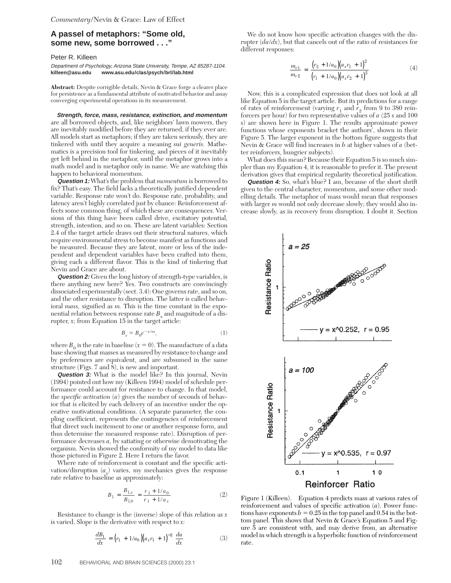## **A passel of metaphors: "Some old, some new, some borrowed . . ."**

Peter R. Killeen

Department of Psychology, Arizona State University, Tempe, AZ 85287-1104. **killeen@asu.edu www.asu.edu/clas/psych/brl/lab.html**

**Abstract:** Despite corrigible details, Nevin & Grace forge a clearer place for persistence as a fundamental attribute of motivated behavior and assay converging experimental operations in its measurement.

**Strength, force, mass, resistance, extinction, and momentum** are all borrowed objects, and, like neighbors' lawn mowers, they are inevitably modified before they are returned, if they ever are. All models start as metaphors; if they are taken seriously, they are tinkered with until they acquire a meaning *sui generis.* Mathematics is a precision tool for tinkering, and pieces of it inevitably get left behind in the metaphor, until the metaphor grows into a math model and is metaphor only in name. We are watching this happen to behavioral momentum.

**Question 1:** What's the problem that *momentum* is borrowed to fix? That's easy. The field lacks a theoretically justified dependent variable. Response rate won't do. Response rate, probability, and latency aren't highly correlated just by chance: Reinforcement affects some common thing, of which these are consequences. Versions of this thing have been called drive, excitatory potential, strength, intention, and so on. These are latent variables: Section 2.4 of the target article draws out their structural natures, which require environmental stress to become manifest as functions and be measured. Because they are latent, more or less of the independent and dependent variables have been crafted into them, giving each a different flavor. This is the kind of tinkering that Nevin and Grace are about.

**Question 2:** Given the long history of strength-type variables, is there anything new here? Yes. Two constructs are convincingly dissociated experimentally (sect. 3.4): One governs rate, and so on, and the other resistance to disruption. The latter is called behavioral *mass,* signified as *m.* This is the time constant in the exponential relation between response rate  $B<sub>x</sub>$  and magnitude of a disrupter,  $x$ ; from Equation 15 in the target article:

$$
B_{x}=B_{0}e^{-x/m}, \hspace{2.5cm} (1)
$$

where  $B_0$  is the rate in baseline  $(x = 0)$ . The manufacture of a data base showing that masses as measured by resistance to change and by preferences are equivalent, and are subsumed in the same structure (Figs.  $7$  and  $8$ ), is new and important.

**Question 3:** What is the model like? In this journal, Nevin (1994) pointed out how my (Killeen 1994) model of schedule performance could account for resistance to change. In that model, the *specific activation* (*a*) gives the number of seconds of behavior that is elicited by each delivery of an incentive under the operative motivational conditions. (A separate parameter, the coupling coefficient, represents the contingencies of reinforcement that direct such incitement to one or another response form, and thus determine the measured response rate). Disruption of performance decreases *a,* by satiating or otherwise demotivating the organism. Nevin showed the conformity of my model to data like those pictured in Figure 2. Here I return the favor.

Where rate of reinforcement is constant and the specific activation/disruption  $(a_x)$  varies, my mechanics gives the response rate relative to baseline as approximately:

$$
B_1 = \frac{B_{1,x}}{B_{1,0}} = \frac{r_1 + 1/a_0}{r_1 + 1/a_x} \tag{2}
$$

Resistance to change is the (inverse) slope of this relation as *x* is varied. Slope is the derivative with respect to *x:*

$$
\frac{dB_1}{dx} = (r_1 + 1/a_0)(a_x r_1 + 1)^{-2} \frac{da}{dx}
$$
 (3)

We do not know how specific activation changes with the disrupter (*da*/*dx*), but that cancels out of the ratio of resistances for different responses:

$$
\frac{m_{r1}}{m_{r2}} = \frac{(r_2 + 1/a_0)(a_x r_1 + 1)^2}{(r_1 + 1/a_0)(a_x r_2 + 1)^2}
$$
(4)

Now, this is a complicated expression that does not look at all like Equation 5 in the target article. But its predictions for a range of rates of reinforcement (varying  $r_1$  and  $r_2$  from 9 to 380 reinforcers per hour) for two representative values of *a* (25 s and 100 s) are shown here in Figure 1. The results approximate power functions whose exponents bracket the authors', shown in their Figure 5. The larger exponent in the bottom figure suggests that Nevin & Grace will find increases in *b* at higher values of *a* (better reinforcers, hungrier subjects).

What does this mean? Because their Equation 5 is so much simpler than my Equation 4, it is reasonable to prefer it. The present derivation gives that empirical regularity theoretical justification.

**Question 4:** So, what's blue? I am, because of the short shrift given to the central character, momentum, and some other modelling details. The metaphor of mass would mean that responses with larger *m* would not only decrease slowly; they would also increase slowly, as in recovery from disruption. I doubt it. Section



Figure 1 (Killeen). Equation 4 predicts mass at various rates of reinforcement and values of specific activation (*a*). Power functions have exponents  $b = 0.25$  in the top panel and 0.54 in the bottom panel. This shows that Nevin & Grace's Equation 5 and Figure 5 are consistent with, and may derive from, an alternative model in which strength is a hyperbolic function of reinforcement rate.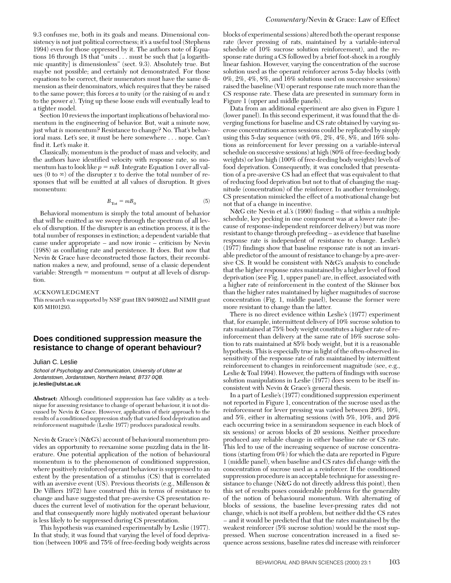9.3 confuses me, both in its goals and means. Dimensional consistency is not just political correctness; it's a useful tool (Stephens 1994) even for those oppressed by it. The authors note of Equations 16 through 18 that "units . . . must be such that [a logarithmic quantity] is dimensionless" (sect. 9.3). Absolutely true. But maybe not possible; and certainly not demonstrated. For those equations to be correct, their numerators must have the same dimension as their denominators, which requires that they be raised to the same power; this forces *a* to unity (or the raising of *m* and *x* to the power *a*). Tying up these loose ends will eventually lead to a tighter model.

Section 10 reviews the important implications of behavioral momentum in the engineering of behavior. But, wait a minute now, just what *is* momentum? Resistance to change? No. That's behavioral mass. Let's see, it must be here somewhere . . . nope. Can't find it. Let's make it.

Classically, momentum is the product of mass and velocity, and the authors have identified velocity with response rate, so momentum has to look like  $p = mB$ . Integrate Equation 1 over all values (0 to  $\infty$ ) of the disrupter *x* to derive the total number of responses that will be emitted at all values of disruption. It gives momentum:

$$
B_{\text{Tot}} = mB_0 \tag{5}
$$

Behavioral momentum is simply the total amount of behavior that will be emitted as we sweep through the spectrum of all levels of disruption. If the disrupter is an extinction process, it is the total number of responses in extinction; a dependent variable that came under appropriate – and now ironic – criticism by Nevin (1988) as conflating rate and persistence. It does. But now that Nevin & Grace have deconstructed those factors, their recombination makes a new, and profound, sense of a classic dependent variable: Strength  $=$  momentum  $=$  output at all levels of disruption.

ACKNOWLEDGMENT

This research was supported by NSF grant IBN 9408022 and NIMH grant K05 MH01293.

## **Does conditioned suppression measure the resistance to change of operant behaviour?**

Julian C. Leslie

School of Psychology and Communication, University of Ulster at Jordanstown, Jordanstown, Northern Ireland, BT37 0QB. **jc.leslie@ulst.ac.uk**

**Abstract:** Although conditioned suppression has face validity as a technique for assessing resistance to change of operant behaviour, it is not discussed by Nevin & Grace. However, application of their approach to the results of a conditioned suppression study that varied food deprivation and reinforcement magnitude (Leslie 1977) produces paradoxical results.

Nevin & Grace's (N&G's) account of behavioural momentum provides an opportunity to reexamine some puzzling data in the literature. One potential application of the notion of behavioural momentum is to the phenomenon of conditioned suppression, where positively reinforced operant behaviour is suppressed to an extent by the presentation of a stimulus (CS) that is correlated with an aversive event (US). Previous theorists (e.g., Millenson & De Villiers 1972) have construed this in terms of resistance to change and have suggested that pre-aversive CS presentation reduces the current level of motivation for the operant behaviour, and that consequently more highly motivated operant behaviour is less likely to be suppressed during CS presentation.

This hypothesis was examined experimentally by Leslie (1977). In that study, it was found that varying the level of food deprivation (between 100% and 75% of free-feeding body weights across blocks of experimental sessions) altered both the operant response rate (lever pressing of rats, maintained by a variable-interval schedule of 10% sucrose solution reinforcement), and the response rate during a CS followed by a brief foot-shock in a roughly linear fashion. However, varying the concentration of the sucrose solution used as the operant reinforcer across 5-day blocks (with 0%, 2%, 4%, 8%, and 16% solutions used on successive sessions) raised the baseline (VI) operant response rate much more than the CS response rate. These data are presented in summary form in Figure 1 (upper and middle panels).

Data from an additional experiment are also given in Figure 1 (lower panel). In this second experiment, it was found that the diverging functions for baseline and CS rate obtained by varying sucrose concentrations across sessions could be replicated by simply using this 5-day sequence (with 0%, 2%, 4%, 8%, and 16% solutions as reinforcement for lever pressing on a variable-interval schedule on successive sessions) at high (80% of free-feeding body weights) or low high (100% of free-feeding body weights) levels of food deprivation. Consequently, it was concluded that presentation of a pre-aversive CS had an effect that was equivalent to that of reducing food deprivation but not to that of changing the magnitude (concentration) of the reinforcer. In another terminology, CS presentation mimicked the effect of a motivational change but not that of a change in incentive.

N&G cite Nevin et al.'s (1990) finding – that within a multiple schedule, key pecking in one component was at a lower rate (because of response-independent reinforcer delivery) but was more resistant to change through prefeeding – as evidence that baseline response rate is independent of resistance to change. Leslie's (1977) findings show that baseline response rate is not an invariable predictor of the amount of resistance to change by a pre-aversive CS. It would be consistent with N&G's analysis to conclude that the higher response rates maintained by a higher level of food deprivation (see Fig. 1, upper panel) are, in effect, associated with a higher rate of reinforcement in the context of the Skinner box than the higher rates maintained by higher magnitudes of sucrose concentration (Fig. 1, middle panel), because the former were more resistant to change than the latter.

There is no direct evidence within Leslie's (1977) experiment that, for example, intermittent delivery of 10% sucrose solution to rats maintained at 75% body weight constitutes a higher rate of reinforcement than delivery at the same rate of 16% sucrose solution to rats maintained at 85% body weight, but it is a reasonable hypothesis. This is especially true in light of the often-observed insensitivity of the response rate of rats maintained by intermittent reinforcement to changes in reinforcement magnitude (see, e.g., Leslie & Toal 1994). However, the pattern of findings with sucrose solution manipulations in Leslie  $(1977)$  does seem to be itself inconsistent with Nevin & Grace's general thesis.

In a part of Leslie's (1977) conditioned suppression experiment not reported in Figure 1, concentration of the sucrose used as the reinforcement for lever pressing was varied between 20%, 10%, and 5%, either in alternating sessions (with 5%, 10%, and 20% each occurring twice in a semirandom sequence in each block of six sessions) or across blocks of 20 sessions. Neither procedure produced any reliable change in either baseline rate or CS rate. This led to use of the increasing sequence of sucrose concentrations (starting from 0%) for which the data are reported in Figure 1 (middle panel), when baseline and CS rates did change with the concentration of sucrose used as a reinforcer. If the conditioned suppression procedure is an acceptable technique for assessing resistance to change (N&G do not directly address this point), then this set of results poses considerable problems for the generality of the notion of behavioural momentum. With alternating of blocks of sessions, the baseline lever-pressing rates did not change, which is not itself a problem, but neither did the CS rates – and it would be predicted that that the rates maintained by the weakest reinforcer (5% sucrose solution) would be the most suppressed. When sucrose concentration increased in a fixed sequence across sessions, baseline rates did increase with reinforcer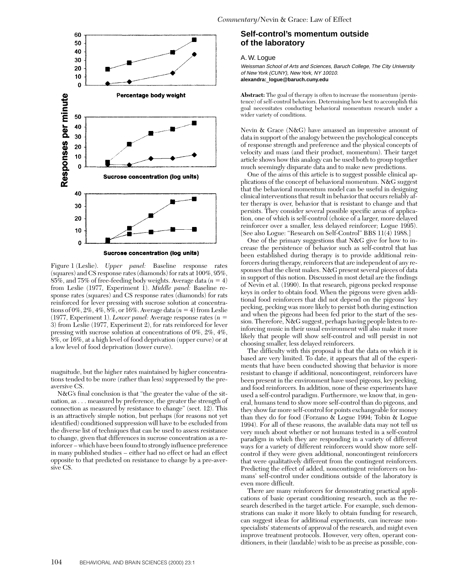

Figure 1 (Leslie). *Upper panel:* Baseline response rates (squares) and CS response rates (diamonds) for rats at 100%, 95%, 85%, and 75% of free-feeding body weights. Average data  $(n = 4)$ from Leslie (1977, Experiment 1). *Middle panel:* Baseline response rates (squares) and CS response rates (diamonds) for rats reinforced for lever pressing with sucrose solution at concentrations of 0%, 2%, 4%, 8%, or 16%. Average data  $(n = 4)$  from Leslie (1977, Experiment 1). *Lower panel:* Average response rates  $(n =$ 3) from Leslie (1977, Experiment 2), for rats reinforced for lever pressing with sucrose solution at concentrations of 0%, 2%, 4%, 8%, or 16%, at a high level of food deprivation (upper curve) or at a low level of food deprivation (lower curve).

magnitude, but the higher rates maintained by higher concentrations tended to be more (rather than less) suppressed by the preaversive CS.

N&G's final conclusion is that "the greater the value of the situation, as . . . measured by preference, the greater the strength of connection as measured by resistance to change" (sect. 12). This is an attractively simple notion, but perhaps (for reasons not yet identified) conditioned suppression will have to be excluded from the diverse list of techniques that can be used to assess resistance to change, given that differences in sucrose concentration as a reinforcer – which have been found to strongly influence preference in many published studies – either had no effect or had an effect opposite to that predicted on resistance to change by a pre-aversive CS.

## **Self-control's momentum outside of the laboratory**

#### A. W. Logue

Weissman School of Arts and Sciences, Baruch College, The City University of New York (CUNY), New York, NY 10010. **alexandra: logue@baruch.cuny.edu**

**Abstract:** The goal of therapy is often to increase the momentum (persistence) of self-control behaviors. Determining how best to accomplish this goal necessitates conducting behavioral momentum research under a wider variety of conditions.

Nevin & Grace (N&G) have amassed an impressive amount of data in support of the analogy between the psychological concepts of response strength and preference and the physical concepts of velocity and mass (and their product, momentum). Their target article shows how this analogy can be used both to group together much seemingly disparate data and to make new predictions.

One of the aims of this article is to suggest possible clinical applications of the concept of behavioral momentum. N&G suggest that the behavioral momentum model can be useful in designing clinical interventions that result in behavior that occurs reliably after therapy is over, behavior that is resistant to change and that persists. They consider several possible specific areas of application, one of which is self-control (choice of a larger, more delayed reinforcer over a smaller, less delayed reinforcer; Logue 1995). [See also Logue: "Research on Self-Control" BBS 11(4) 1988.]

One of the primary suggestions that N&G give for how to increase the persistence of behavior such as self-control that has been established during therapy is to provide additional reinforcers during therapy, reinforcers that are independent of any responses that the client makes. N&G present several pieces of data in support of this notion. Discussed in most detail are the findings of Nevin et al. (1990). In that research, pigeons pecked response keys in order to obtain food. When the pigeons were given additional food reinforcers that did not depend on the pigeons' key pecking, pecking was more likely to persist both during extinction and when the pigeons had been fed prior to the start of the session. Therefore, N&G suggest, perhaps having people listen to reinforcing music in their usual environment will also make it more likely that people will show self-control and will persist in not choosing smaller, less delayed reinforcers.

The difficulty with this proposal is that the data on which it is based are very limited. To date, it appears that all of the experiments that have been conducted showing that behavior is more resistant to change if additional, noncontingent, reinforcers have been present in the environment have used pigeons, key pecking, and food reinforcers. In addition, none of these experiments have used a self-control paradigm. Furthermore, we know that, in general, humans tend to show more self-control than do pigeons, and they show far more self-control for points exchangeable for money than they do for food (Forzano & Logue 1994; Tobin & Logue 1994). For all of these reasons, the available data may not tell us very much about whether or not humans tested in a self-control paradigm in which they are responding in a variety of different ways for a variety of different reinforcers would show more selfcontrol if they were given additional, noncontingent reinforcers that were qualitatively different from the contingent reinforcers. Predicting the effect of added, noncontingent reinforcers on humans' self-control under conditions outside of the laboratory is even more difficult.

There are many reinforcers for demonstrating practical applications of basic operant conditioning research, such as the research described in the target article. For example, such demonstrations can make it more likely to obtain funding for research, can suggest ideas for additional experiments, can increase nonspecialists' statements of approval of the research, and might even improve treatment protocols. However, very often, operant conditioners, in their (laudable) wish to be as precise as possible, con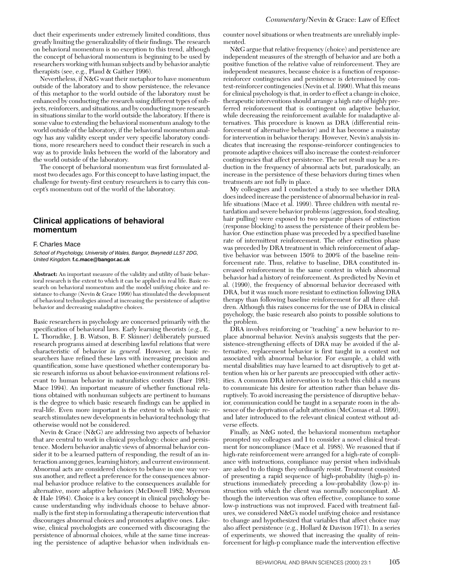duct their experiments under extremely limited conditions, thus greatly limiting the generalizability of their findings. The research on behavioral momentum is no exception to this trend, although the concept of behavioral momentum is beginning to be used by researchers working with human subjects and by behavior analytic therapists (see, e.g., Plaud & Gaither 1996).

Nevertheless, if N&G want their metaphor to have momentum outside of the laboratory and to show persistence, the relevance of this metaphor to the world outside of the laboratory must be enhanced by conducting the research using different types of subjects, reinforcers, and situations, and by conducting more research in situations similar to the world outside the laboratory. If there is some value to extending the behavioral momentum analogy to the world outside of the laboratory, if the behavioral momentum analogy has any validity except under very specific laboratory conditions, more researchers need to conduct their research in such a way as to provide links between the world of the laboratory and the world outside of the laboratory.

The concept of behavioral momentum was first formulated almost two decades ago. For this concept to have lasting impact, the challenge for twenty-first century researchers is to carry this concept's momentum out of the world of the laboratory.

## **Clinical applications of behavioral momentum**

#### F. Charles Mace

School of Psychology, University of Wales, Bangor, Bwynedd LL57 2DG, United Kingdom. **f.c.mace@bangor.ac.uk**

**Abstract:** An important measure of the validity and utility of basic behavioral research is the extent to which it can be applied in real life. Basic research on behavioral momentum and the model unifying choice and resistance to change (Nevin & Grace 1999) has stimulated the development of behavioral technologies aimed at increasing the persistence of adaptive behavior and decreasing maladaptive choices.

Basic researchers in psychology are concerned primarily with the specification of behavioral laws. Early learning theorists (e.g., E. L. Thorndike, J. B. Watson, B. F. Skinner) deliberately pursued research programs aimed at describing lawful relations that were characteristic of behavior *in general.* However, as basic researchers have refined these laws with increasing precision and quantification, some have questioned whether contemporary basic research informs us about behavior-environment relations relevant to human behavior in naturalistics contexts (Baer 1981; Mace 1994). An important measure of whether functional relations obtained with nonhuman subjects are pertinent to humans is the degree to which basic research findings can be applied in real-life. Even more important is the extent to which basic research stimulates new developments in behavioral technology that otherwise would not be considered.

Nevin & Grace (N&G) are addressing two aspects of behavior that are central to work in clinical psychology: choice and persistence. Modern behavior analytic views of abnormal behavior consider it to be a learned pattern of responding, the result of an interaction among genes, learning history, and current environment. Abnormal acts are considered choices to behave in one way versus another, and reflect a preference for the consequences abnormal behavior produce relative to the consequences available for alternative, more adaptive behaviors (McDowell 1982; Myerson & Hale 1984). Choice is a key concept in clinical psychology because understanding why individuals choose to behave abnormally is the first step in formulating a therapeutic intervention that discourages abnormal choices and promotes adaptive ones. Likewise, clinical psychologists are concerned with discouraging the persistence of abnormal choices, while at the same time increasing the persistence of adaptive behavior when individuals encounter novel situations or when treatments are unreliably implemented.

N&G argue that relative frequency (choice) and persistence are independent measures of the strength of behavior and are both a positive function of the relative value of reinforcement. They are independent measures, because choice is a function of responsereinforcer contingencies and persistence is determined by context-reinforcer contingencies (Nevin et al. 1990). What this means for clinical psychology is that, in order to effect a change in choice, therapeutic interventions should arrange a high rate of highly preferred reinforcement that is contingent on adaptive behavior, while decreasing the reinforcement available for maladaptive alternatives. This procedure is known as DRA (differential reinforcement of alternative behavior) and it has become a mainstay for intervention in behavior therapy. However, Nevin's analysis indicates that increasing the response-reinforcer contingencies to promote adaptive choices will also increase the context-reinforcer contingencies that affect persistence. The net result may be a reduction in the frequency of abnormal acts but, paradoxically, an increase in the persistence of these behaviors during times when treatments are not fully in place.

My colleagues and I conducted a study to see whether DRA does indeed increase the persistence of abnormal behavior in reallife situations (Mace et al. 1999). Three children with mental retardation and severe behavior problems (aggression, food stealing, hair pulling) were exposed to two separate phases of extinction (response blocking) to assess the persistence of their problem behavior. One extinction phase was preceded by a specified baseline rate of intermittent reinforcement. The other extinction phase was preceded by DRA treatment in which reinforcement of adaptive behavior was between 150% to 200% of the baseline reinforcement rate. Thus, relative to baseline, DRA constituted increased reinforcement in the same context in which abnormal behavior had a history of reinforcement. As predicted by Nevin et al. (1990), the frequency of abnormal behavior decreased with DRA, but it was much more resistant to extinction following DRA therapy than following baseline reinforcement for all three children. Although this raises concerns for the use of DRA in clinical psychology, the basic research also points to possible solutions to the problem.

DRA involves reinforcing or "teaching" a new behavior to replace abnormal behavior. Nevin's analysis suggests that the persistence-strengthening effects of DRA may be avoided if the alternative, replacement behavior is first taught in a context not associated with abnormal behavior. For example, a child with mental disabilities may have learned to act disruptively to get attention when his or her parents are preoccupied with other activities. A common DRA intervention is to teach this child a means to communicate his desire for attention rather than behave disruptively. To avoid increasing the persistence of disruptive behavior, communication could be taught in a separate room in the absence of the deprivation of adult attention (McComas et al. 1999), and later introduced to the relevant clinical context without adverse effects.

Finally, as N&G noted, the behavioral momentum metaphor prompted my colleagues and I to consider a novel clinical treatment for noncompliance (Mace et al. 1988). We reasoned that if high-rate reinforcement were arranged for a high-rate of compliance with instructions, compliance may persist when individuals are asked to do things they ordinarily resist. Treatment consisted of presenting a rapid sequence of high-probability (high-p) instructions immediately preceding a low-probability (low-p) instruction with which the client was normally noncompliant. Although the intervention was often effective, compliance to some low-p instructions was not improved. Faced with treatment failures, we considered N&G's model unifying choice and resistance to change and hypothesized that variables that affect choice may also affect persistence (e.g., Hollard & Davison 1971). In a series of experiments, we showed that increasing the quality of reinforcement for high-p compliance made the intervention effective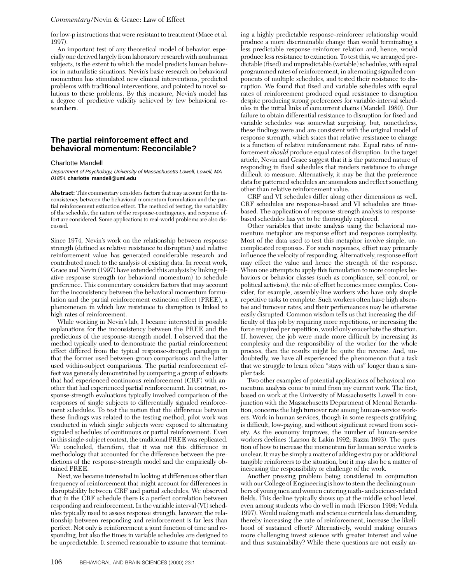#### *Commentary/*Nevin & Grace: Law of Effect

for low-p instructions that were resistant to treatment (Mace et al. 1997).

An important test of any theoretical model of behavior, especially one derived largely from laboratory research with nonhuman subjects, is the extent to which the model predicts human behavior in naturalistic situations. Nevin's basic research on behavioral momentum has stimulated new clinical interventions, predicted problems with traditional interventions, and pointed to novel solutions to these problems. By this measure, Nevin's model has a degree of predictive validity achieved by few behavioral researchers.

## **The partial reinforcement effect and behavioral momentum: Reconcilable?**

#### Charlotte Mandell

Department of Psychology, University of Massachusetts Lowell, Lowell, MA 01854. **charlotte mandell@uml.edu**

**Abstract:** This commentary considers factors that may account for the inconsistency between the behavioral momentum formulation and the partial reinforcement extinction effect. The method of testing, the variability of the schedule, the nature of the response-contingency, and response effort are considered. Some applications to real-world problems are also discussed.

Since 1974, Nevin's work on the relationship between response strength (defined as relative resistance to disruption) and relative reinforcement value has generated considerable research and contributed much to the analysis of existing data. In recent work, Grace and Nevin (1997) have extended this analysis by linking relative response strength (or behavioral momentum) to schedule preference. This commentary considers factors that may account for the inconsistency between the behavioral momentum formulation and the partial reinforcement extinction effect (PREE), a phenomenon in which low resistance to disruption is linked to high rates of reinforcement.

While working in Nevin's lab, I became interested in possible explanations for the inconsistency between the PREE and the predictions of the response-strength model. I observed that the method typically used to demonstrate the partial reinforcement effect differed from the typical response-strength paradigm in that the former used between-group comparisons and the latter used within-subject comparisons. The partial reinforcement effect was generally demonstrated by comparing a group of subjects that had experienced continuous reinforcement (CRF) with another that had experienced partial reinforcement. In contrast, response-strength evaluations typically involved comparison of the responses of single subjects to differentially signaled reinforcement schedules. To test the notion that the difference between these findings was related to the testing method, pilot work was conducted in which single subjects were exposed to alternating signaled schedules of continuous or partial reinforcement. Even in this single-subject context, the traditional PREE was replicated. We concluded, therefore, that it was not this difference in methodology that accounted for the difference between the predictions of the response-strength model and the empirically obtained PREE.

Next, we became interested in looking at differences other than frequency of reinforcement that might account for differences in disruptability between CRF and partial schedules. We observed that in the CRF schedule there is a perfect correlation between responding and reinforcement. In the variable interval (VI) schedules typically used to assess response strength, however, the relationship between responding and reinforcement is far less than perfect. Not only is reinforcement a joint function of time and responding, but also the times in variable schedules are designed to be unpredictable. It seemed reasonable to assume that terminating a highly predictable response-reinforcer relationship would produce a more discriminable change than would terminating a less predictable response-reinforcer relation and, hence, would produce less resistance to extinction. To test this, we arranged predictable (fixed) and unpredictable (variable) schedules, with equal programmed rates of reinforcement, in alternating signalled components of multiple schedules, and tested their resistance to disruption. We found that fixed and variable schedules with equal rates of reinforcement produced equal resistance to disruption despite producing strong preferences for variable-interval schedules in the initial links of concurrent chains (Mandell 1980). Our failure to obtain differential resistance to disruption for fixed and variable schedules was somewhat surprising, but, nonetheless, these findings were and are consistent with the original model of response strength, which states that relative resistance to change is a function of relative reinforcement rate. Equal rates of reinforcement *should* produce equal rates of disruption. In the target article, Nevin and Grace suggest that it is the patterned nature of responding in fixed schedules that renders resistance to change difficult to measure. Alternatively, it may be that the preference data for patterned schedules are anomalous and reflect something other than relative reinforcement value.

CRF and VI schedules differ along other dimensions as well. CRF schedules are response-based and VI schedules are timebased. The application of response-strength analysis to responsebased schedules has yet to be thoroughly explored.

Other variables that invite analysis using the behavioral momentum metaphor are response effort and response complexity. Most of the data used to test this metaphor involve simple, uncomplicated responses. For such responses, effort may primarily influence the velocity of responding. Alternatively, response effort may effect the value and hence the strength of the response. When one attempts to apply this formulation to more complex behaviors or behavior classes (such as compliance, self-control, or political activism), the role of effort becomes more complex. Consider, for example, assembly-line workers who have only simple repetitive tasks to complete. Such workers often have high absentee and turnover rates, and their performances may be otherwise easily disrupted. Common wisdom tells us that increasing the difficulty of this job by requiring more repetitions, or increasing the force required per repetition, would only exacerbate the situation. If, however, the job were made more difficult by increasing its complexity and the responsibility of the worker for the whole process, then the results might be quite the reverse. And, undoubtedly, we have all experienced the phenomenon that a task that we struggle to learn often "stays with us" longer than a simpler task.

Two other examples of potential applications of behavioral momentum analysis come to mind from my current work. The first, based on work at the University of Massachusetts Lowell in conjunction with the Massachusetts Department of Mental Retardation, concerns the high turnover rate among human-service workers. Work in human services, though in some respects gratifying, is difficult, low-paying, and without significant reward from society. As the economy improves, the number of human-service workers declines (Larson & Lakin 1992; Razza 1993). The question of how to increase the momentum for human service work is unclear. It may be simply a matter of adding extra pay or additional tangible reinforcers to the situation, but it may also be a matter of increasing the responsibility or challenge of the work.

Another pressing problem being considered in conjunction with our College of Engineering is how to stem the declining numbers of young men and women entering math- and science-related fields. This decline typically shows up at the middle school level, even among students who do well in math (Pierson 1998; Vedula 1997). Would making math and science curricula less demanding, thereby increasing the rate of reinforcement, increase the likelihood of sustained effort? Alternatively, would making courses more challenging invest science with greater interest and value and thus sustainability? While these questions are not easily an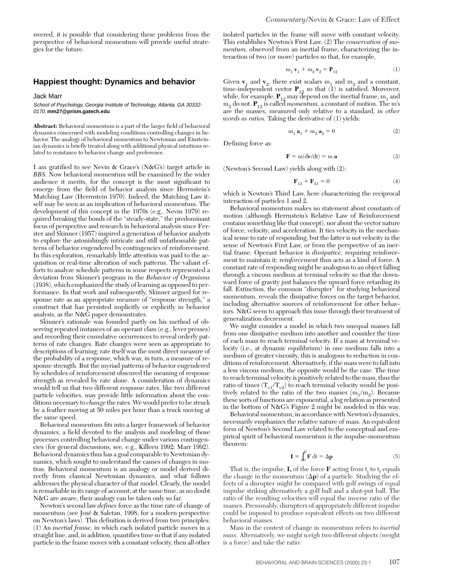swered, it is possible that considering these problems from the perspective of behavioral momentum will provide useful strategies for the future.

## **Happiest thought: Dynamics and behavior**

Jack Marr

School of Psychology, Georgia Institute of Technology, Atlanta, GA 30332- 0170. **mm27@prism.gatech.edu**

**Abstract:** Behavioral momentum is a part of the larger field of behavioral dynamics concerned with modeling conditions controlling changes in behavior. The analogy of behavioral momentum to Newtonian and Einsteinian dynamics is briefly treated along with additional physical intuitions related to resistance to behavior change and preference.

I am gratified to see Nevin & Grace's (N&G's) target article in *BBS.* Now behavioral momentum will be examined by the wider audience it merits, for the concept is the most significant to emerge from the field of behavior analysis since Herrnstein's Matching Law (Herrnstein 1970). Indeed, the Matching Law itself may be seen as an implication of behavioral momentum. The development of this concept in the 1970s (e.g., Nevin 1979) required breaking the bonds of the "steady-state," the predominant focus of perspective and research in behavioral analysis since Ferster and Skinner (1957) inspired a generation of behavior analysts to explore the astonishingly intricate and still unfathomable patterns of behavior engendered by contingencies of reinforcement. In this exploration, remarkably little attention was paid to the acquisition or real-time alteration of such patterns. The valiant efforts to analyze schedule patterns in some respects represented a deviation from Skinner's program in the *Behavior of Organisms* (1938), which emphasized the study of learning as opposed to performance. In that work and subsequently, Skinner argued for response rate as an appropriate measure of "response strength," a construct that has persisted implicitly or explicitly in behavior analysis, as the N&G paper demonstrates.

Skinner's rationale was founded partly on his method of observing repeated instances of an operant class (e.g., lever presses) and recording their cumulative occurrences to reveal orderly patterns of rate changes. Rate changes were seen as appropriate to descriptions of learning; rate itself was the most direct measure of the probability of a response, which was, in turn, a measure of response strength. But the myriad patterns of behavior engendered by schedules of reinforcement obscured the meaning of response strength as revealed by rate alone. A consideration of dynamics would tell us that two different response rates, like two different particle velocities, may provide little information about the conditions necessary to *change* the rates. We would prefer to be struck by a feather moving at 50 miles per hour than a truck moving at the same speed.

Behavioral momentum fits into a larger framework of behavior dynamics, a field devoted to the analysis and modeling of those processes controlling behavioral change under various contingencies (for general discussions, see, e.g., Killeen 1992; Marr 1992). Behavioral dynamics thus has a goal comparable to Newtonian dynamics, which sought to understand the causes of changes in motion. Behavioral momentum is an analogy or model derived directly from classical Newtonian dynamics, and what follows addresses the physical character of that model. Clearly, the model is remarkable in its range of account; at the same time, as no doubt N&G are aware, their analogy can be taken only so far.

Newton's second law *defines* force as the time rate of change of momentum (see José & Saletan, 1998, for a modern perspective on Newton's laws). This definition is derived from two principles: (1) An *inertial frame,* in which each isolated particle moves in a straight line, and, in addition, quantifies time so that if any isolated particle in the frame moves with a constant velocity, then all other

isolated particles in the frame will move with constant velocity. This establishes Newton's First Law. (2) The *conservation of momentum,* observed from an inertial frame, characterizing the interaction of two (or more) particles so that, for example,

$$
m_1 \mathbf{v}_1 + m_2 \mathbf{v}_2 = \mathbf{P}_{12} \tag{1}
$$

Given  $\mathbf{v}_1$  and  $\mathbf{v}_2$ , there exist scalars  $m_1$  and  $m_2$  and a constant, time-independent vector  $P_{12}$  so that (1) is satisfied. Moreover, while, for example,  $\mathbf{P}_{12}$  may depend on the inertial frame,  $m_1$  and  $m_2$  do not.  $P_{12}$  is called *momentum*, a constant of motion. The m's are the masses, measured only relative to a standard, *in other words as ratios.* Taking the derivative of (1) yields:

$$
\mathrm{m}_1\,\mathbf{a}_1+\mathrm{m}_2\,\mathbf{a}_2=0 \qquad \qquad (2)
$$

Defining force as:

$$
\mathbf{F} = m(d\mathbf{v}/dt) = m \mathbf{a}
$$
 (3)

(Newton's Second Law) yields along with (2):

$$
\mathbf{F}_{12} + \mathbf{F}_{21} = 0 \tag{4}
$$

which is Newton's Third Law, here characterizing the reciprocal interaction of particles 1 and 2.

Behavioral momentum makes no statement about constants of motion (although Herrnstein's Relative Law of Reinforcement contains something like that concept), nor about the vector nature of force, velocity, and acceleration. It ties velocity in the mechanical sense to rate of responding, but the latter is not velocity in the sense of Newton's First Law, or from the perspective of an inertial frame. Operant behavior is *dissipative,* requiring reinforcement to maintain it; rein*force*ment thus acts as a kind of force. A constant rate of responding might be analogous to an object falling through a viscous medium at terminal velocity so that the downward force of gravity just balances the upward force retarding its fall. Extinction, the common "disrupter" for studying behavioral momentum, reveals the dissipative forces on the target behavior, including alternative sources of reinforcement for other behaviors. N&G seem to approach this issue through their treatment of generalization decrement.

We might consider a model in which two unequal masses fall from one dissipative medium into another and consider the time of each mass to reach terminal velocity. If a mass at terminal velocity (i.e., at dynamic equilibrium) in one medium falls into a medium of greater viscosity, this is analogous to reduction in conditions of reinforcement. Alternatively, if the mass were to fall into a less viscous medium, the opposite would be the case. The time to reach terminal velocity is positively related to the mass, thus the ratio of times  $(T_{v1}/T_{v2})$  to reach terminal velocity would be positively related to the ratio of the two masses  $(m_1/m_2)$ . Because these sorts of functions are exponential, a log relation as presented in the bottom of N&G's Figure 2 might be modeled in this way.

Behavioral momentum, in accordance with Newton's dynamics, necessarily emphasizes the relative nature of mass. An equivalent form of Newton's Second Law related to the conceptual and empirical spirit of behavioral momentum is the impulse-momentum theorem:

$$
\mathbf{I} = \int_{\text{ti}}^{\text{tf}} \mathbf{F} \, \mathrm{dt} = \Delta \mathbf{p} \tag{5}
$$

That is, the impulse, **I**, of the force **F** acting from  $t_i$  to  $t_f$  equals the change in the momentum  $(\Delta p)$  of a particle. Studying the effects of a disrupter might be compared with golf swings of equal impulse striking alternatively a golf ball and a shot-put ball. The ratio of the resulting velocities will equal the inverse ratio of the masses. Presumably, disrupters of appropriately different impulse could be imposed to produce equivalent effects on two different behavioral masses.

Mass in the context of change in momentum refers to *inertial mass.* Alternatively, we might *weigh* two different objects (weight is a force) and take the ratio: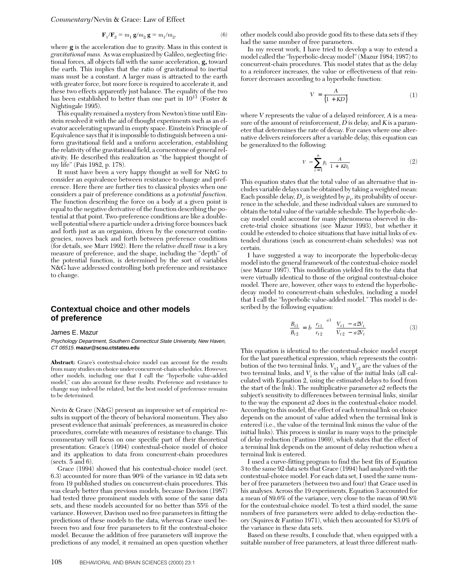*Commentary/*Nevin & Grace: Law of Effect

$$
\mathbf{F}_1/\mathbf{F}_2 = \mathbf{m}_1 \mathbf{g}/\mathbf{m}_2 \mathbf{g} = \mathbf{m}_1/\mathbf{m}_2,\tag{6}
$$

where **g** is the acceleration due to gravity. Mass in this context is *gravitational mass.* As was emphasized by Galileo, neglecting frictional forces, all objects fall with the same acceleration, **g,** toward the earth. This implies that the ratio of gravitational to inertial mass must be a constant. A larger mass is attracted to the earth with greater force, but more force is required to accelerate it, and these two effects apparently just balance. The equality of the two has been established to better than one part in  $10^{11}$  (Foster  $\&$ Nightingale 1995).

This equality remained a mystery from Newton's time until Einstein resolved it with the aid of thought experiments such as an elevator accelerating upward in empty space. Einstein's Principle of Equivalence says that it is impossible to distinguish between a uniform gravitational field and a uniform acceleration, establishing the relativity of the gravitational field, a cornerstone of general relativity. He described this realization as "the happiest thought of my life" (Pais 1982, p. 178).

It must have been a very happy thought as well for N&G to consider an equivalence between resistance to change and preference. Here there are further ties to classical physics when one considers a pair of preference conditions as a *potential function.* The function describing the force on a body at a given point is equal to the negative derivative of the function describing the potential at that point. Two-preference conditions are like a doublewell potential where a particle under a driving force bounces back and forth just as an organism, driven by the concurrent contingencies, moves back and forth between preference conditions (for details, see Marr 1992). Here the relative *dwell time* is a key measure of preference, and the shape, including the "depth" of the potential function, is determined by the sort of variables N&G have addressed controlling both preference and resistance to change.

## **Contextual choice and other models of preference**

James E. Mazur

Psychology Department, Southern Connecticut State University, New Haven, CT 06515. **mazur@scsu.ctstateu.edu**

**Abstract:** Grace's contextual-choice model can account for the results from many studies on choice under concurrent-chain schedules. However, other models, including one that I call the "hyperbolic value-added model," can also account for these results. Preference and resistance to change may indeed be related, but the best model of preference remains to be determined.

Nevin & Grace (N&G) present an impressive set of empirical results in support of the theory of behavioral momentum. They also present evidence that animals' preferences, as measured in choice procedures, correlate with measures of resistance to change. This commentary will focus on one specific part of their theoretical presentation: Grace's (1994) contextual-choice model of choice and its application to data from concurrent-chain procedures (sects.  $5$  and  $6$ ).

Grace (1994) showed that his contextual-choice model (sect. 6.3) accounted for more than 90% of the variance in 92 data sets from 19 published studies on concurrent-chain procedures. This was clearly better than previous models, because Davison (1987) had tested three prominent models with some of the same data sets, and these models accounted for no better than 55% of the variance. However, Davison used no free parameters in fitting the predictions of these models to the data, whereas Grace used between two and four free parameters to fit the contextual-choice model. Because the addition of free parameters will improve the predictions of any model, it remained an open question whether other models could also provide good fits to these data sets if they had the same number of free parameters.

In my recent work, I have tried to develop a way to extend a model called the "hyperbolic-decay model" (Mazur 1984; 1987) to concurrent-chain procedures. This model states that as the delay to a reinforcer increases, the value or effectiveness of that reinforcer decreases according to a hyperbolic function:

$$
V = \frac{A}{\left(1 + KD\right)}\tag{1}
$$

where *V* represents the value of a delayed reinforcer, *A* is a measure of the amount of reinforcement, *D* is delay, and *K* is a parameter that determines the rate of decay. For cases where one alternative delivers reinforcers after a variable delay, this equation can be generalized to the following:

$$
V - \sum_{i=1}^{n} p_i \left( \frac{A}{1 + K D_i} \right) \tag{2}
$$

This equation states that the total value of an alternative that includes variable delays can be obtained by taking a weighted mean: Each possible delay,  $D_i$ , is weighted by  $p_i$ , its probability of occurrence in the schedule, and these individual values are summed to obtain the total value of the variable schedule. The hyperbolic-decay model could account for many phenomena observed in discrete-trial choice situations (see Mazur 1993), but whether it could be extended to choice situations that have initial links of extended durations (such as concurrent-chain schedules) was not certain.

I have suggested a way to incorporate the hyperbolic-decay model into the general framework of the contextual-choice model (see Mazur 1997). This modification yielded fits to the data that were virtually identical to those of the original contextual-choice model. There are, however, other ways to extend the hyperbolicdecay model to concurrent-chain schedules, including a model that I call the "hyperbolic value-added model." This model is described by the following equation:

$$
\frac{B_{i1}}{B_{i2}} = b \left( \frac{r_{t1}}{r_{t2}} \right)^{a1} \left( \frac{V_{t1} - a2V_i}{V_{t2} - a2V_i} \right)
$$
 (3)

This equation is identical to the contextual-choice model except for the last parenthetical expression, which represents the contribution of the two terminal links.  $V_{t1}$  and  $V_{t2}$  are the values of the two terminal links, and  $V_i$  is the value of the initial links (all calculated with Equation 2, using the estimated delays to food from the start of the link). The multiplicative parameter *a2* reflects the subject's sensitivity to differences between terminal links, similar to the way the exponent *a2* does in the contextual-choice model. According to this model, the effect of each terminal link on choice depends on the amount of value added when the terminal link is entered (i.e., the value of the terminal link minus the value of the initial links). This process is similar in many ways to the principle of delay reduction (Fantino 1969), which states that the effect of a terminal link depends on the amount of delay reduction when a terminal link is entered.

I used a curve-fitting program to find the best fits of Equation 3 to the same 92 data sets that Grace (1994) had analyzed with the contextual-choice model. For each data set, I used the same number of free parameters (between two and four) that Grace used in his analyses. Across the 19 experiments, Equation 3 accounted for a mean of 89.6% of the variance, very close to the mean of 90.8% for the contextual-choice model. To test a third model, the same numbers of free parameters were added to delay-reduction theory (Squires & Fantino 1971), which then accounted for 83.0% of the variance in these data sets.

Based on these results, I conclude that, when equipped with a suitable number of free parameters, at least three different math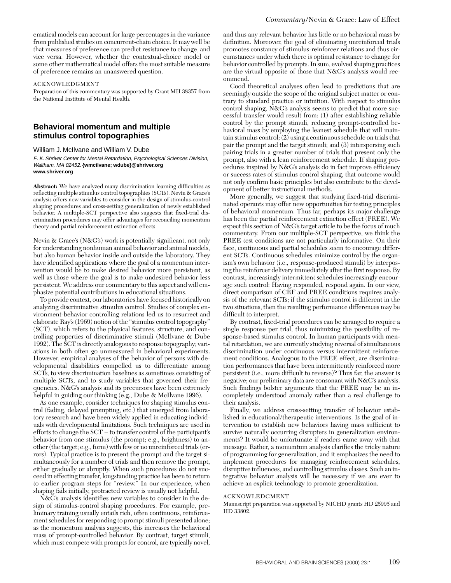ematical models can account for large percentages in the variance from published studies on concurrent-chain choice. It may well be that measures of preference can predict resistance to change, and vice versa. However, whether the contextual-choice model or some other mathematical model offers the most suitable measure of preference remains an unanswered question.

#### ACKNOWLEDGMENT

Preparation of this commentary was supported by Grant MH 38357 from the National Institute of Mental Health.

## **Behavioral momentum and multiple stimulus control topographies**

William J. McIlvane and William V. Dube

E. K. Shriver Center for Mental Retardation, Psychological Sciences Division, Waltham, MA 02452. **{wmcilvane; wdube}@shriver.org www.shriver.org**

**Abstract:** We have analyzed many discrimination learning difficulties as reflecting multiple stimulus control topographies (SCTs). Nevin & Grace's analysis offers new variables to consider in the design of stimulus-control shaping procedures and cross-setting generalization of newly established behavior. A multiple-SCT perspective also suggests that fixed-trial discrimination procedures may offer advantages for reconciling momentum theory and partial reinforcement extinction effects.

Nevin & Grace's (N&G's) work is potentially significant, not only for understanding nonhuman animal behavior and animal models, but also human behavior inside and outside the laboratory. They have identified applications where the goal of a momentum intervention would be to make desired behavior more persistent, as well as those where the goal is to make undesired behavior less persistent. We address our commentary to this aspect and will emphasize potential contributions in educational situations.

To provide context, our laboratories have focused historically on analyzing discriminative stimulus control. Studies of complex environment-behavior controlling relations led us to resurrect and elaborate Ray's (1969) notion of the "stimulus control topography" (SCT), which refers to the physical features, structure, and controlling properties of discriminative stimuli (McIlvane & Dube 1992). The SCT is directly analogous to response topography; variations in both often go unmeasured in behavioral experiments. However, empirical analyses of the behavior of persons with developmental disabilities compelled us to differentiate among SCTs, to view discrimination baselines as sometimes consisting of multiple SCTs, and to study variables that governed their frequencies. N&G's analysis and its precursors have been extremely helpful in guiding our thinking (e.g., Dube & McIlvane 1996).

As one example, consider techniques for shaping stimulus control (fading, delayed prompting, etc.) that emerged from laboratory research and have been widely applied in educating individuals with developmental limitations. Such techniques are used in efforts to change the SCT – to transfer control of the participant's behavior from one stimulus (the prompt; e.g., brightness) to another (the target; e.g., form) with few or no unreinforced trials (errors). Typical practice is to present the prompt and the target simultaneously for a number of trials and then remove the prompt, either gradually or abruptly. When such procedures do not succeed in effecting transfer, longstanding practice has been to return to earlier program steps for "review." In our experience, when shaping fails initially, protracted review is usually not helpful.

N&G's analysis identifies new variables to consider in the design of stimulus-control shaping procedures. For example, preliminary training usually entails rich, often continuous, reinforcement schedules for responding to prompt stimuli presented alone; as the momentum analysis suggests, this increases the behavioral mass of prompt-controlled behavior. By contrast, target stimuli, which must compete with prompts for control, are typically novel, and thus any relevant behavior has little or no behavioral mass by definition. Moreover, the goal of eliminating unreinforced trials promotes constancy of stimulus-reinforcer relations and thus circumstances under which there is optimal resistance to change for behavior controlled by prompts. In sum, evolved shaping practices are the virtual opposite of those that N&G's analysis would recommend.

Good theoretical analyses often lead to predictions that are seemingly outside the scope of the original subject matter or contrary to standard practice or intuition. With respect to stimulus control shaping, N&G's analysis seems to predict that more successful transfer would result from: (1) after establishing reliable control by the prompt stimuli, reducing prompt-controlled behavioral mass by employing the leanest schedule that will maintain stimulus control; (2) using a continuous schedule on trials that pair the prompt and the target stimuli; and (3) interspersing such pairing trials in a greater number of trials that present only the prompt, also with a lean reinforcement schedule. If shaping procedures inspired by N&G's analysis do in fact improve efficiency or success rates of stimulus control shaping, that outcome would not only confirm basic principles but also contribute to the development of better instructional methods.

More generally, we suggest that studying fixed-trial discriminated operants may offer new opportunities for testing principles of behavioral momentum. Thus far, perhaps its major challenge has been the partial reinforcement extinction effect (PREE). We expect this section of N&G's target article to be the focus of much commentary. From our multiple-SCT perspective, we think the PREE test conditions are not particularly informative. On their face, continuous and partial schedules seem to encourage different SCTs. Continuous schedules minimize control by the organism's own behavior (i.e., response-produced stimuli) by interposing the reinforcer delivery immediately after the first response. By contrast, increasingly intermittent schedules increasingly encourage such control: Having responded, respond again. In our view, direct comparison of CRF and PREE conditions requires analysis of the relevant SCTs; if the stimulus control is different in the two situations, then the resulting performance differences may be difficult to interpret.

By contrast, fixed-trial procedures can be arranged to require a single response per trial, thus minimizing the possibility of response-based stimulus control. In human participants with mental retardation, we are currently studying reversal of simultaneous discrimination under continuous versus intermittent reinforcement conditions. Analogous to the PREE effect, are discrimination performances that have been intermittently reinforced more persistent (i.e., more difficult to reverse)? Thus far, the answer is negative; our preliminary data are consonant with N&G's analysis. Such findings bolster arguments that the PREE may be an incompletely understood anomaly rather than a real challenge to their analysis.

Finally, we address cross-setting transfer of behavior established in educational/therapeutic interventions. Is the goal of intervention to establish new behaviors having mass sufficient to survive naturally occurring disrupters in generalization environments? It would be unfortunate if readers came away with that message. Rather, a momentum analysis clarifies the tricky nature of programming for generalization, and it emphasizes the need to implement procedures for managing reinforcement schedules, disruptive influences, and controlling stimulus classes. Such an integrative behavior analysis will be necessary if we are ever to achieve an explicit technology to promote generalization.

#### ACKNOWLEDGMENT

Manuscript preparation was supported by NICHD grants HD 25995 and HD 33802.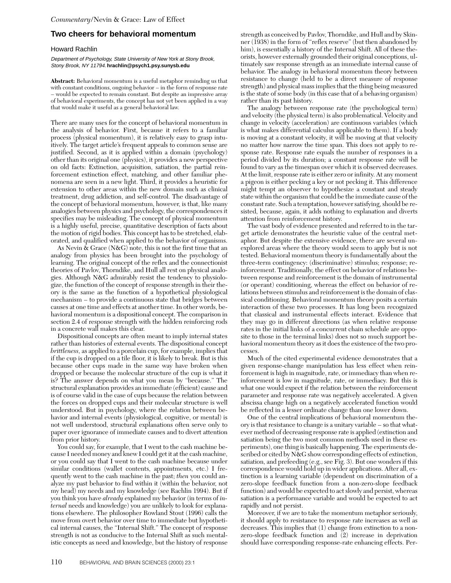## **Two cheers for behavioral momentum**

#### Howard Rachlin

Department of Psychology, State University of New York at Stony Brook, Stony Brook, NY 11794. **hrachlin@psych1.psy.sunysb.edu**

**Abstract:** Behavioral momentum is a useful metaphor reminding us that with constant conditions, ongoing behavior – in the form of response rate – would be expected to remain constant. But despite an impressive array of behavioral experiments, the concept has not yet been applied in a way that would make it useful as a general behavioral law.

There are many uses for the concept of behavioral momentum in the analysis of behavior. First, because it refers to a familiar process (physical momentum), it is relatively easy to grasp intuitively. The target article's frequent appeals to common sense are justified. Second, as it is applied within a domain (psychology) other than its original one (physics), it provides a new perspective on old facts: Extinction, acquisition, satiation, the partial reinforcement extinction effect, matching, and other familiar phenomena are seen in a new light. Third, it provides a heuristic for extension to other areas within the new domain such as clinical treatment, drug addiction, and self-control. The disadvantage of the concept of behavioral momentum, however, is that, like many analogies between physics and psychology, the correspondences it specifies may be misleading. The concept of physical momentum is a highly useful, precise, quantitative description of facts about the motion of rigid bodies. This concept has to be stretched, elaborated, and qualified when applied to the behavior of organisms.

As Nevin & Grace (N&G) note, this is not the first time that an analogy from physics has been brought into the psychology of learning. The original concept of the reflex and the connectionist theories of Pavlov, Thorndike, and Hull all rest on physical analogies. Although N&G admirably resist the tendency to physiologize, the function of the concept of response strength in their theory is the same as the function of a hypothetical physiological mechanism – to provide a continuous state that bridges between causes at one time and effects at another time. In other words, behavioral momentum is a dispositional concept. The comparison in section 2.4 of response strength with the hidden reinforcing rods in a concrete wall makes this clear.

Dispositional concepts are often meant to imply internal states rather than histories of external events. The dispositional concept *brittleness,* as applied to a porcelain cup, for example, implies that if the cup is dropped on a tile floor, it is likely to break. But is this because other cups made in the same way have broken when dropped or because the molecular structure of the cup is what it is? The answer depends on what you mean by "because." The structural explanation provides an immediate (efficient) cause and is of course valid in the case of cups because the relation between the forces on dropped cups and their molecular structure is well understood. But in psychology, where the relation between behavior and internal events (physiological, cognitive, or mental) is not well understood, structural explanations often serve only to paper over ignorance of immediate causes and to divert attention from prior history.

You could say, for example, that I went to the cash machine because I needed money and knew I could get it at the cash machine, or you could say that I went to the cash machine because under similar conditions (wallet contents, appointments, etc.) I frequently went to the cash machine in the past; *then* you could analyze my past behavior to find within it (within the behavior, not my head) my needs and my knowledge (see Rachlin 1994). But if you think you have *already* explained my behavior (in terms of *internal* needs and knowledge) you are unlikely to look for explanations elsewhere. The philosopher Rowland Stout (1996) calls the move from overt behavior over time to immediate but hypothetical internal causes, the "Internal Shift." The concept of response strength is not as conducive to the Internal Shift as such mentalistic concepts as need and knowledge, but the history of response strength as conceived by Pavlov, Thorndike, and Hull and by Skinner (1938) in the form of "reflex reserve" (but then abandoned by him), is essentially a history of the Internal Shift. All of these theorists, however externally grounded their original conceptions, ultimately saw response strength as an immediate internal cause of behavior. The analogy in behavioral momentum theory between resistance to change (held to be a direct measure of response strength) and physical mass implies that the thing being measured is the state of some body (in this case that of a behaving organism) rather than its past history.

The analogy between response rate (the psychological term) and velocity (the physical term) is also problematical. Velocity and change in velocity (acceleration) are continuous variables (which is what makes differential calculus applicable to them). If a body is moving at a constant velocity, it will be moving at that velocity no matter how narrow the time span. This does not apply to response rate. Response rate equals the number of responses in a period divided by its duration; a constant response rate will be found to vary as the timespan over which it is observed decreases. At the limit, response rate is either zero or infinity. At any moment a pigeon is either pecking a key or not pecking it. This difference might tempt an observer to hypothesize a constant and steady state within the organism that could be the immediate cause of the constant rate. Such a temptation, however satisfying, should be resisted, because, again, it adds nothing to explanation and diverts attention from reinforcement history.

The vast body of evidence presented and referred to in the target article demonstrates the heuristic value of the central metaphor. But despite the extensive evidence, there are several unexplored areas where the theory would seem to apply but is not tested. Behavioral momentum theory is fundamentally about the three-term contingency: (discriminative) stimulus; response; reinforcement. Traditionally, the effect on behavior of relations between response and reinforcement is the domain of instrumental (or operant) conditioning, whereas the effect on behavior of relations between stimulus and reinforcement is the domain of classical conditioning. Behavioral momentum theory posits a certain interaction of these two processes. It has long been recognized that classical and instrumental effects interact. Evidence that they may go in different directions (as when relative response rates in the initial links of a concurrent chain schedule are opposite to those in the terminal links) does not so much support behavioral momentum theory as it does the existence of the two processes.

Much of the cited experimental evidence demonstrates that a given response-change manipulation has less effect when reinforcement is high in magnitude, rate, or immediacy than when reinforcement is low in magnitude, rate, or immediacy. But this is what one would expect if the relation between the reinforcement parameter and response rate was negatively accelerated. A given abscissa change high on a negatively accelerated function would be reflected in a lesser ordinate change than one lower down.

One of the central implications of behavioral momentum theory is that resistance to change is a unitary variable – so that whatever method of decreasing response rate is applied (extinction and satiation being the two most common methods used in these experiments), one thing is basically happening. The experiments described or cited by N&G show corresponding effects of extinction, satiation, and prefeeding (e.g., see Fig. 3). But one wonders if this correspondence would hold up in wider applications. After all, extinction is a learning variable (dependent on discrimination of a zero-slope feedback function from a non-zero-slope feedback function) and would be expected to act slowly and persist, whereas satiation is a performance variable and would be expected to act rapidly and not persist.

Moreover, if we are to take the momentum metaphor seriously, it should apply to resistance to response rate increases as well as decreases. This implies that (1) change from extinction to a nonzero-slope feedback function and  $(2)$  increase in deprivation should have corresponding response-rate enhancing effects. Per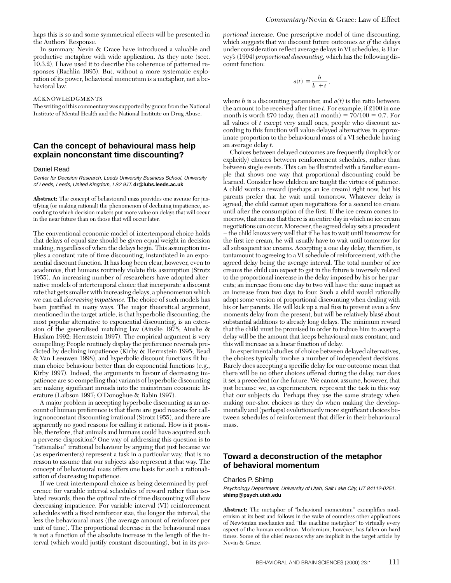haps this is so and some symmetrical effects will be presented in the Authors' Response.

In summary, Nevin & Grace have introduced a valuable and productive metaphor with wide application. As they note (sect. 10.3.2), I have used it to describe the coherence of patterned responses (Rachlin 1995). But, without a more systematic exploration of its power, behavioral momentum is a metaphor, not a behavioral law.

#### ACKNOWLEDGMENTS

The writing of this commentary was supported by grants from the National Institute of Mental Health and the National Institute on Drug Abuse.

## **Can the concept of behavioural mass help explain nonconstant time discounting?**

#### Daniel Read

Center for Decision Research, Leeds University Business School, University of Leeds, Leeds, United Kingdom, LS2 9JT. **dr@lubs.leeds.ac.uk**

**Abstract:** The concept of behavioural mass provides one avenue for justifying (or making rational) the phenomenon of declining impatience, according to which decision makers put more value on delays that will occur in the near future than on those that will occur later.

The conventional economic model of intertemporal choice holds that delays of equal size should be given equal weight in decision making, regardless of when the delays begin. This assumption implies a constant rate of time discounting, instantiated in an exponential discount function. It has long been clear, however, even to academics, that humans routinely violate this assumption (Strotz 1955). An increasing number of researchers have adopted alternative models of intertemporal choice that incorporate a discount rate that gets smaller with increasing delays, a phenomenon which we can call *decreasing impatience.* The choice of such models has been justified in many ways. The major theoretical argument, mentioned in the target article, is that hyperbolic discounting, the most popular alternative to exponential discounting, is an extension of the generalised matching law (Ainslie 1975; Ainslie & Haslam 1992; Herrnstein 1997). The empirical argument is very compelling: People routinely display the preference reversals predicted by declining impatience (Kirby & Herrnstein 1995; Read & Van Leeuwen 1998), and hyperbolic discount functions fit human choice behaviour better than do exponential functions (e.g., Kirby 1997). Indeed, the arguments in favour of decreasing impatience are so compelling that variants of hyperbolic discounting are making significant inroads into the mainstream economic literature (Laibson 1997; O'Donoghue & Rabin 1997).

A major problem in accepting hyperbolic discounting as an account of human preference is that there are good reasons for calling nonconstant discounting irrational (Strotz 1955), and there are apparently no good reasons for calling it rational. How is it possible, therefore, that animals and humans could have acquired such a perverse disposition? One way of addressing this question is to "rationalise" irrational behaviour by arguing that just because we (as experimenters) represent a task in a particular way, that is no reason to assume that our subjects also represent it that way. The concept of behavioural mass offers one basis for such a rationalisation of decreasing impatience.

If we treat intertemporal choice as being determined by preference for variable interval schedules of reward rather than isolated rewards, then the optimal rate of time discounting will show decreasing impatience. For variable interval (VI) reinforcement schedules with a fixed reinforcer size, the longer the interval, the less the behavioural mass (the average amount of reinforcer per unit of time). The proportional decrease in the behavioural mass is not a function of the absolute increase in the length of the interval (which would justify constant discounting), but in its *pro-* *portional* increase. One prescriptive model of time discounting, which suggests that we discount future outcomes *as if* the delays under consideration reflect average delays in VI schedules, is Harvey's (1994) *proportional discounting,* which has the following discount function:

$$
a(t) = \frac{b}{b+t},
$$

where  $b$  is a discounting parameter, and  $a(t)$  is the ratio between the amount to be received after time *t.* For example, if £100 in one month is worth £70 today, then  $a(1 \text{ month}) = 70/100 = 0.7$ . For all values of *t* except very small ones, people who discount according to this function will value delayed alternatives in approximate proportion to the behavioural mass of a VI schedule having an average delay *t.*

Choices between delayed outcomes are frequently (implicitly or explicitly) choices between reinforcement schedules, rather than between single events. This can be illustrated with a familiar example that shows one way that proportional discounting could be learned. Consider how children are taught the virtues of patience. A child wants a reward (perhaps an ice cream) right now, but his parents prefer that he wait until tomorrow. Whatever delay is agreed, the child cannot open negotiations for a second ice cream until after the consumption of the first. If the ice cream comes tomorrow, that means that there is an entire day in which no ice cream negotiations can occur. Moreover, the agreed delay sets a precedent – the child knows very well that if he has to wait until tomorrow for the first ice cream, he will usually have to wait until tomorrow for all subsequent ice creams. Accepting a one day delay, therefore, is tantamount to agreeing to a VI schedule of reinforcement, with the agreed delay being the average interval. The total number of ice creams the child can expect to get in the future is inversely related to the proportional increase in the delay imposed by his or her parents; an increase from one day to two will have the same impact as an increase from two days to four. Such a child would rationally adopt some version of proportional discounting when dealing with his or her parents. He will kick up a real fuss to prevent even a few moments delay from the present, but will be relatively blasé about substantial additions to already long delays. The minimum reward that the child must be promised in order to induce him to accept a delay will be the amount that keeps behavioural mass constant, and this will increase as a linear function of delay.

In experimental studies of choice between delayed alternatives, the choices typically involve a number of independent decisions. Rarely does accepting a specific delay for one outcome mean that there will be no other choices offered during the delay, nor does it set a precedent for the future. We cannot assume, however, that just because we, as experimenters, represent the task in this way that our subjects do. Perhaps they use the same strategy when making one-shot choices as they do when making the developmentally and (perhaps) evolutionarily more significant choices between schedules of reinforcement that differ in their behavioural mass.

## **Toward a deconstruction of the metaphor of behavioral momentum**

#### Charles P. Shimp

Psychology Department, University of Utah, Salt Lake City, UT 84112-0251. **shimp@psych.utah.edu**

**Abstract:** The metaphor of "behavioral momentum" exemplifies modernism at its best and follows in the wake of countless other applications of Newtonian mechanics and "the machine metaphor" to virtually every aspect of the human condition. Modernism, however, has fallen on hard times. Some of the chief reasons why are implicit in the target article by Nevin & Grace.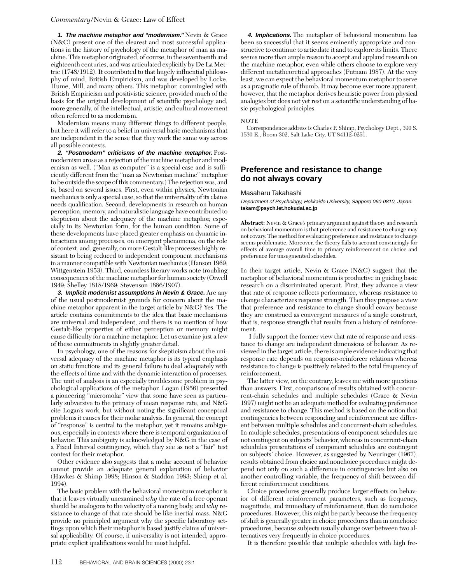**1. The machine metaphor and "modernism."** Nevin & Grace (N&G) present one of the clearest and most successful applications in the history of psychology of the metaphor of man as machine. This metaphor originated, of course, in the seventeenth and eighteenth centuries, and was articulated explicitly by De La Mettrie (1748/1912). It contributed to that hugely influential philosophy of mind, British Empiricism, and was developed by Locke, Hume, Mill, and many others. This metaphor, commingled with British Empiricism and positivistic science, provided much of the basis for the original development of scientific psychology and, more generally, of the intellectual, artistic, and cultural movement often referred to as modernism.

Modernism means many different things to different people, but here it will refer to a belief in universal basic mechanisms that are independent in the sense that they work the same way across all possible contexts.

**2. "Postmodern" criticisms of the machine metaphor.** Postmodernism arose as a rejection of the machine metaphor and modernism as well. ("Man as computer" is a special case and is sufficiently different from the "man as Newtonian machine" metaphor to be outside the scope of this commentary.) The rejection was, and is, based on several issues. First, even within physics, Newtonian mechanics is only a special case, so that the universality of its claims needs qualification. Second, developments in research on human perception, memory, and naturalistic language have contributed to skepticism about the adequacy of the machine metaphor, especially in its Newtonian form, for the human condition. Some of these developments have placed greater emphasis on dynamic interactions among processes, on emergent phenomena, on the role of context, and, generally, on more Gestalt-like processes highly resistant to being reduced to independent component mechanisms in a manner compatible with Newtonian mechanics (Hanson 1969; Wittgenstein 1953). Third, countless literary works note troubling consequences of the machine metaphor for human society (Orwell 1949; Shelley 1818/1969; Stevenson 1886/1907).

**3. Implicit modernist assumptions in Nevin & Grace.** Are any of the usual postmodernist grounds for concern about the machine metaphor apparent in the target article by N&G? Yes. The article contains commitments to the idea that basic mechanisms are universal and independent, and there is no mention of how Gestalt-like properties of either perception or memory might cause difficulty for a machine metaphor. Let us examine just a few of these commitments in slightly greater detail.

In psychology, one of the reasons for skepticism about the universal adequacy of the machine metaphor is its typical emphasis on static functions and its general failure to deal adequately with the effects of time and with the dynamic interaction of processes. The unit of analysis is an especially troublesome problem in psychological applications of the metaphor. Logan (1956) presented a pioneering "micromolar" view that some have seen as particularly subversive to the primacy of mean response rate, and N&G cite Logan's work, but without noting the significant conceptual problems it causes for their molar analysis. In general, the concept of "response" is central to the metaphor, yet it remains ambiguous, especially in contexts where there is temporal organization of behavior. This ambiguity is acknowledged by N&G in the case of a Fixed Interval contingency, which they see as not a "fair" test context for their metaphor.

Other evidence also suggests that a molar account of behavior cannot provide an adequate general explanation of behavior (Hawkes & Shimp 1998; Hinson & Staddon 1983; Shimp et al. 1994).

The basic problem with the behavioral momentum metaphor is that it leaves virtually unexamined *why* the rate of a free operant should be analogous to the velocity of a moving body, and *why* resistance to change of that rate should be like inertial mass. N&G provide no principled argument why the specific laboratory settings upon which their metaphor is based justify claims of universal applicability. Of course, if universality is not intended, appropriate explicit qualifications would be most helpful.

**4. Implications.** The metaphor of behavioral momentum has been so successful that it seems eminently appropriate and constructive to continue to articulate it and to explore its limits. There seems more than ample reason to accept and applaud research on the machine metaphor, even while others choose to explore very different metatheoretical approaches (Putnam 1987). At the very least, we can expect the behavioral momentum metaphor to serve as a pragmatic rule of thumb. It may become ever more apparent, however, that the metaphor derives heuristic power from physical analogies but does not yet rest on a scientific understanding of basic psychological principles.

#### NOTE

Correspondence address is Charles P. Shimp, Psychology Dept., 390 S. 1530 E., Room 302, Salt Lake City, UT 84112-0251.

## **Preference and resistance to change do not always covary**

#### Masaharu Takahashi

Department of Psychology, Hokkaido University, Sapporo 060-0810, Japan. **takam@psych.let.hokudai.ac.jp**

**Abstract:** Nevin & Grace's primary argument against theory and research on behavioral momentum is that preference and resistance to change may not covary. The method for evaluating preference and resistance to change seems problematic. Moreover, the theory fails to account convincingly for effects of average overall time to primary reinforcement on choice and preference for unsegmented schedules.

In their target article, Nevin & Grace (N&G) suggest that the metaphor of behavioral momentum is productive in guiding basic research on a discriminated operant. First, they advance a view that rate of response reflects performance, whereas resistance to change characterizes response strength. Then they propose a view that preference and resistance to change should covary because they are construed as convergent measures of a single construct, that is, response strength that results from a history of reinforcement.

I fully support the former view that rate of response and resistance to change are independent dimensions of behavior. As reviewed in the target article, there is ample evidence indicating that response rate depends on response-reinforcer relations whereas resistance to change is positively related to the total frequency of reinforcement.

The latter view, on the contrary, leaves me with more questions than answers. First, comparisons of results obtained with concurrent-chain schedules and multiple schedules (Grace & Nevin 1997) might not be an adequate method for evaluating preference and resistance to change. This method is based on the notion that contingencies between responding and reinforcement are different between multiple schedules and concurrent-chain schedules. In multiple schedules, presentations of component schedules are not contingent on subjects' behavior, whereas in concurrent-chain schedules presentations of component schedules are contingent on subjects' choice. However, as suggested by Neuringer (1967), results obtained from choice and nonchoice procedures might depend not only on such a difference in contingencies but also on another controlling variable, the frequency of shift between different reinforcement conditions.

Choice procedures generally produce larger effects on behavior of different reinforcement parameters, such as frequency, magnitude, and immediacy of reinforcement, than do nonchoice procedures. However, this might be partly because the frequency of shift is generally greater in choice procedures than in nonchoice procedures, because subjects usually change over between two alternatives very frequently in choice procedures.

It is therefore possible that multiple schedules with high fre-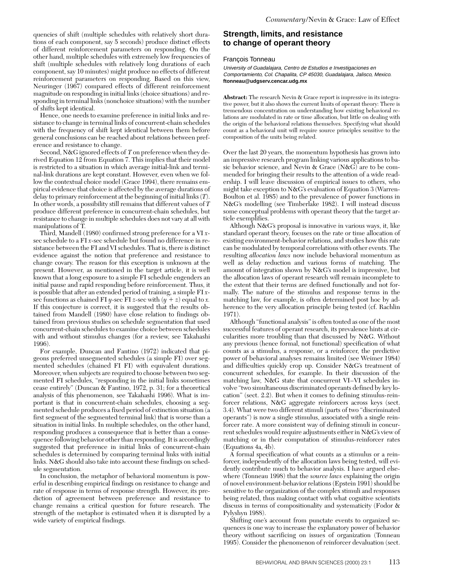quencies of shift (multiple schedules with relatively short durations of each component, say 5 seconds) produce distinct effects of different reinforcement parameters on responding. On the other hand, multiple schedules with extremely low frequencies of shift (multiple schedules with relatively long durations of each component, say 10 minutes) might produce no effects of different reinforcement parameters on responding. Based on this view, Neuringer (1967) compared effects of different reinforcement magnitude on responding in initial links (choice situations) and responding in terminal links (nonchoice situations) with the number of shifts kept identical.

Hence, one needs to examine preference in initial links and resistance to change in terminal links of concurrent-chain schedules with the frequency of shift kept identical between them before general conclusions can be reached about relations between preference and resistance to change.

Second, N&G ignored effects of *T* on preference when they derived Equation 12 from Equation 7. This implies that their model is restricted to a situation in which average initial-link and terminal-link durations are kept constant. However, even when we follow the contextual choice model (Grace 1994), there remains empirical evidence that choice is affected by the average durations of delay to primary reinforcement at the beginning of initial links (*T*). In other words, a possibility still remains that different values of *T* produce different preference in concurrent-chain schedules, but resistance to change in multiple schedules does not vary at all with manipulations of T.

Third, Mandell (1980) confirmed strong preference for a VI *x*sec schedule to a FI *x*-sec schedule but found no difference in resistance between the FI and VI schedules. That is, there is distinct evidence against the notion that preference and resistance to change covary. The reason for this exception is unknown at the present. However, as mentioned in the target article, it is well known that a long exposure to a simple FI schedule engenders an initial pause and rapid responding before reinforcement. Thus, it is possible that after an extended period of training, a simple FI *x*sec functions as chained FI *y*-sec FI *z*-sec with  $(y + z)$  equal to *x*. If this conjecture is correct, it is suggested that the results obtained from Mandell (1980) have close relation to findings obtained from previous studies on schedule segmentation that used concurrent-chain schedules to examine choice between schedules with and without stimulus changes (for a review, see Takahashi 1996).

For example, Duncan and Fantino (1972) indicated that pigeons preferred unsegmented schedules (a simple FI) over segmented schedules (chained FI FI) with equivalent durations. Moreover, when subjects are required to choose between two segmented FI schedules, "responding in the initial links sometimes cease entirely" (Duncan & Fantino, 1972, p. 31; for a theoretical analysis of this phenomenon, see Takahashi 1996). What is important is that in concurrent-chain schedules, choosing a segmented schedule produces a fixed period of extinction situation (a first segment of the segmented terminal link) that is worse than a situation in initial links. In multiple schedules, on the other hand, responding produces a consequence that is better than a consequence following behavior other than responding. It is accordingly suggested that preference in initial links of concurrent-chain schedules is determined by comparing terminal links with initial links. N&G should also take into account these findings on schedule segmentation.

In conclusion, the metaphor of behavioral momentum is powerful in describing empirical findings on resistance to change and rate of response in terms of response strength. However, its prediction of agreement between preference and resistance to change remains a critical question for future research. The strength of the metaphor is estimated when it is disrupted by a wide variety of empirical findings.

## **Strength, limits, and resistance to change of operant theory**

#### François Tonneau

University of Guadalajara, Centro de Estudios e Investigaciones en Comportamiento, Col. Chapalita, CP 45030, Guadalajara, Jalisco, Mexico. **ftonneau@udgserv.cencar.udg.mx**

**Abstract:** The research Nevin & Grace report is impressive in its integrative power, but it also shows the current limits of operant theory: There is tremendous concentration on understanding how existing behavioral relations are modulated in rate or time allocation, but little on dealing with the origin of the behavioral relations themselves. Specifying what should count as a behavioral unit will require source principles sensitive to the composition of the units being related.

Over the last 20 years, the momentum hypothesis has grown into an impressive research program linking various applications to basic behavior science, and Nevin & Grace (N&G) are to be commended for bringing their results to the attention of a wide readership. I will leave discussion of empirical issues to others, who might take exception to N&G's evaluation of Equation 3 (Warren-Boulton et al. 1985) and to the prevalence of power functions in N&G's modelling (see Timberlake 1982). I will instead discuss some conceptual problems with operant theory that the target article exemplifies.

Although N&G's proposal is innovative in various ways, it, like standard operant theory, focuses on the rate or time allocation of existing environment-behavior relations, and studies how this rate can be modulated by temporal correlations with other events. The resulting *allocation laws* now include behavioral momentum as well as delay reduction and various forms of matching. The amount of integration shown by N&G's model is impressive, but the allocation laws of operant research will remain incomplete to the extent that their terms are defined functionally and not formally. The nature of the stimulus and response terms in the matching law, for example, is often determined post hoc by adherence to the very allocation principle being tested (cf. Rachlin 1971).

Although "functional analysis" is often touted as one of the most successful features of operant research, its prevalence hints at circularities more troubling than that discussed by N&G. Without any previous (hence formal, not functional) specification of what counts as a stimulus, a response, or a reinforcer, the predictive power of behavioral analyses remains limited (see Weimer 1984) and difficulties quickly crop up. Consider N&G's treatment of concurrent schedules, for example. In their discussion of the matching law, N&G state that concurrent VI–VI schedules involve "two simultaneous discriminated operants defined by key location" (sect. 2.2). But when it comes to defining stimulus-reinforcer relations, N&G aggregate reinforcers across keys (sect. 3.4). What were two different stimuli (parts of two "discriminated operants") is now a single stimulus, associated with a single reinforcer rate. A more consistent way of defining stimuli in concurrent schedules would require adjustments either in N&G's view of matching or in their computation of stimulus-reinforcer rates (Equations 4a, 4b).

A formal specification of what counts as a stimulus or a reinforcer, independently of the allocation laws being tested, will evidently contribute much to behavior analysis. I have argued elsewhere (Tonneau 1998) that the *source laws* explaining the origin of novel environment-behavior relations (Epstein 1991) should be sensitive to the organization of the complex stimuli and responses being related, thus making contact with what cognitive scientists discuss in terms of compositionality and systematicity (Fodor & Pylyshyn 1988).

Shifting one's account from punctate events to organized sequences is one way to increase the explanatory power of behavior theory without sacrificing on issues of organization (Tonneau 1995). Consider the phenomenon of reinforcer devaluation (sect.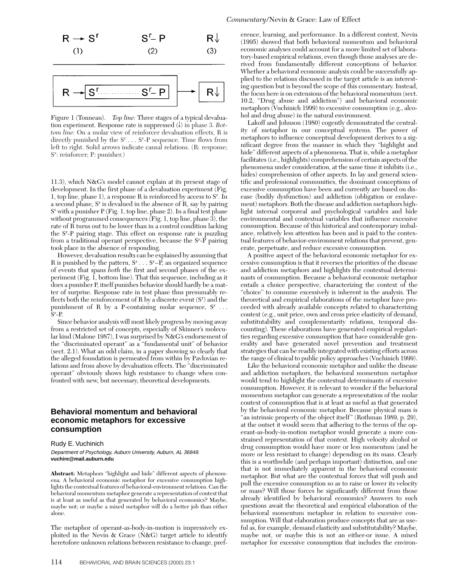$$
R \rightarrow S^{r} \qquad S^{r} - P \qquad R \downarrow
$$
\n(1)\n(2)\n(3)\n  
\n
$$
R \rightarrow S^{r} \qquad S^{r} - P \qquad R \downarrow
$$
\n
$$
R \rightarrow S^{r} \qquad S^{r} - P \qquad R \downarrow
$$

Figure 1 (Tonneau). *Top line:* Three stages of a typical devaluation experiment. Response rate is suppressed (d) in phase 3. *Bottom line:* On a molar view of reinforcer devaluation effects, R is directly punished by the  $S<sup>r</sup> \dots S<sup>r</sup>$ -P sequence. Time flows from left to right. Solid arrows indicate causal relations. (R: response; Sr : reinforcer; P: punisher.)

11.3), which N&G's model cannot explain at its present stage of development. In the first phase of a devaluation experiment (Fig. 1, top line, phase 1), a response R is reinforced by access to Sr . In a second phase, Sr is devalued in the absence of R, say by pairing Sr with a punisher P (Fig. 1, top line, phase 2). In a final test phase without programmed consequences (Fig. 1, top line, phase 3), the rate of R turns out to be lower than in a control condition lacking the S<sup>r</sup> -P pairing stage. This effect on response rate is puzzling from a traditional operant perspective, because the S<sup>r</sup>-P pairing took place in the absence of responding.

However, devaluation results can be explained by assuming that R is punished by the pattern,  $S^r \ldots S^{r-1}$ , an organized sequence of events that spans *both* the first and second phases of the experiment (Fig. 1, bottom line). That this sequence, including as it does a punisher P, itself punishes behavior should hardly be a matter of surprise. Response rate in test phase thus presumably reflects both the reinforcement of R by a discrete event (S<sup>r</sup> ) and the punishment of R by a P-containing molar sequence,  $S^r$  ...  $\tilde{S}^r$ -P.

Since behavior analysis will most likely progress by moving away from a restricted set of concepts, especially of Skinner's molecular kind (Malone 1987), I was surprised by N&G's endorsement of the "discriminated operant" as a "fundamental unit" of behavior (sect. 2.1). What an odd claim, in a paper showing so clearly that the alleged foundation is permeated from within by Pavlovian relations and from above by devaluation effects. The "discriminated operant" obviously shows high resistance to change when confronted with new, but necessary, theoretical developments.

## **Behavioral momentum and behavioral economic metaphors for excessive consumption**

Rudy E. Vuchinich Department of Psychology, Auburn University, Auburn, AL 36849. **vuchire@mail.auburn.edu**

**Abstract:** Metaphors "highlight and hide" different aspects of phenomena. A behavioral economic metaphor for excessive consumption highlights the contextual features of behavioral-environment relations. Can the behavioral momentum metaphor generate a representation of context that is at least as useful as that generated by behavioral economics? Maybe, maybe not; or maybe a mixed metaphor will do a better job than either alone.

The metaphor of operant-as-body-in-motion is impressively exploited in the Nevin & Grace (N&G) target article to identify heretofore unknown relations between resistance to change, preference, learning, and performance. In a different context, Nevin (1995) showed that both behavioral momentum and behavioral economic analyses could account for a more limited set of laboratory-based empirical relations, even though those analyses are derived from fundamentally different conceptions of behavior. Whether a behavioral economic analysis could be successfully applied to the relations discussed in the target article is an interesting question but is beyond the scope of this commentary. Instead, the focus here is on extensions of the behavioral momentum (sect. 10.2, "Drug abuse and addiction") and behavioral economic metaphors (Vuchinich 1999) to excessive consumption (e.g., alcohol and drug abuse) in the natural environment.

Lakoff and Johnson (1980) cogently demonstrated the centrality of metaphor in our conceptual systems. The power of metaphors to influence conceptual development derives to a significant degree from the manner in which they "highlight and hide" different aspects of a phenomena. That is, while a metaphor facilitates (i.e., highlights) comprehension of certain aspects of the phenomena under consideration, at the same time it inhibits (i.e., hides) comprehension of other aspects. In lay and general scientific and professional communities, the dominant conceptions of excessive consumption have been and currently are based on disease (bodily dysfunction) and addiction (obligation or enslavement) metaphors. Both the disease and addiction metaphors highlight internal corporeal and psychological variables and hide environmental and contextual variables that influence excessive consumption. Because of this historical and contemporary imbalance, relatively less attention has been and is paid to the contextual features of behavior-environment relations that prevent, generate, perpetuate, and reduce excessive consumption.

A positive aspect of the behavioral economic metaphor for excessive consumption is that it reverses the priorities of the disease and addiction metaphors and highlights the contextual determinants of consumption. Because a behavioral economic metaphor entails a choice perspective, characterizing the context of the "choice" to consume excessively is inherent in the analysis. The theoretical and empirical elaborations of the metaphor have proceeded with already available concepts related to characterizing context (e.g., unit price, own and cross price elasticity of demand, substitutability and complementarity relations, temporal discounting). These elaborations have generated empirical regularities regarding excessive consumption that have considerable generality and have generated novel prevention and treatment strategies that can be readily integrated with existing efforts across the range of clinical to public policy approaches (Vuchinich 1999).

Like the behavioral economic metaphor and unlike the disease and addiction metaphors, the behavioral momentum metaphor would tend to highlight the contextual determinants of excessive consumption. However, it is relevant to wonder if the behavioral momentum metaphor can generate a representation of the molar context of consumption that is at least as useful as that generated by the behavioral economic metaphor. Because physical mass is "an intrinsic property of the object itself" (Rothman 1989, p. 29), at the outset it would seem that adhering to the terms of the operant-as-body-in-motion metaphor would generate a more constrained representation of that context. High velocity alcohol or drug consumption would have more or less momentum (and be more or less resistant to change) depending on its mass. Clearly this is a worthwhile (and perhaps important) distinction, and one that is not immediately apparent in the behavioral economic metaphor. But what are the contextual forces that will push and pull the excessive consumption so as to raise or lower its velocity or mass? Will those forces be significantly different from those already identified by behavioral economics? Answers to such questions await the theoretical and empirical elaboration of the behavioral momentum metaphor in relation to excessive consumption. Will that elaboration produce concepts that are as useful as, for example, demand elasticity and substitutability? Maybe, maybe not, or maybe this is not an either-or issue. A mixed metaphor for excessive consumption that includes the environ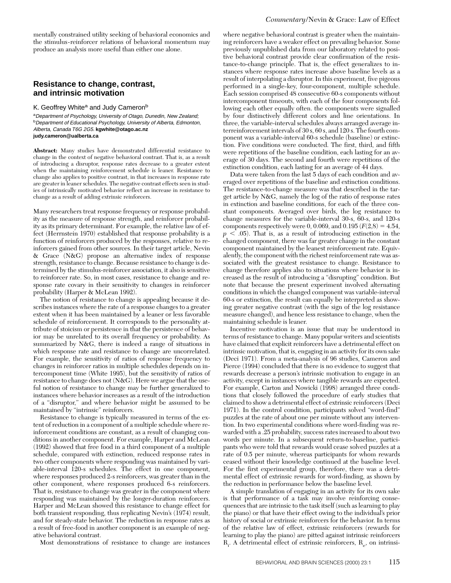mentally constrained utility seeking of behavioral economics and the stimulus-reinforcer relations of behavioral momentum may produce an analysis more useful than either one alone.

## **Resistance to change, contrast, and intrinsic motivation**

K. Geoffrey White<sup>a</sup> and Judy Cameron<sup>b</sup>

aDepartment of Psychology, University of Otago, Dunedin, New Zealand; **bDepartment of Educational Psychology, University of Alberta, Edmonton,** Alberta, Canada T6G 2G5. **kgwhite@otago.ac.nz judy.cameron@ualberta.ca**

**Abstract:** Many studies have demonstrated differential resistance to change in the context of negative behavioral contrast. That is, as a result of introducing a disruptor, response rates decrease to a greater extent when the maintaining reinforcement schedule is leaner. Resistance to change also applies to positive contrast, in that increases in response rate are greater in leaner schedules. The negative contrast effects seen in studies of intrinsically motivated behavior reflect an increase in resistance to change as a result of adding extrinsic reinforcers.

Many researchers treat response frequency or response probability as the measure of response strength, and reinforcer probability as its primary determinant. For example, the relative law of effect (Herrnstein 1970) established that response probability is a function of reinforcers produced by the responses, relative to reinforcers gained from other sources. In their target article, Nevin & Grace (N&G) propose an alternative index of response strength, resistance to change. Because resistance to change is determined by the stimulus-reinforcer association, it also is sensitive to reinforcer rate. So, in most cases, resistance to change and response rate covary in their sensitivity to changes in reinforcer probability (Harper & McLean 1992).

The notion of resistance to change is appealing because it describes instances where the rate of a response changes to a greater extent when it has been maintained by a leaner or less favorable schedule of reinforcement. It corresponds to the personality attribute of stoicism or persistence in that the persistence of behavior may be unrelated to its overall frequency or probability. As summarized by N&G, there is indeed a range of situations in which response rate and resistance to change are uncorrelated. For example, the sensitivity of ratios of response frequency to changes in reinforcer ratios in multiple schedules depends on intercomponent time (White 1995), but the sensitivity of ratios of resistance to change does not (N&G). Here we argue that the useful notion of resistance to change may be further generalized to instances where behavior increases as a result of the introduction of a "disruptor," and where behavior might be assumed to be maintained by "intrinsic" reinforcers.

Resistance to change is typically measured in terms of the extent of reduction in a component of a multiple schedule where reinforcement conditions are constant, as a result of changing conditions in another component. For example, Harper and McLean (1992) showed that free food in a third component of a multiple schedule, compared with extinction, reduced response rates in two other components where responding was maintained by variable-interval 120-s schedules. The effect in one component, where responses produced 2-s reinforcers, was greater than in the other component, where responses produced 6-s reinforcers. That is, resistance to change was greater in the component where responding was maintained by the longer-duration reinforcers. Harper and McLean showed this resistance to change effect for both transient responding, thus replicating Nevin's (1974) result, and for steady-state behavior. The reduction in response rates as a result of free-food in another component is an example of negative behavioral contrast.

Most demonstrations of resistance to change are instances

where negative behavioral contrast is greater when the maintaining reinforcers have a weaker effect on prevailing behavior. Some previously unpublished data from our laboratory related to positive behavioral contrast provide clear confirmation of the resistance-to-change principle. That is, the effect generalizes to instances where response rates increase above baseline levels as a result of interpolating a disruptor. In this experiment, five pigeons performed in a single-key, four-component, multiple schedule. Each session comprised 48 consecutive 60-s components without intercomponent timeouts, with each of the four components following each other equally often. the components were signalled by four distinctively different colors and line orientations. In three, the variable-interval schedules always arranged average interreinforcement intervals of 30 s, 60 s, and 120 s. The fourth component was a variable-interval 60-s schedule (baseline) or extinction. Five conditions were conducted. The first, third, and fifth were repetitions of the baseline condition, each lasting for an average of 30 days. The second and fourth were repetitions of the extinction condition, each lasting for an average of 44 days.

Data were taken from the last 5 days of each condition and averaged over repetitions of the baseline and extinction conditions. The resistance-to-change measure was that described in the target article by N&G, namely the log of the ratio of response rates in extinction and baseline conditions, for each of the three constant components. Averaged over birds, the log resistance to change measures for the variable-interval 30-s, 60-s, and 120-s components respectively were 0, 0.069, and  $0.195$   $(F(2,8) = 4.54,$  $p \leq .05$ ). That is, as a result of introducing extinction in the changed component, there was far greater change in the constant component maintained by the leanest reinforcement rate. Equivalently, the component with the richest reinforcement rate was associated with the greatest resistance to change. Resistance to change therefore applies also to situations where behavior is increased as the result of introducing a "disrupting" condition. But note that because the present experiment involved alternating conditions in which the changed component was variable-interval 60-s or extinction, the result can equally be interpreted as showing greater negative contrast (with the sign of the log resistance measure changed), and hence less resistance to change, when the maintaining schedule is leaner.

Incentive motivation is an issue that may be understood in terms of resistance to change. Many popular writers and scientists have claimed that explicit reinforcers have a detrimental effect on intrinsic motivation, that is, engaging in an activity for its own sake (Deci 1971). From a meta-analysis of 96 studies, Cameron and Pierce (1994) concluded that there is no evidence to suggest that rewards decrease a person's intrinsic motivation to engage in an activity, except in instances where tangible rewards are expected. For example, Carton and Nowicki (1998) arranged three conditions that closely followed the procedure of early studies that claimed to show a detrimental effect of extrinsic reinforcers (Deci 1971). In the control condition, participants solved "word-find" puzzles at the rate of about one per minute without any intervention. In two experimental conditions where word-finding was rewarded with a .25 probability, success rates increased to about two words per minute. In a subsequent return-to-baseline, participants who were told that rewards would cease solved puzzles at a rate of 0.5 per minute, whereas participants for whom rewards ceased without their knowledge continued at the baseline level. For the first experimental group, therefore, there was a detrimental effect of extrinsic rewards for word-finding, as shown by the reduction in performance below the baseline level.

A simple translation of engaging in an activity for its own sake is that performance of a task may involve reinforcing consequences that are intrinsic to the task itself (such as learning to play the piano) or that have their effect owing to the individual's prior history of social or extrinsic reinforcers for the behavior. In terms of the relative law of effect, extrinsic reinforcers (rewards for learning to play the piano) are pitted against intrinsic reinforcers  $R_i$ . A detrimental effect of extrinsic reinforcers,  $R_e$ , on intrinsi-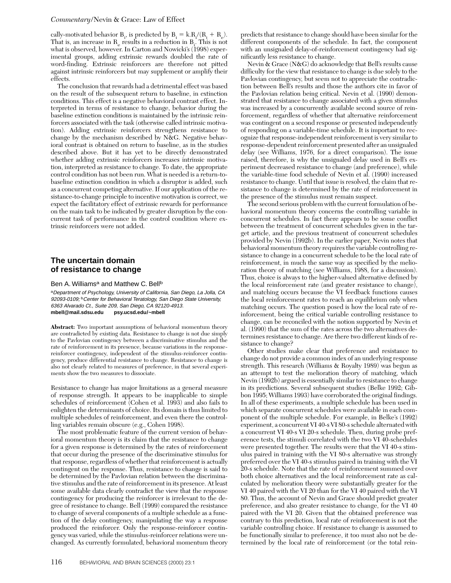#### *Commentary/*Nevin & Grace: Law of Effect

cally-motivated behavior  $B_i$ , is predicted by  $B_i = k R_i / (R_i + R_e)$ . That is, an increase in  $R_e$  results in a reduction in  $B_i$ . This is not what is observed, however. In Carton and Nowicki's (1998) experimental groups, adding extrinsic rewards doubled the rate of word-finding. Extrinsic reinforcers are therefore not pitted against intrinsic reinforcers but may supplement or amplify their effects.

The conclusion that rewards had a detrimental effect was based on the result of the subsequent return to baseline, in extinction conditions. This effect is a negative behavioral contrast effect. Interpreted in terms of resistance to change, behavior during the baseline extinction conditions is maintained by the intrinsic reinforcers associated with the task (otherwise called intrinsic motivation). Adding extrinsic reinforcers strengthens resistance to change by the mechanism described by N&G. Negative behavioral contrast is obtained on return to baseline, as in the studies described above. But it has yet to be directly demonstrated whether adding extrinsic reinforcers increases intrinsic motivation, interpreted as resistance to change. To date, the appropriate control condition has not been run. What is needed is a return-tobaseline extinction condition in which a disruptor is added, such as a concurrent competing alternative. If our application of the resistance-to-change principle to incentive motivation is correct, we expect the facilitatory effect of extrinsic rewards for performance on the main task to be indicated by greater disruption by the concurrent task of performance in the control condition where extrinsic reinforcers were not added.

## **The uncertain domain of resistance to change**

Ben A. Williams<sup>a</sup> and Matthew C. Bell<sup>b</sup>

aDepartment of Psychology, University of California, San Diego, La Jolla, CA 92093-0109; <sup>b</sup>Center for Behavioral Teratology, San Diego State University, 6363 Alvarado Ct., Suite 209, San Diego, CA 92120-4913. **mbell@mail.sdsu.edu psy.ucsd.edu/~mbell**

**Abstract:** Two important assumptions of behavioral momentum theory are contradicted by existing data. Resistance to change is not due simply to the Pavlovian contingency between a discriminative stimulus and the rate of reinforcement in its presence, because variations in the responsereinforcer contingency, independent of the stimulus-reinforcer contingency, produce differential resistance to change. Resistance to change is also not clearly related to measures of preference, in that several experiments show the two measures to dissociate.

Resistance to change has major limitations as a general measure of response strength. It appears to be inapplicable to simple schedules of reinforcement (Cohen et al. 1993) and also fails to enlighten the determinants of choice. Its domain is thus limited to multiple schedules of reinforcement, and even there the controlling variables remain obscure (e.g., Cohen 1998).

The most problematic feature of the current version of behavioral momentum theory is its claim that the resistance to change for a given response is determined by the rates of reinforcement that occur during the presence of the discriminative stimulus for that response, regardless of whether that reinforcement is actually contingent on the response. Thus, resistance to change is said to be determined by the Pavlovian relation between the discriminative stimulus and the rate of reinforcement in its presence. At least some available data clearly contradict the view that the response contingency for producing the reinforcer is irrelevant to the degree of resistance to change. Bell (1999) compared the resistance to change of several components of a multiple schedule as a function of the delay contingency, manipulating the way a response produced the reinforcer. Only the response-reinforcer contingency was varied, while the stimulus-reinforcer relations were unchanged. As currently formulated, behavioral momentum theory predicts that resistance to change should have been similar for the different components of the schedule. In fact, the component with an unsignaled delay-of-reinforcement contingency had significantly less resistance to change.

Nevin & Grace (N&G) do acknowledge that Bell's results cause difficulty for the view that resistance to change is due solely to the Pavlovian contingency, but seem not to appreciate the contradiction between Bell's results and those the authors cite in favor of the Pavlovian relation being critical. Nevin et al. (1990) demonstrated that resistance to change associated with a given stimulus was increased by a concurrently available second source of reinforcement, regardless of whether that alternative reinforcement was contingent on a second response or presented independently of responding on a variable-time schedule. It is important to recognize that response-independent reinforcement is very similar to response-dependent reinforcement presented after an unsignaled delay (see Williams, 1976, for a direct comparison). The issue raised, therefore, is why the unsignaled delay used in Bell's experiment decreased resistance to change (and preference), while the variable-time food schedule of Nevin et al. (1990) increased resistance to change. Until that issue is resolved, the claim that resistance to change is determined by the rate of reinforcement in the presence of the stimulus must remain suspect.

The second serious problem with the current formulation of behavioral momentum theory concerns the controlling variable in concurrent schedules. In fact there appears to be some conflict between the treatment of concurrent schedules given in the target article, and the previous treatment of concurrent schedules provided by Nevin (1992b). In the earlier paper, Nevin notes that behavioral momentum theory requires the variable controlling resistance to change in a concurrent schedule to be the local rate of reinforcement, in much the same way as specified by the melioration theory of matching (see Williams, 1988, for a discussion). Thus, choice is always to the higher-valued alternative defined by the local reinforcement rate (and greater resistance to change), and matching occurs because the VI feedback functions causes the local reinforcement rates to reach an equilibrium only when matching occurs. The question posed is how the local rate of reinforcement, being the critical variable controlling resistance to change, can be reconciled with the notion supported by Nevin et al. (1990) that the sum of the rates across the two alternatives determines resistance to change. Are there two different kinds of resistance to change?

Other studies make clear that preference and resistance to change do not provide a common index of an underlying response strength. This research (Williams & Royalty 1989) was begun as an attempt to test the melioration theory of matching, which Nevin (1992b) argued is essentially similar to resistance to change in its predictions. Several subsequent studies (Belke 1992; Gibbon 1995; Williams 1993) have corroborated the original findings. In all of these experiments, a multiple schedule has been used in which separate concurrent schedules were available in each component of the multiple schedule. For example, in Belke's (1992) experiment, a concurrent VI 40-s VI 80-s schedule alternated with a concurrent VI 40-s VI 20-s schedule. Then, during probe preference tests, the stimuli correlated with the two VI 40-schedules were presented together. The results were that the VI 40-s stimulus paired in training with the VI 80-s alternative was strongly preferred over the VI 40-s stimulus paired in training with the VI 20-s schedule. Note that the rate of reinforcement summed over both choice alternatives and the local reinforcement rate as calculated by melioration theory were substantially greater for the VI 40 paired with the VI 20 than for the VI 40 paired with the VI 80. Thus, the account of Nevin and Grace should predict greater preference, and also greater resistance to change, for the VI 40 paired with the VI 20. Given that the obtained preference was contrary to this prediction, local rate of reinforcement is not the variable controlling choice. If resistance to change is assumed to be functionally similar to preference, it too must also not be determined by the local rate of reinforcement (or the total rein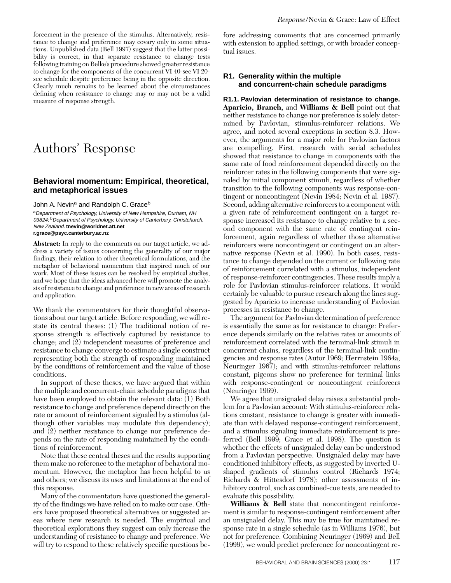forcement in the presence of the stimulus. Alternatively, resistance to change and preference may covary only in some situations. Unpublished data (Bell 1997) suggest that the latter possibility is correct, in that separate resistance to change tests following training on Belke's procedure showed greater resistance to change for the components of the concurrent VI 40-sec VI 20 sec schedule despite preference being in the opposite direction. Clearly much remains to be learned about the circumstances defining when resistance to change may or may not be a valid measure of response strength.

# Authors' Response

## **Behavioral momentum: Empirical, theoretical, and metaphorical issues**

John A. Nevin<sup>a</sup> and Randolph C. Grace<sup>b</sup>

aDepartment of Psychology, University of New Hampshire, Durham, NH 03824; **bDepartment of Psychology, University of Canterbury, Christchurch,** New Zealand. **tnevin@worldnet.att.net r.grace@psyc.canterbury.ac.nz**

**Abstract:** In reply to the comments on our target article, we address a variety of issues concerning the generality of our major findings, their relation to other theoretical formulations, and the metaphor of behavioral momentum that inspired much of our work. Most of these issues can be resolved by empirical studies, and we hope that the ideas advanced here will promote the analysis of resistance to change and preference in new areas of research and application.

We thank the commentators for their thoughtful observations about our target article. Before responding, we will restate its central theses: (1) The traditional notion of response strength is effectively captured by resistance to change; and (2) independent measures of preference and resistance to change converge to estimate a single construct representing both the strength of responding maintained by the conditions of reinforcement and the value of those conditions.

In support of these theses, we have argued that within the multiple and concurrent-chain schedule paradigms that have been employed to obtain the relevant data: (1) Both resistance to change and preference depend directly on the rate or amount of reinforcement signaled by a stimulus (although other variables may modulate this dependency); and (2) neither resistance to change nor preference depends on the rate of responding maintained by the conditions of reinforcement.

Note that these central theses and the results supporting them make no reference to the metaphor of behavioral momentum. However, the metaphor has been helpful to us and others; we discuss its uses and limitations at the end of this response.

Many of the commentators have questioned the generality of the findings we have relied on to make our case. Others have proposed theoretical alternatives or suggested areas where new research is needed. The empirical and theoretical explorations they suggest can only increase the understanding of resistance to change and preference. We will try to respond to these relatively specific questions before addressing comments that are concerned primarily with extension to applied settings, or with broader conceptual issues.

## **R1. Generality within the multiple and concurrent-chain schedule paradigms**

**R1.1. Pavlovian determination of resistance to change. Aparicio, Branch,** and **Williams & Bell** point out that neither resistance to change nor preference is solely determined by Pavlovian, stimulus-reinforcer relations. We agree, and noted several exceptions in section 8.3. However, the arguments for a major role for Pavlovian factors are compelling. First, research with serial schedules showed that resistance to change in components with the same rate of food reinforcement depended directly on the reinforcer rates in the following components that were signaled by initial component stimuli, regardless of whether transition to the following components was response-contingent or noncontingent (Nevin 1984; Nevin et al. 1987). Second, adding alternative reinforcers to a component with a given rate of reinforcement contingent on a target response increased its resistance to change relative to a second component with the same rate of contingent reinforcement, again regardless of whether those alternative reinforcers were noncontingent or contingent on an alternative response (Nevin et al. 1990). In both cases, resistance to change depended on the current or following rate of reinforcement correlated with a stimulus, independent of response-reinforcer contingencies. These results imply a role for Pavlovian stimulus-reinforcer relations. It would certainly be valuable to pursue research along the lines suggested by Aparicio to increase understanding of Pavlovian processes in resistance to change.

The argument for Pavlovian determination of preference is essentially the same as for resistance to change: Preference depends similarly on the relative rates or amounts of reinforcement correlated with the terminal-link stimuli in concurrent chains, regardless of the terminal-link contingencies and response rates (Autor 1969; Herrnstein 1964a; Neuringer 1967); and with stimulus-reinforcer relations constant, pigeons show no preference for terminal links with response-contingent or noncontingent reinforcers (Neuringer 1969).

We agree that unsignaled delay raises a substantial problem for a Pavlovian account: With stimulus-reinforcer relations constant, resistance to change is greater with immediate than with delayed response-contingent reinforcement, and a stimulus signaling immediate reinforcement is preferred (Bell 1999; Grace et al. 1998). The question is whether the effects of unsignaled delay can be understood from a Pavlovian perspective. Unsignaled delay may have conditioned inhibitory effects, as suggested by inverted Ushaped gradients of stimulus control (Richards 1974; Richards & Hittesdorf 1978); other assessments of inhibitory control, such as combined-cue tests, are needed to evaluate this possibility.

Williams  $\&$  Bell state that noncontingent reinforcement is similar to response-contingent reinforcement after an unsignaled delay. This may be true for maintained response rate in a single schedule (as in Williams 1976), but not for preference. Combining Neuringer (1969) and Bell (1999), we would predict preference for noncontingent re-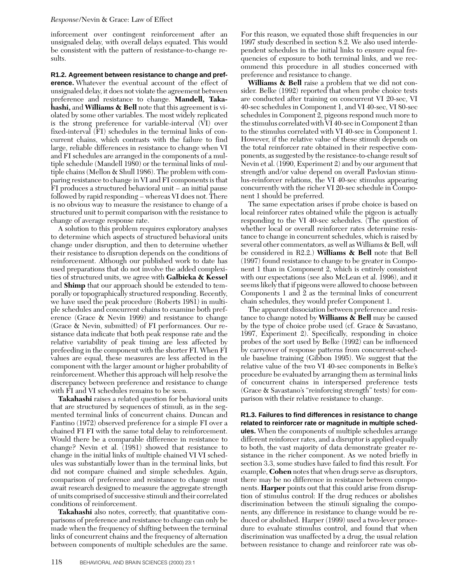#### *Response/*Nevin & Grace: Law of Effect

inforcement over contingent reinforcement after an unsignaled delay, with overall delays equated. This would be consistent with the pattern of resistance-to-change results.

**R1.2. Agreement between resistance to change and preference.** Whatever the eventual account of the effect of unsignaled delay, it does not violate the agreement between preference and resistance to change. **Mandell, Takahashi,** and **Williams & Bell** note that this agreement is violated by some other variables. The most widely replicated is the strong preference for variable-interval (VI) over fixed-interval (FI) schedules in the terminal links of concurrent chains, which contrasts with the failure to find large, reliable differences in resistance to change when VI and FI schedules are arranged in the components of a multiple schedule (Mandell 1980) or the terminal links of multiple chains (Mellon & Shull 1986). The problem with comparing resistance to change in VI and FI components is that FI produces a structured behavioral unit – an initial pause followed by rapid responding – whereas VI does not. There is no obvious way to measure the resistance to change of a structured unit to permit comparison with the resistance to change of average response rate.

A solution to this problem requires exploratory analyses to determine which aspects of structured behavioral units change under disruption, and then to determine whether their resistance to disruption depends on the conditions of reinforcement. Although our published work to date has used preparations that do not involve the added complexities of structured units, we agree with **Galbicka & Kessel** and **Shimp** that our approach should be extended to temporally or topographically structured responding. Recently, we have used the peak procedure (Roberts 1981) in multiple schedules and concurrent chains to examine both preference (Grace & Nevin 1999) and resistance to change (Grace & Nevin, submitted) of FI performances. Our resistance data indicate that both peak response rate and the relative variability of peak timing are less affected by prefeeding in the component with the shorter FI. When FI values are equal, these measures are less affected in the component with the larger amount or higher probability of reinforcement. Whether this approach will help resolve the discrepancy between preference and resistance to change with FI and VI schedules remains to be seen.

**Takahashi** raises a related question for behavioral units that are structured by sequences of stimuli, as in the segmented terminal links of concurrent chains. Duncan and Fantino (1972) observed preference for a simple FI over a chained FI FI with the same total delay to reinforcement. Would there be a comparable difference in resistance to change? Nevin et al. (1981) showed that resistance to change in the initial links of multiple chained VI VI schedules was substantially lower than in the terminal links, but did not compare chained and simple schedules. Again, comparison of preference and resistance to change must await research designed to measure the aggregate strength of units comprised of successive stimuli and their correlated conditions of reinforcement.

**Takahashi** also notes, correctly, that quantitative comparisons of preference and resistance to change can only be made when the frequency of shifting between the terminal links of concurrent chains and the frequency of alternation between components of multiple schedules are the same. For this reason, we equated those shift frequencies in our 1997 study described in section 8.2. We also used interdependent schedules in the initial links to ensure equal frequencies of exposure to both terminal links, and we recommend this procedure in all studies concerned with preference and resistance to change.

**Williams & Bell** raise a problem that we did not consider. Belke (1992) reported that when probe choice tests are conducted after training on concurrent VI 20-sec, VI 40-sec schedules in Component 1, and VI 40-sec, VI 80-sec schedules in Component 2, pigeons respond much more to the stimulus correlated with VI 40-sec in Component 2 than to the stimulus correlated with VI 40-sec in Component 1. However, if the relative value of these stimuli depends on the total reinforcer rate obtained in their respective components, as suggested by the resistance-to-change result sof Nevin et al. (1990, Experiment 2) and by our argument that strength and/or value depend on overall Pavlovian stimulus-reinforcer relations, the VI 40-sec stimulus appearing concurrently with the richer VI 20-sec schedule in Component 1 should be preferred.

The same expectation arises if probe choice is based on local reinforcer rates obtained while the pigeon is actually responding to the VI 40-sec schedules. (The question of whether local or overall reinforcer rates determine resistance to change in concurrent schedules, which is raised by several other commentators, as well as Williams & Bell, will be considered in R2.2.) **Williams & Bell** note that Bell (1997) found resistance to change to be greater in Component 1 than in Component 2, which is entirely consistent with our expectations (see also McLean et al. 1996), and it seems likely that if pigeons were allowed to choose between Components 1 and 2 as the terminal links of concurrent chain schedules, they would prefer Component 1.

The apparent dissociation between preference and resistance to change noted by **Williams & Bell** may be caused by the type of choice probe used (cf. Grace & Savastano, 1997, Experiment 2). Specifically, responding in choice probes of the sort used by Belke (1992) can be influenced by carryover of response patterns from concurrent-schedule baseline training (Gibbon 1995). We suggest that the relative value of the two VI 40-sec components in Belke's procedure be evaluated by arranging them as terminal links of concurrent chains in interspersed preference tests (Grace & Savastano's "reinforcing strength" tests) for comparison with their relative resistance to change.

**R1.3. Failures to find differences in resistance to change related to reinforcer rate or magnitude in multiple schedules.** When the components of multiple schedules arrange different reinforcer rates, and a disruptor is applied equally to both, the vast majority of data demonstrate greater resistance in the richer component. As we noted briefly in section 3.3, some studies have failed to find this result. For example, **Cohen** notes that when drugs serve as disruptors, there may be no difference in resistance between components. **Harper** points out that this could arise from disruption of stimulus control: If the drug reduces or abolishes discrimination between the stimuli signaling the components, any difference in resistance to change would be reduced or abolished. Harper (1999) used a two-lever procedure to evaluate stimulus control, and found that when discrimination was unaffected by a drug, the usual relation between resistance to change and reinforcer rate was ob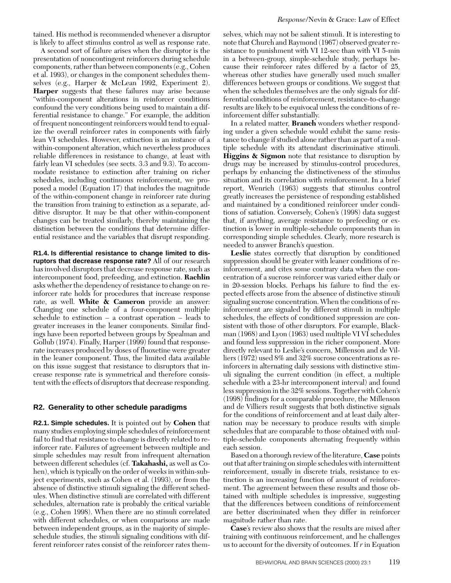tained. His method is recommended whenever a disruptor is likely to affect stimulus control as well as response rate.

A second sort of failure arises when the disruptor is the presentation of noncontingent reinforcers during schedule components, rather than between components (e.g., Cohen et al. 1993), or changes in the component schedules themselves (e.g., Harper & McLean 1992, Experiment 2). **Harper** suggests that these failures may arise because "within-component alterations in reinforcer conditions confound the very conditions being used to maintain a differential resistance to change." For example, the addition of frequent noncontingent reinforcers would tend to equalize the overall reinforcer rates in components with fairly lean VI schedules. However, extinction is an instance of a within-component alteration, which nevertheless produces reliable differences in resistance to change, at least with fairly lean VI schedules (see sects. 3.3 and 9.3). To accommodate resistance to extinction after training on richer schedules, including continuous reinforcement, we proposed a model (Equation 17) that includes the magnitude of the within-component change in reinforcer rate during the transition from training to extinction as a separate, additive disruptor. It may be that other within-component changes can be treated similarly, thereby maintaining the distinction between the conditions that determine differential resistance and the variables that disrupt responding.

**R1.4. Is differential resistance to change limited to disruptors that decrease response rate?** All of our research has involved disruptors that decrease response rate, such as intercomponent food, prefeeding, and extinction. **Rachlin** asks whether the dependency of resistance to change on reinforcer rate holds for procedures that increase response rate, as well. **White & Cameron** provide an answer: Changing one schedule of a four-component multiple schedule to extinction – a contrast operation – leads to greater increases in the leaner components. Similar findings have been reported between groups by Spealman and Gollub (1974). Finally, Harper (1999) found that responserate increases produced by doses of fluoxetine were greater in the leaner component. Thus, the limited data available on this issue suggest that resistance to disruptors that increase response rate is symmetrical and therefore consistent with the effects of disruptors that decrease responding.

## **R2. Generality to other schedule paradigms**

**R2.1. Simple schedules.** It is pointed out by **Cohen** that many studies employing simple schedules of reinforcement fail to find that resistance to change is directly related to reinforcer rate. Failures of agreement between multiple and simple schedules may result from infrequent alternation between different schedules (cf. **Takahashi,** as well as Cohen), which is typically on the order of weeks in within-subject experiments, such as Cohen et al. (1993), or from the absence of distinctive stimuli signaling the different schedules. When distinctive stimuli are correlated with different schedules, alternation rate is probably the critical variable (e.g., Cohen 1998). When there are no stimuli correlated with different schedules, or when comparisons are made between independent groups, as in the majority of simpleschedule studies, the stimuli signaling conditions with different reinforcer rates consist of the reinforcer rates them-

selves, which may not be salient stimuli. It is interesting to note that Church and Raymond (1967) observed greater resistance to punishment with VI 12-sec than with VI 5-min in a between-group, simple-schedule study, perhaps because their reinforcer rates differed by a factor of 25, whereas other studies have generally used much smaller differences between groups or conditions. We suggest that when the schedules themselves are the only signals for differential conditions of reinforcement, resistance-to-change results are likely to be equivocal unless the conditions of reinforcement differ substantially.

In a related matter, **Branch** wonders whether responding under a given schedule would exhibit the same resistance to change if studied alone rather than as part of a multiple schedule with its attendant discriminative stimuli. **Higgins & Sigmon** note that resistance to disruption by drugs may be increased by stimulus-control procedures, perhaps by enhancing the distinctiveness of the stimulus situation and its correlation with reinforcement. In a brief report, Wenrich (1963) suggests that stimulus control greatly increases the persistence of responding established and maintained by a conditioned reinforcer under conditions of satiation. Conversely, Cohen's (1998) data suggest that, if anything, average resistance to prefeeding or extinction is lower in multiple-schedule components than in corresponding simple schedules. Clearly, more research is needed to answer Branch's question.

**Leslie** states correctly that disruption by conditioned suppression should be greater with leaner conditions of reinforcement, and cites some contrary data when the concentration of a sucrose reinforcer was varied either daily or in 20-session blocks. Perhaps his failure to find the expected effects arose from the absence of distinctive stimuli signaling sucrose concentration. When the conditions of reinforcement are signaled by different stimuli in multiple schedules, the effects of conditioned suppression are consistent with those of other disruptors. For example, Blackman (1968) and Lyon (1963) used multiple VI VI schedules and found less suppression in the richer component. More directly relevant to Leslie's concern, Millenson and de Villiers (1972) used 8% and 32% sucrose concentrations as reinforcers in alternating daily sessions with distinctive stimuli signaling the current condition (in effect, a multiple schedule with a 23-hr intercomponent interval) and found less suppression in the 32% sessions. Together with Cohen's (1998) findings for a comparable procedure, the Millenson and de Villiers result suggests that both distinctive signals for the conditions of reinforcement and at least daily alternation may be necessary to produce results with simple schedules that are comparable to those obtained with multiple-schedule components alternating frequently within each session.

Based on a thorough review of the literature, **Case** points out that after training on simple schedules with intermittent reinforcement, usually in discrete trials, resistance to extinction is an increasing function of amount of reinforcement. The agreement between these results and those obtained with multiple schedules is impressive, suggesting that the differences between conditions of reinforcement are better discriminated when they differ in reinforcer magnitude rather than rate.

**Case**'s review also shows that the results are mixed after training with continuous reinforcement, and he challenges us to account for the diversity of outcomes. If *r* in Equation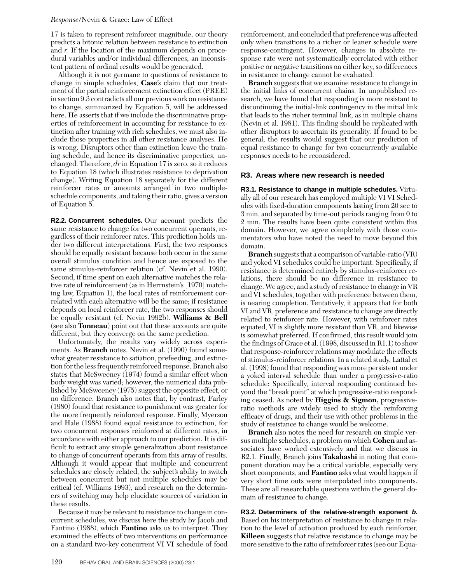#### *Response/*Nevin & Grace: Law of Effect

17 is taken to represent reinforcer magnitude, our theory predicts a bitonic relation between resistance to extinction and *r.* If the location of the maximum depends on procedural variables and/or individual differences, an inconsistent pattern of ordinal results would be generated.

Although it is not germane to questions of resistance to change in simple schedules, **Case**'s claim that our treatment of the partial reinforcement extinction effect (PREE) in section 9.3 contradicts all our previous work on resistance to change, summarized by Equation 5, will be addressed here. He asserts that if we include the discriminative properties of reinforcement in accounting for resistance to extinction after training with rich schedules, we must also include those properties in all other resistance analyses. He is wrong. Disruptors other than extinction leave the training schedule, and hence its discriminative properties, unchanged. Therefore, *dr* in Equation 17 is zero, so it reduces to Equation 18 (which illustrates resistance to deprivation change). Writing Equation 18 separately for the different reinforcer rates or amounts arranged in two multipleschedule components, and taking their ratio, gives a version of Equation 5.

**R2.2. Concurrent schedules.** Our account predicts the same resistance to change for two concurrent operants, regardless of their reinforcer rates. This prediction holds under two different interpretations. First, the two responses should be equally resistant because both occur in the same overall stimulus condition and hence are exposed to the same stimulus-reinforcer relation (cf. Nevin et al. 1990). Second, if time spent on each alternative matches the relative rate of reinforcement (as in Herrnstein's [1970] matching law, Equation 1), the local rates of reinforcement correlated with each alternative will be the same; if resistance depends on local reinforcer rate, the two responses should be equally resistant (cf. Nevin 1992b). **Williams & Bell** (see also **Tonneau**) point out that these accounts are quite different, but they converge on the same prediction.

Unfortunately, the results vary widely across experiments. As **Branch** notes, Nevin et al. (1990) found somewhat greater resistance to satiation, prefeeding, and extinction for the less frequently reinforced response. Branch also states that McSweeney (1974) found a similar effect when body weight was varied; however, the numerical data published by McSweeney (1975) suggest the opposite effect, or no difference. Branch also notes that, by contrast, Farley (1980) found that resistance to punishment was greater for the more frequently reinforced response. Finally, Myerson and Hale (1988) found equal resistance to extinction, for two concurrent responses reinforced at different rates, in accordance with either approach to our prediction. It is difficult to extract any simple generalization about resistance to change of concurrent operants from this array of results. Although it would appear that multiple and concurrent schedules are closely related, the subject's ability to switch between concurrent but not multiple schedules may be critical (cf. Williams 1993), and research on the determiners of switching may help elucidate sources of variation in these results.

Because it may be relevant to resistance to change in concurrent schedules, we discuss here the study by Jacob and Fantino (1988), which **Fantino** asks us to interpret. They examined the effects of two interventions on performance on a standard two-key concurrent VI VI schedule of food reinforcement, and concluded that preference was affected only when transitions to a richer or leaner schedule were response-contingent. However, changes in absolute response rate were not systematically correlated with either positive or negative transitions on either key, so differences in resistance to change cannot be evaluated.

**Branch** suggests that we examine resistance to change in the initial links of concurrent chains. In unpublished research, we have found that responding is more resistant to discontinuing the initial-link contingency in the initial link that leads to the richer terminal link, as in multiple chains (Nevin et al. 1981). This finding should be replicated with other disruptors to ascertain its generality. If found to be general, the results would suggest that our prediction of equal resistance to change for two concurrently available responses needs to be reconsidered.

#### **R3. Areas where new research is needed**

**R3.1. Resistance to change in multiple schedules.** Virtually all of our research has employed multiple VI VI Schedules with fixed-duration components lasting from 20 sec to 3 min, and separated by time-out periods ranging from 0 to 2 min. The results have been quite consistent within this domain. However, we agree completely with those commentators who have noted the need to move beyond this domain.

**Branch** suggests that a comparison of variable-ratio (VR) and yoked VI schedules could be important. Specifically, if resistance is determined entirely by stimulus-reinforcer relations, there should be no difference in resistance to change. We agree, and a study of resistance to change in VR and VI schedules, together with preference between them, is nearing completion. Tentatively, it appears that for both VI and VR, preference and resistance to change are directly related to reinforcer rate. However, with reinforcer rates equated, VI is slightly more resistant than VR, and likewise is somewhat preferred. If confirmed, this result would join the findings of Grace et al. (1998, discussed in R1.1) to show that response-reinforcer relations may modulate the effects of stimulus-reinforcer relations. In a related study, Lattal et al. (1998) found that responding was more persistent under a yoked interval schedule than under a progressive-ratio schedule: Specifically, interval responding continued beyond the "break point" at which progressive-ratio responding ceased. As noted by **Higgins & Sigmon,** progressiveratio methods are widely used to study the reinforcing efficacy of drugs, and their use with other problems in the study of resistance to change would be welcome.

**Branch** also notes the need for research on simple versus multiple schedules, a problem on which **Cohen** and associates have worked extensively and that we discuss in R2.1. Finally, Branch joins **Takahashi** in noting that component duration may be a critical variable, especially very short components, and **Fantino** asks what would happen if very short time outs were interpolated into components. These are all researchable questions within the general domain of resistance to change.

**R3.2. Determiners of the relative-strength exponent b.** Based on his interpretation of resistance to change in relation to the level of activation produced by each reinforcer, **Killeen** suggests that relative resistance to change may be more sensitive to the ratio of reinforcer rates (see our Equa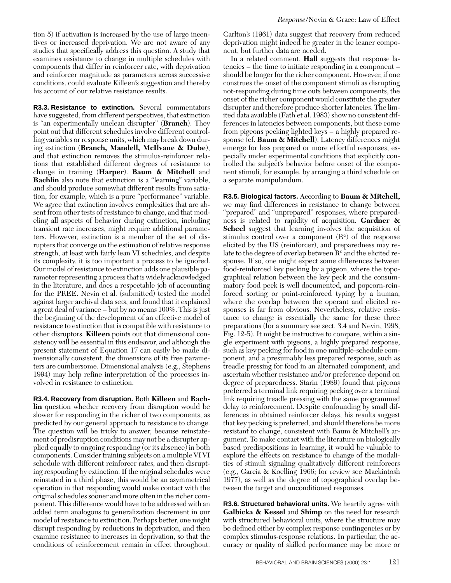tion 5) if activation is increased by the use of large incentives or increased deprivation. We are not aware of any studies that specifically address this question. A study that examines resistance to change in multiple schedules with components that differ in reinforcer rate, with deprivation and reinforcer magnitude as parameters across successive conditions, could evaluate Killeen's suggestion and thereby his account of our relative resistance results.

**R3.3. Resistance to extinction.** Several commentators have suggested, from different perspectives, that extinction is "an experimentally unclean disrupter" (**Branch**). They point out that different schedules involve different controlling variables or response units, which may break down during extinction (**Branch, Mandell, McIlvane & Dube**), and that extinction removes the stimulus-reinforcer relations that established different degrees of resistance to change in training (**Harper**). **Baum & Mitchell** and **Rachlin** also note that extinction is a "learning" variable, and should produce somewhat different results from satiation, for example, which is a pure "performance" variable. We agree that extinction involves complexities that are absent from other tests of resistance to change, and that modeling all aspects of behavior during extinction, including transient rate increases, might require additional parameters. However, extinction is a member of the set of disrupters that converge on the estimation of relative response strength, at least with fairly lean VI schedules, and despite its complexity, it is too important a process to be ignored. Our model of resistance to extinction adds one plausible parameter representing a process that is widely acknowledged in the literature, and does a respectable job of accounting for the PREE. Nevin et al. (submitted) tested the model against larger archival data sets, and found that it explained a great deal of variance – but by no means 100%. This is just the beginning of the development of an effective model of resistance to extinction that is compatible with resistance to other disruptors. **Killeen** points out that dimensional consistency will be essential in this endeavor, and although the present statement of Equation 17 can easily be made dimensionally consistent, the dimensions of its free parameters are cumbersome. Dimensional analysis (e.g., Stephens 1994) may help refine interpretation of the processes involved in resistance to extinction.

**R3.4. Recovery from disruption.** Both **Killeen** and **Rachlin** question whether recovery from disruption would be slower for responding in the richer of two components, as predicted by our general approach to resistance to change. The question will be tricky to answer, because reinstatement of predisruption conditions may not be a disrupter applied equally to ongoing responding (or its absence) in both components. Consider training subjects on a multiple VI VI schedule with different reinforcer rates, and then disrupting responding by extinction. If the original schedules were reinstated in a third phase, this would be an asymmetrical operation in that responding would make contact with the original schedules sooner and more often in the richer component. This difference would have to be addressed with an added term analogous to generalization decrement in our model of resistance to extinction. Perhaps better, one might disrupt responding by reductions in deprivation, and then examine resistance to increases in deprivation, so that the conditions of reinforcement remain in effect throughout.

Carlton's (1961) data suggest that recovery from reduced deprivation might indeed be greater in the leaner component, but further data are needed.

In a related comment, **Hall** suggests that response latencies – the time to initiate responding in a component – should be longer for the richer component. However, if one construes the onset of the component stimuli as disrupting not-responding during time outs between components, the onset of the richer component would constitute the greater disrupter and therefore produce shorter latencies. The limited data available (Fath et al. 1983) show no consistent differences in latencies between components, but these come from pigeons pecking lighted keys – a highly prepared response (cf. **Baum & Mitchell**). Latency differences might emerge for less prepared or more effortful responses, especially under experimental conditions that explicitly controlled the subject's behavior before onset of the component stimuli, for example, by arranging a third schedule on a separate manipulandum.

**R3.5. Biological factors.** According to **Baum & Mitchell,** we may find differences in resistance to change between "prepared" and "unprepared" responses, where preparedness is related to rapidity of acquisition. **Gardner & Scheel** suggest that learning involves the acquisition of stimulus control over a component (R<sup>c</sup>) of the response elicited by the US (reinforcer), and preparedness may relate to the degree of overlap between  $R<sup>c</sup>$  and the elicited response. If so, one might expect some differences between food-reinforced key pecking by a pigeon, where the topographical relation between the key peck and the consummatory food peck is well documented, and popcorn-reinforced sorting or point-reinforced typing by a human, where the overlap between the operant and elicited responses is far from obvious. Nevertheless, relative resistance to change is essentially the same for these three preparations (for a summary see sect. 3.4 and Nevin, 1998, Fig. 12-5). It might be instructive to compare, within a single experiment with pigeons, a highly prepared response, such as key pecking for food in one multiple-schedule component, and a presumably less prepared response, such as treadle pressing for food in an alternated component, and ascertain whether resistance and/or preference depend on degree of preparedness. Starin (1989) found that pigeons preferred a terminal link requiring pecking over a terminal link requiring treadle pressing with the same programmed delay to reinforcement. Despite confounding by small differences in obtained reinforcer delays, his results suggest that key pecking is preferred, and should therefore be more resistant to change, consistent with Baum & Mitchell's argument. To make contact with the literature on biologically based predispositions in learning, it would be valuable to explore the effects on resistance to change of the modalities of stimuli signaling qualitatively different reinforcers (e.g., Garcia & Koelling 1966; for review see Mackintosh 1977), as well as the degree of topographical overlap between the target and unconditioned responses.

**R3.6. Structured behavioral units.** We heartily agree with **Galbicka & Kessel** and **Shimp** on the need for research with structured behavioral units, where the structure may be defined either by complex response contingencies or by complex stimulus-response relations. In particular, the accuracy or quality of skilled performance may be more or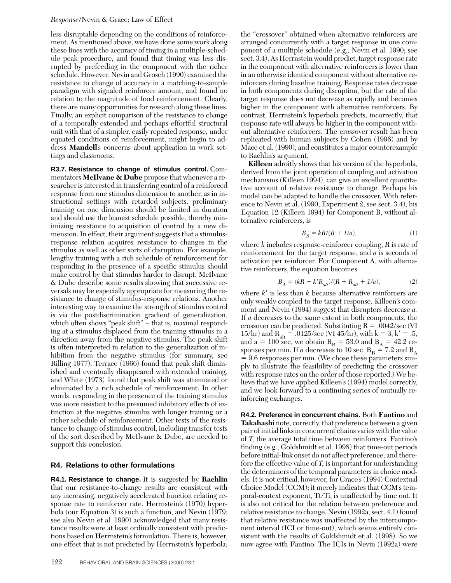#### *Response/*Nevin & Grace: Law of Effect

less disruptable depending on the conditions of reinforcement. As mentioned above, we have done some work along these lines with the accuracy of timing in a multiple-schedule peak procedure, and found that timing was less disrupted by prefeeding in the component with the richer schedule. However, Nevin and Grosch (1990) examined the resistance to change of accuracy in a matching-to-sample paradigm with signaled reinforcer amount, and found no relation to the magnitude of food reinforcement. Clearly, there are many opportunities for research along these lines. Finally, an explicit comparison of the resistance to change of a temporally extended and perhaps effortful structural unit with that of a simpler, easily repeated response, under equated conditions of reinforcement, might begin to address **Mandell**'s concerns about application in work settings and classrooms.

**R3.7. Resistance to change of stimulus control.** Commentators **McIlvane & Dube** propose that whenever a researcher is interested in transferring control of a reinforced response from one stimulus dimension to another, as in instructional settings with retarded subjects, preliminary training on one dimension should be limited in duration and should use the leanest schedule possible, thereby minimizing resistance to acquisition of control by a new dimension. In effect, their argument suggests that a stimulusresponse relation acquires resistance to changes in the stimulus as well as other sorts of disruption. For example, lengthy training with a rich schedule of reinforcement for responding in the presence of a specific stimulus should make control by that stimulus harder to disrupt. McIlvane & Dube describe some results showing that successive reversals may be especially appropriate for measuring the resistance to change of stimulus-response relations. Another interesting way to examine the strength of stimulus control is via the postdiscrimination gradient of generalization, which often shows "peak shift" – that is, maximal responding at a stimulus displaced from the training stimulus in a direction away from the negative stimulus. The peak shift is often interpreted in relation to the generalization of inhibition from the negative stimulus (for summary, see Rilling 1977). Terrace (1966) found that peak shift diminished and eventually disappeared with extended training, and White (1973) found that peak shift was attenuated or eliminated by a rich schedule of reinforcement. In other words, responding in the presence of the training stimulus was more resistant to the presumed inhibitory effects of extinction at the negative stimulus with longer training or a richer schedule of reinforcement. Other tests of the resistance to change of stimulus control, including transfer tests of the sort described by McIlvane & Dube, are needed to support this conclusion.

#### **R4. Relations to other formulations**

**R4.1. Resistance to change.** It is suggested by **Rachlin** that our resistance-to-change results are consistent with any increasing, negatively accelerated function relating response rate to reinforcer rate. Herrnstein's (1970) hyperbola (our Equation 3) is such a function, and Nevin (1979; see also Nevin et al. 1990) acknowledged that many resistance results were at least ordinally consistent with predictions based on Herrnstein's formulation. There is, however, one effect that is not predicted by Herrnstein's hyperbola: the "crossover" obtained when alternative reinforcers are arranged concurrently with a target response in one component of a multiple schedule (e.g., Nevin et al. 1990; see sect. 3.4). As Herrnstein would predict, target response rate in the component with alternative reinforcers is lower than in an otherwise identical component without alternative reinforcers during baseline training. Response rates decrease in both components during disruption, but the rate of the target response does not decrease as rapidly and becomes higher in the component with alternative reinforcers. By contrast, Herrnstein's hyperbola predicts, incorrectly, that response rate will always be higher in the component without alternative reinforcers. The crossover result has been replicated with human subjects by Cohen (1996) and by Mace et al. (1990), and constitutes a major counterexample to Rachlin's argument.

**Killeen** adroitly shows that his version of the hyperbola, derived from the joint operation of coupling and activation mechanisms (Killeen 1994), can give an excellent quantitative account of relative resistance to change. Perhaps his model can be adapted to handle the crossover. With reference to Nevin et al. (1990, Experiment 2; see sect. 3.4), his Equation 12 (Killeen 1994) for Component B, without alternative reinforcers, is

$$
B_B = kR/(R + 1/a), \tag{1}
$$

where *k* includes response-reinforcer coupling, *R* is rate of reinforcement for the target response, and *a* is seconds of activation per reinforcer. For Component A, with alternative reinforcers, the equation becomes

$$
B_A = (kR + k'R_{alt})/(R + R_{alt} + 1/a), \qquad (2)
$$

where  $k'$  is less than  $k$  because alternative reinforcers are only weakly coupled to the target response. Killeen's comment and Nevin (1994) suggest that disrupters decrease *a.* If *a* decreases to the same extent in both components, the crossover can be predicted. Substituting  $R = .0042/sec$  (VI 15/hr) and R<sub>alt</sub> = .0125/sec (VI 45/hr), with k = 3, k' = .5, and a = 100 sec, we obtain  $B_B = 53.0$  and  $B_A = 42.2$  responses per min. If *a* decreases to 10 sec,  $B_B = 7.2$  and  $B_A$  $=9.6$  responses per min. (We chose these parameters simply to illustrate the feasibility of predicting the crossover with response rates on the order of those reported.) We believe that we have applied Killeen's (1994) model correctly, and we look forward to a continuing series of mutually reinforcing exchanges.

**R4.2. Preference in concurrent chains.** Both **Fantino** and **Takahashi** note, correctly, that preference between a given pair of initial links in concurrent chains varies with the value of *T,* the average total time between reinforcers. Fantino's finding (e.g., Goldshmidt et al. 1998) that time-out periods before initial-link onset do not affect preference, and therefore the effective value of *T,* is important for understanding the determiners of the temporal parameters in choice models. It is not critical, however, for Grace's (1994) Contextual Choice Model (CCM); it merely indicates that CCM's temporal-context exponent, Tt/Ti, is unaffected by time out. It is also not critical for the relation between preference and relative resistance to change. Nevin (1992a; sect. 4.1) found that relative resistance was unaffected by the intercomponent interval (ICI or time-out), which seems entirely consistent with the results of Goldshmidt et al. (1998). So we now agree with Fantino: The ICIs in Nevin (1992a) were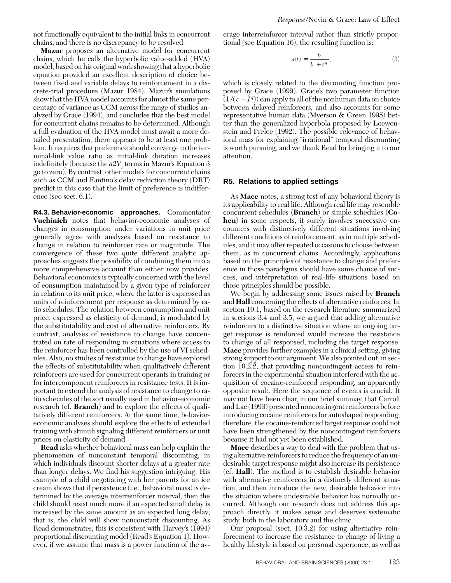**Mazur** proposes an alternative model for concurrent chains, which he calls the hyperbolic value-added (HVA) model, based on his original work showing that a hyperbolic equation provided an excellent description of choice between fixed and variable delays to reinforcement in a discrete-trial procedure (Mazur 1984). Mazur's simulations show that the HVA model accounts for almost the same percentage of variance as CCM across the range of studies analyzed by Grace (1994), and concludes that the best model for concurrent chains remains to be determined. Although a full evaluation of the HVA model must await a more detailed presentation, there appears to be at least one problem. It requires that preference should converge to the terminal-link value ratio as initial-link duration increases indefinitely (because the  $a2V_i$  terms in Mazur's Equation 3 go to zero). By contrast, other models for concurrent chains such as CCM and Fantino's delay reduction theory (DRT) predict in this case that the limit of preference is indifference (see sect. 6.1).

**R4.3. Behavior-economic approaches.** Commentator **Vuchinich** notes that behavior-economic analyses of changes in consumption under variations in unit price generally agree with analyses based on resistance to change in relation to reinforcer rate or magnitude. The convergence of these two quite different analytic approaches suggests the possibility of combining them into a more comprehensive account than either now provides. Behavioral economics is typically concerned with the level of consumption maintained by a given type of reinforcer in relation to its unit price, where the latter is expressed as units of reinforcement per response as determined by ratio schedules. The relation between consumption and unit price, expressed as elasticity of demand, is modulated by the substitutability and cost of alternative reinforcers. By contrast, analyses of resistance to change have concentrated on rate of responding in situations where access to the reinforcer has been controlled by the use of VI schedules. Also, no studies of resistance to change have explored the effects of substitutability when qualitatively different reinforcers are used for concurrent operants in training or for intercomponent reinforcers in resistance tests. It is important to extend the analysis of resistance to change to ratio schecules of the sort usually used in behavior-economic research (cf. **Branch**) and to explore the effects of qualitatively different reinforcers. At the same time, behavioreconomic analyses should explore the effects of extended training with stimuli signaling different reinforcers or unit prices on elasticity of demand.

**Read** asks whether behavioral mass can help explain the phenomenon of nonconstant temporal discounting, in which individuals discount shorter delays at a greater rate than longer delays. We find his suggestion intriguing. His example of a child negotiating with her parents for an ice cream shows that if persistence (i.e., behavioral mass) is determined by the average interreinforcer interval, then the child should resist much more if an expected small delay is increased by the same amount as an expected long delay; that is, the child will show nonconstant discounting. As Read demonstrates, this is consistent with Harvey's (1994) proportional discounting model (Read's Equation 1). However, if we assume that mass is a power function of the average interreinforcer interval rather than strictly proportional (see Equation 16), the resulting function is:

$$
a(t) = \frac{b}{b + t^q},\tag{3}
$$

which is closely related to the discounting function proposed by Grace (1999). Grace's two parameter function  $(1/(c + 1<sup>q</sup>))$  can apply to all of the nonhuman data on choice between delayed reinforcers, and also accounts for some representative human data (Myerson & Green 1995) better than the generalized hyperbola proposed by Loewenstein and Prelec (1992). The possible relevance of behavioral mass for explaining "irrational" temporal discounting is worth pursuing, and we thank Read for bringing it to our attention.

## **R5. Relations to applied settings**

As **Mace** notes, a strong test of any behavioral theory is its applicability to real life. Although real life may resemble concurrent schedules (**Branch**) or simple schedules (**Cohen**) in some respects, it surely involves successive encounters with distinctively different situations involving different conditions of reinforcement, as in multiple schedules, and it may offer repeated occasions to choose between them, as in concurrent chains. Accordingly, applications based on the principles of resistance to change and preference in those paradigms should have some chance of success, and interpretation of real-life situations based on those principles should be possible.

We begin by addressing some issues raised by **Branch** and **Hall** concerning the effects of alternative reinforces. In section 10.1, based on the research literature summarized in sections 3.4 and 3.5, we argued that adding alternative reinforcers to a distinctive situation where an ongoing target response is reinforced would increase the resistance to change of all responsed, including the target response. **Mace** provides further examples in a clinical setting, giving strong support to our argument. We also pointed out, in section 10.2.2, that providing noncontingent access to reinforcers in the experimental situation interfered with the acquisition of cocaine-reinforced responding, an apparently opposite result. Here the sequence of events is crucial. It may not have been clear, in our brief summay, that Carroll and Lac (1993) presented noncontingent reinforcers before introducing cocaine reinforcers for autoshaped responding; therefore, the cocaine-reinforced target response could not have been strengthened by the noncontingent reinforcers because it had not yet been established.

**Mace** describes a way to deal with the problem that using alternative reinforcers to reduce the frequency of an undesirable target response might also increase its persistence (cf. **Hall**). The method is to establish desirable behavior with alternative reinforcers in a distinctly different situation, and then introduce the new, desirable behavior into the situation where undesirable behavior has normally occurred. Although our research does not address this approach directly, it makes sense and deserves systematic study, both in the laboratory and the clinic.

Our proposal (sect. 10.3.2) for using alternative reinforcement to increase the resistance to change of living a healthy lifestyle is based on personal experience, as well as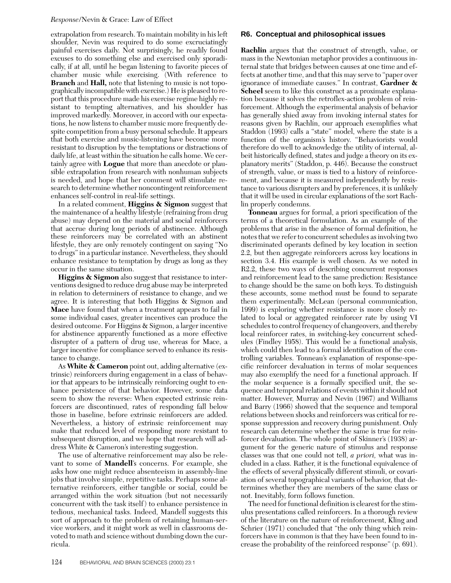#### *Response/*Nevin & Grace: Law of Effect

extrapolation from research. To maintain mobility in his left shoulder, Nevin was required to do some excruciatingly painful exercises daily. Not surprisingly, he readily found excuses to do something else and exercised only sporadically, if at all, until he began listening to favorite pieces of chamber music while exercising. (With reference to **Branch** and **Hall,** note that listening to music is not topographically incompatible with exercise.) He is pleased to report that this procedure made his exercise regime highly resistant to tempting alternatives, and his shoulder has improved markedly. Moreover, in accord with our expectations, he now listens to chamber music more frequently despite competition from a busy personal schedule. It appears that both exercise and music-listening have become more resistant to disruption by the temptations or distractions of daily life, at least within the situation he calls home. We certainly agree with **Logue** that more than anecdote or plausible extrapolation from research with nonhuman subjects is needed, and hope that her comment will stimulate research to determine whether noncontingent reinforcement enhances self-control in real-life settings.

In a related comment, **Higgins & Sigmon** suggest that the maintenance of a healthy lifestyle (refraining from drug abuse) may depend on the material and social reinforcers that accrue during long periods of abstinence. Although these reinforcers may be correlated with an abstinent lifestyle, they are only remotely contingent on saying "No to drugs" in a particular instance. Nevertheless, they should enhance resistance to temptation by drugs as long as they occur in the same situation.

**Higgins & Sigmon** also suggest that resistance to interventions designed to reduce drug abuse may be interpreted in relation to determiners of resistance to change, and we agree. It is interesting that both Higgins & Sigmon and **Mace** have found that when a treatment appears to fail in some individual cases, greater incentives can produce the desired outcome. For Higgins & Sigmon, a larger incentive for abstinence apparently functioned as a more effective disrupter of a pattern of drug use, whereas for Mace, a larger incentive for compliance served to enhance its resistance to change.

As **White & Cameron** point out, adding alternative (extrinsic) reinforcers during engagement in a class of behavior that appears to be intrinsically reinforcing ought to enhance persistence of that behavior. However, some data seem to show the reverse: When expected extrinsic reinforcers are discontinued, rates of responding fall below those in baseline, before extrinsic reinforcers are added. Nevertheless, a history of extrinsic reinforcement may make that reduced level of responding more resistant to subsequent disruption, and we hope that research will address White & Cameron's interesting suggestion.

The use of alternative reinforcement may also be relevant to some of **Mandell**'s concerns. For example, she asks how one might reduce absenteeism in assembly-line jobs that involve simple, repetitive tasks. Perhaps some alternative reinforcers, either tangible or social, could be arranged within the work situation (but not necessarily concurrent with the task itself) to enhance persistence in tedious, mechanical tasks. Indeed, Mandell suggests this sort of approach to the problem of retaining human-service workers, and it might work as well in classrooms devoted to math and science without dumbing down the curricula.

## **R6. Conceptual and philosophical issues**

**Rachlin** argues that the construct of strength, value, or mass in the Newtonian metaphor provides a continuous internal state that bridges between causes at one time and effects at another time, and that this may serve to "paper over ignorance of immediate causes." In contrast, **Gardner & Scheel** seem to like this construct as a proximate explanation because it solves the retroflex-action problem of reinforcement. Although the experimental analysis of behavior has generally shied away from invoking internal states for reasons given by Rachlin, our approach exemplifies what Staddon (1993) calls a "state" model, where the state is a function of the organism's history. "Behaviorists would therefore do well to acknowledge the utility of internal, albeit historically defined, states and judge a theory on its explanatory merits" (Staddon, p. 446). Because the construct of strength, value, or mass is tied to a history of reinforcement, and because it is measured independently by resistance to various disrupters and by preferences, it is unlikely that it will be used in circular explanations of the sort Rachlin properly condemns.

**Tonneau** argues for formal, a priori specification of the terms of a theoretical formulation. As an example of the problems that arise in the absence of formal definition, he notes that we refer to concurrent schedules as involving two discriminated operants defined by key location in section 2.2, but then aggregate reinforcers across key locations in section 3.4. His example is well chosen. As we noted in R2.2, these two ways of describing concurrent responses and reinforcement lead to the same prediction: Resistance to change should be the same on both keys. To distinguish these accounts, some method must be found to separate them experimentally. McLean (personal communication, 1999) is exploring whether resistance is more closely related to local or aggregated reinforcer rate by using VI schedules to control frequency of changeovers, and thereby local reinforcer rates, in switching-key concurrent schedules (Findley 1958). This would be a functional analysis, which could then lead to a formal identification of the controlling variables. Tonneau's explanation of response-specific reinforcer devaluation in terms of molar sequences may also exemplify the need for a functional approach. If the molar sequence is a formally specified unit, the sequence and temporal relations of events within it should not matter. However, Murray and Nevin (1967) and Williams and Barry (1966) showed that the sequence and temporal relations between shocks and reinforcers was critical for response suppression and recovery during punishment. Only research can determine whether the same is true for reinforcer devaluation. The whole point of Skinner's (1938) argument for the generic nature of stimulus and response classes was that one could not tell, *a priori,* what was included in a class. Rather, it is the functional equivalence of the effects of several physically different stimuli, or covariation of several topographical variants of behavior, that determines whether they are members of the same class or not. Inevitably, form follows function.

The need for functional definition is clearest for the stimulus presentations called reinforcers. In a thorough review of the literature on the nature of reinforcement, Kling and Schrier (1971) concluded that "the only thing which reinforcers have in common is that they have been found to increase the probability of the reinforced response" (p. 691).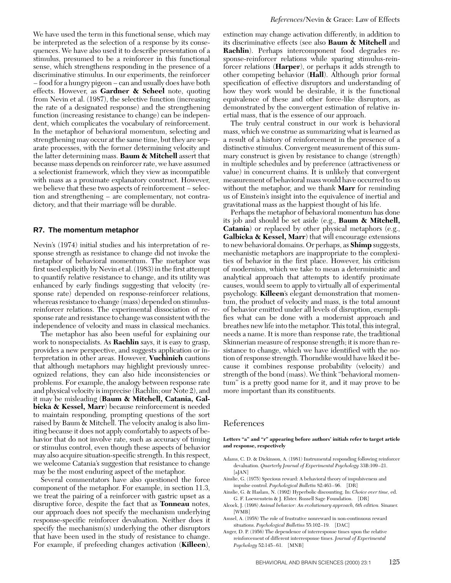We have used the term in this functional sense, which may be interpreted as the selection of a response by its consequences. We have also used it to describe presentation of a stimulus, presumed to be a reinforcer in this functional sense, which strengthens responding in the presence of a discriminative stimulus. In our experiments, the reinforcer – food for a hungry pigeon – can and usually does have both effects. However, as **Gardner & Scheel** note, quoting from Nevin et al. (1987), the selective function (increasing the rate of a designated response) and the strengthening function (increasing resistance to change) can be independent, which complicates the vocabulary of reinforcement. In the metaphor of behavioral momentum, selecting and strengthening may occur at the same time, but they are separate processes, with the former determining velocity and the latter determining mass. **Baum & Mitchell** assert that because mass depends on reinforcer rate, we have assumed a selectionist framework, which they view as incompatible with mass as a proximate explanatory construct. However, we believe that these two aspects of reinforcement – selection and strengthening – are complementary, not contradictory, and that their marriage will be durable.

## **R7. The momentum metaphor**

Nevin's (1974) initial studies and his interpretation of response strength as resistance to change did not invoke the metaphor of behavioral momentum. The metaphor was first used explicitly by Nevin et al. (1983) in the first attempt to quantify relative resistance to change, and its utility was enhanced by early findings suggesting that velocity (response rate) depended on response-reinforcer relations, whereas resistance to change (mass) depended on stimulusreinforcer relations. The experimental dissociation of response rate and resistance to change was consistent with the independence of velocity and mass in classical mechanics.

The metaphor has also been useful for explaining our work to nonspecialists. As **Rachlin** says, it is easy to grasp, provides a new perspective, and suggests application or interpretation in other areas. However, **Vuchinich** cautions that although metaphors may highlight previously unrecognized relations, they can also hide inconsistencies or problems. For example, the analogy between response rate and physical velocity is imprecise (Rachlin; our Note 2), and it may be misleading (**Baum & Mitchell, Catania, Galbicka & Kessel, Marr**) because reinforcement is needed to maintain responding, prompting questions of the sort raised by Baum & Mitchell. The velocity analog is also limiting because it does not apply comfortably to aspects of behavior that do not involve rate, such as accuracy of timing or stimulus control, even though these aspects of behavior may also acquire situation-specific strength. In this respect, we welcome Catania's suggestion that resistance to change may be the most enduring aspect of the metaphor.

Several commentators have also questioned the force component of the metaphor. For example, in section 11.3, we treat the pairing of a reinforcer with gastric upset as a disruptive force, despite the fact that as **Tonneau** notes, our approach does not specify the mechanism underlying response-specific reinforcer devaluation. Neither does it specify the mechanism(s) underlying the other disruptors that have been used in the study of resistance to change. For example, if prefeeding changes activation (**Killeen**),

extinction may change activation differently, in addition to its discriminative effects (see also **Baum & Mitchell** and **Rachlin**). Perhaps intercomponent food degrades response-reinforcer relations while sparing stimulus-reinforcer relations (**Harper**), or perhaps it adds strength to other competing behavior (**Hall**). Although prior formal specification of effective disruptors and understanding of how they work would be desirable, it is the functional equivalence of these and other force-like disruptors, as demonstrated by the convergent estimation of relative inertial mass, that is the essence of our approach.

The truly central construct in our work is behavioral mass, which we construe as summarizing what is learned as a result of a history of reinforcement in the presence of a distinctive stimulus. Convergent measurement of this summary construct is given by resistance to change (strength) in multiple schedules and by preference (attractiveness or value) in concurrent chains. It is unlikely that convergent measurement of behavioral mass would have occurred to us without the metaphor, and we thank **Marr** for reminding us of Einstein's insight into the equivalence of inertial and gravitational mass as the happiest thought of his life.

Perhaps the metaphor of behavioral momentum has done its job and should be set aside (e.g., **Baum & Mitchell, Catania**) or replaced by other physical metaphors (e.g., **Galbicka & Kessel, Marr**) that will encourage extensions to new behavioral domains. Or perhaps, as **Shimp** suggests, mechanistic metaphors are inappropriate to the complexities of behavior in the first place. However, his criticism of modernism, which we take to mean a deterministic and analytical approach that attempts to identify proximate causes, would seem to apply to virtually all of experimental psychology. **Killeen**'s elegant demonstration that momentum, the product of velocity and mass, is the total amount of behavior emitted under all levels of disruption, exemplifies what can be done with a modernist approach and breathes new life into the metaphor. This total, this integral, needs a name. It is more than response rate, the traditional Skinnerian measure of response strength; it is more than resistance to change, which we have identified with the notion of response strength. Thorndike would have liked it because it combines response probability (velocity) and strength of the bond (mass). We think "behavioral momentum" is a pretty good name for it, and it may prove to be more important than its constituents.

## References

**Letters "a" and "r" appearing before authors' initials refer to target article and response, respectively**

- Adams, C. D. & Dickinson, A. (1981) Instrumental responding following reinforcer devaluation. *Quarterly Journal of Experimental Psychology* 33B:109–21.  $[a]$ AN]
- Ainslie, G. (1975) Specious reward: A behavioral theory of impulsiveness and impulse control. *Psychological Bulletin* 82:463–96. [DR]
- Ainslie, G. & Haslam, N. (1992) Hyperbolic discounting. In: *Choice over time,* ed. G. F. Loewenstein & J. Elster. Russell Sage Foundation. [DR]
- Alcock, J. (1998) *Animal behavior: An evolutionary approach, 6th edition.* Sinauer. [WMB]
- Amsel, A. (1958) The role of frustrative nonreward in non-continuous reward situations. *Psychological Bulletins* 55:102–19. [DAC]
- Anger, D. P. (1956) The dependence of interresponse times upon the relative reinforcement of different interresponse times. *Journal of Experimental Psychology* 52:145–61. [MNB]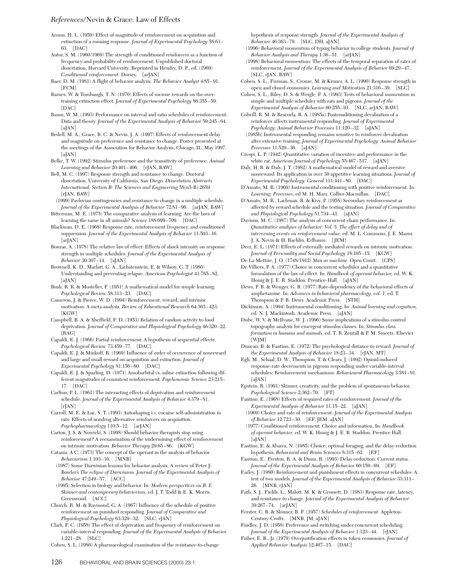#### *References/*Nevin & Grace: Law of Effects

- Armus, H. L. (1959) Effect of magnitude of reinforcement on acquisition and extinction of a running response. *Journal of Experimental Psychology* 58:61– 63. [DAC]
- Autor, S. M. (1960/1969) The strength of conditioned reinforcers as a function of frequency and probability of reinforcement. Unpublished doctoral dissertation, Harvard University. Reprinted in Hendry, D. P., ed. (1969) *Conditioned reinforcement.* Dorsey. [arJAN]
- Baer, D. M. (1981) A flight of behavior analysis. *The Behavior Analyst* 4:85–91. [FCM]
- Barnes, W. & Tombaugh, T. N. (1970) Effects of sucrose rewards on the overtraining extinction effect. *Journal of Experimental Psychology* 86:355–59. [DAC]
- Baum, W. M. (1993) Performance on interval and ratio schedules of reinforcement: Data and theory. *Journal of the Experimental Analysis of Behavior* 59:245–64.  $[a]$ AN]
- Bedell, M. A., Grace, R. C. & Nevin, J. A. (1997) Effects of reinforcement delay and magnitude on preference and resistance to change. Poster presented at the meetings of the Association for Behavior Analysis, Chicago, IL, May 1997. [aJAN]
- Belke, T. W. (1992) Stimulus preference and the transitivity of preference. *Animal Learning and Behavior* 20:401–406. [rJAN, BAW]
- Bell, M. C. (1997) Response strength and resistance to change. Doctoral dissertation, University of California, San Diego. *Dissertation Abstracts International: Section B: The Sciences and Engineering* 58(n5-B):2659.  $[r]AN, BAW]$
- (1999) Pavlovian contingencies and resistance to change in a multiple schedule. *Journal of the Experimental Analysis of Behavior* 72:81–96. [arJAN, BAW]
- Bitterman, M. E. (1975) The comparative analysis of learning: Are the laws of learning the same in all animals? *Science* 188:699–709. [DAC]
- Blackman, D. E. (1968) Response rate, reinforcement frequency, and conditioned suppression. *Journal of the Experimental Analysis of Behavior* 11:503–16. [arJAN]

Bouzas, A. (1978) The relative law of effect: Effects of shock intensity on response strength in multiple schedules. *Journal of the Experimental Analysis of Behavior* 30:307–14. [aJAN]

- Brownell, K. D., Marlatt, G. A., Lichstenstein, E. & Wilson, G. T. (1986) Understanding and preventing relapse. *American Psychologist* 41:765–82. [aJAN]
- Bush, R. R. & Mosteller, F. (1951) A mathematical model for simple learning. *Psychological Review* 58:313–23. [DAC]
- Cameron, J. & Pierce, W. D. (1994) Reinforcement, reward, and intrinsic motivation: A meta-analysis. *Review of Educational Research* 64:363–423. [KGW]
- Campbell, B. A. & Sheffield, F. D. (1953) Relation of random activity to food deprivation. *Journal of Comparative and Physiological Psychology* 46:320–22. [RAG]
- Capaldi, E. J. (1966) Partial reinforcement: A hypothesis of sequential effects. *Psychological Review* 73:459–77. [DAC]
- Capaldi, E. J. & Minkoff, R. (1969) Influence of order of occurrence of nonreward and large and small reward on acquisition and extinction. *Journal of Experimental Psychology* 81:156–60. [DAC]
- Capaldi, E. J. & Sparling, D. (1971) Amobarbital vs. saline extinction following different magnitudes of consistent reinforcement. *Psychonomic Science* 23:215– 17. [DAC]
- Carlton, P. L. (1961) The interacting effects of deprivation and reinforcement schedule. *Journal of the Experimental Analysis of Behavior* 4:379–81.  $[r|AN]$

Carroll, M. E. & Lac, S. T. (1993) Autoshaping i.v. cocaine self-administration in rats: Effects of nondrug alternative reinforcers on acquisition. *Psychopharmacology* 110:5–12. [arJAN]

- Carton, J. S. & Nowicki, S. (1998) Should behavior therapists stop using reinforcement? A reexamination of the undermining effect of reinforcement on intrinsic motivation. *Behavior Therapy* 29:65–86. [KGW]
- Catania, A C. (1973) The concept of the operant in the analysis of behavior. *Behaviorism* 1:103–16. [MNB]
- (1987) Some Darwinian lessons for behavior analysis: A review of Peter J. Bowler's *The eclipse of Darwinism. Journal of the Experimental Analysis of Behavior* 47:249–57. [ACC]
- (1995) Selection in biology and behavior. In: *Modern perspectives on B. F. Skinner and contemporary behaviorism,* ed. J. T. Todd & E. K. Morris. Greenwood. [ACC]
- Church, R. M. & Raymond, G. A. (1967) Influence of the schedule of positive reinforcement on punished responding. *Journal of Comparative and Physiological Psychology* 63:329–32. [SLC, rJAN]
- Clark, F. C. (1958) The effect of deprivation and frequency of reinforcement on variable-interval responding. *Journal of the Experimental Analysis of Behavior* 1:221–28. [SLC]

Cohen, S. L. (1986) A pharmacological examination of the resistance-to-change

hypothesis of response strength. *Journal of the Experimental Analysis of Behavior* 46:363–79. [SLC, DH, aJAN]

- (1996) Behavioral momentum of typing behavior in college students. *Journal of Behavior Analysis and Therapy* 1:36–51. [arJAN]
- (1998) Behavioral momentum: The effects of the temporal separation of rates of reinforcement. *Journal of the Experimental Analysis of Behavior* 69:29–47. [SLC, rJAN, BAW]
- Cohen, S. L., Furman, S., Crouse, M. & Kroner, A. L. (1990) Response strength in open and closed economies. *Learning and Motivation* 21:316–39. [SLC]
- Cohen, S. L., Riley, D. S. & Weigle, P. A. (1993) Tests of behavioral momentum in simple and multiple schedules with rats and pigeons. *Journal of the Experimental Analysis of Behavior* 60:255–91. [SLC, arJAN, BAW]

Colwill, R. M. & Rescorla, R. A. (1985a) Postconditioning devaluation of a reinforcer affects instrumental responding. *Journal of Experimental Psychology: Animal Behavior Processes* 11:120–32. [aJAN]

- (1985b) Instrumental responding remains sensitive to reinforcer devaluation after extensive training. *Journal of Experimental Psychology: Animal Behavior Processes* 11:520–36. [aJAN]
- Crespi, L. P. (1942) Quantitative variation of incentive and performance in the white rat. *American Journal of Psychology* 55:467–517. [aJAN]
- Daly, H. B. & Daly, J. T. (1982) A mathematical model of reward and aversive nonreward: Its application in over 30 appetitive learning situations. *Journal of Experimental Psychology: General* 111:441–80. [DAC]

D'Amato, M. R. (1969) Instrumental conditioning with positive reinforcement. In: *Learning: Processes,* ed M. H. Marx. Collier-Macmillan. [DAC]

D'Amato, M. R., Lachman, R. & Kivy, P. (1958) Secondary reinforcement as affected by reward schedule and the testing situation. *Journal of Comparative and Physiological Psychology* 51:734–41. [aJAN]

Davison, M. C. (1987) The analysis of concurrent-chain performance. In: *Quantitative analyses of behavior: Vol. 5. The effect of delay and of intervening events on reinforcement value,* ed. M. L. Commons, J. E. Mazur, J. A. Nevin & H. Rachlin. Erlbaum. [JEM]

Deci, E. L. (1971) Effects of externally mediated rewards on intrinsic motivation. *Journal of Personality and Social Psychology* 18:105–15. [KGW]

- De La Mettrie, J. O. (1748/1912) *Man as machine.* Open Court. [CPS]
- De Villiers, P. A. (1977) Choice in concurrent schedules and a quantitative formulation of the law of effect. In: *Handbook of operant behavior,* ed. W. K. Honig & J. E. R. Staddon. Prentice-Hall. [aJAN]
- Dews, P. B. & Wenger, G. R. (1977) Rate-dependency of the behavioral effects of amphetamine. In: *Advances in behavioral pharmacology, vol. 1,* ed. T. Thompson & P. B. Dews. Academic Press. [STH]
- Dickinson, A. (1994) Instrumental conditioning. In: *Animal learning and cognition,* ed. N. J. Mackintosh. Academic Press. [aJAN]
- Dube, W. V. & McIlvane, W. J. (1996) Some implications of a stimulus control topography analysis for emergent stimulus classes. In: *Stimulus class formation in humans and animals,* ed. T. R. Zentall & P. M. Smeets. Elsevier. [WJM]
- Duncan, B. & Fantino, E. (1972) The psychological distance to reward. *Journal of the Experimental Analysis of Behavior* 18:23–34. [rJAN, MT]

Egli, M., Schaal, D. W., Thompson, T. & Cleary, J. (1992) Opioid-induced response-rate decrements in pigeons responding under variable-interval schedules: Reinforcement mechanisms. *Behavioural Pharmacology* 3:581–91.  $[a|AN]$ 

- Epstein, R. (1991) Skinner, creativity, and the problem of spontaneous behavior. *Psychological Science* 2:362–70. [FT]
- Fantino, E. (1968) Effects of required rates of reinforcement. *Journal of the Experimental Analysis of Behavior* 11:15–22. [aJAN]

(1969) Choice and rate of reinforcement. *Journal of the Experimental Analysis of Behavior* 12:723–30. [EF, JEM, aJAN]

- (1977) Conditioned reinforcement: Choice and information. In: *Handbook of operant behavior,* ed. W. K. Honig & J. E. R. Staddon. Prentice Hall.  $[a]$ AN]
- Fantino, E. & Abarca, N. (1985) Choice, optimal foraging, and the delay-reduction hypothesis. *Behavioral and Brain Sciences* 8:315–62. [EF]

Fantino, E., Preston, R. A. & Dunn, R. (1993) Delay-reduction: Current status. *Journal of the Experimental Analysis of Behavior* 60:159–69. [EF]

- Farley, J. (1980) Reinforcement and punishment effects in concurrent schedules: A test of two models. *Journal of the Experimental Analysis of Behavior* 33:311– 26. [MNB, rJAN]
- Fath, S. J., Fields, L., Malott, M. K. & Grossett, D. (1983) Response rate, latency, and resistance to change. *Journal of the Experimental Analysis of Behavior* 39:267–74. [arJAN]
- Ferster, C. B. & Skinner, B. F. (1957) *Schedules of reinforcement.* Appleton-Century-Crofts. [MNB, JM, aJAN]

Findley, J. D. (1958) Preference and switching under concurrent scheduling. *Journal of the Experimental Analysis of Behavior* 1:123–44. [rJAN]

Fisher, E. B., Jr. (1979) Overjustification effects in token economies. *Journal of Applied Behavior Analysis* 12:407–15. [DAC]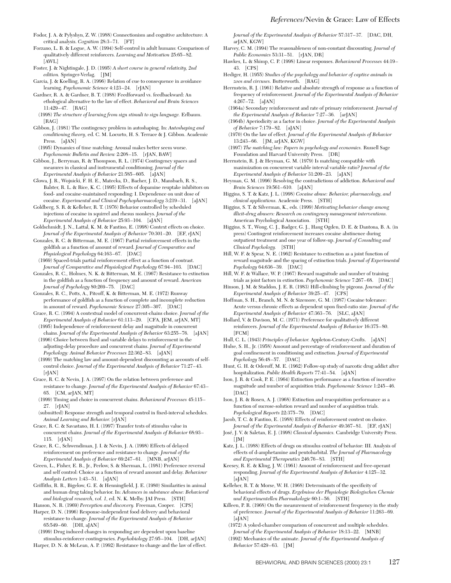- Fodor, J. A. & Pylyshyn, Z. W. (1988) Connectionism and cognitive architecture: A critical analysis. *Cognition* 28:3–71. [FT]
- Forzano, L. B. & Logue, A. W. (1994) Self-control in adult humans: Comparison of qualitatively different reinforcers. *Learning and Motivation* 25:65–82. [AWL]
- Foster, J. & Nightingale, J. D. (1995) *A short course in general relativity, 2nd edition.* Springer-Verlag. [JM]
- Garcia, J. & Koelling, R. A. (1996) Relation of cue to consequence in avoidance learning. *Psychonomic Science* 4:123–24. [rJAN]
- Gardner, R. A. & Gardner, B. T. (1988) Feedforward vs. feedbackward: An ethological alternative to the law of effect. *Behavioral and Brain Sciences* 11:429–47. [RAG]
- (1998) *The structure of learning from sign stimuli to sign language.* Erlbaum. [RAG]
- Gibbon, J. (1981) The contingency problem in autoshaping. In: *Autoshaping and conditioning theory,* ed. C. M. Locurto, H. S. Terrace & J. Gibbon. Academic Press. [aJAN]
- (1995) Dynamics of time matching: Arousal makes better seem worse. *Psychonomic Bulletin and Review* 2:208–15. [rJAN, BAW]
- Gibbon, J., Berryman, R. & Thompson, R. L. (1974) Contingency spaces and measures in classical and instrumental conditioning. *Journal of the Experimental Analysis of Behavior* 21:585–605. [aJAN]
- Glowa, J. R., Wojnicki, F. H. E., Matecka, D., Bacher, J. D., Mansbach, R. S., Balster, R. L. & Rice, K. C. (1995) Effects of dopamine reuptake inhibitors on food- and cocaine-maintained responding: I. Dependence on unit dose of cocaine. *Experimental and Clinical Psychopharmacology* 3:219–31. [aJAN]
- Goldberg, S. R. & Kelleher, R. T. (1976) Behavior controlled by scheduled injections of cocaine in squirrel and rhesus monkeys. *Journal of the Experimental Analysis of Behavior* 25:93–104. [aJAN]
- Goldschmidt, J. N., Lattal, K. M. & Fantino, E. (1998) Context effects on choice. *Journal of the Experimental Analysis of Behavior* 70:301–20. [EF, rJAN]
- Gonzales, R. C. & Bitterman, M. E. (1967) Partial reinforcement effects in the goldfish as a function of amount of reward. *Journal of Comparative and Physiological Psychology* 64:163–67. [DAC] (1969) Spaced-trials partial reinforcement effect as a function of contrast.
- *Journal of Comparative and Physiological Psychology* 67:94–103. [DAC]
- Gonzales, R. C., Holmes, N. K. & Bitterman, M. E. (1967) Resistance to extinction in the goldfish as a function of frequency and amount of reward. *American Journal of Psychology* 80:269–75. [DAC]
- Gonzales, R. C., Potts, A., Pitcoff, K. & Bitterman, M. E. (1972) Runway performance of goldfish as a function of complete and incomplete reduction in amount of reward. *Psychonomic Science* 27:305–307. [DAC]
- Grace, R. C. (1994) A contextual model of concurrent-chains choice. *Journal of the Experimental Analysis of Behavior* 61:113–29. [CFA, JEM, arJAN, MT] (1995) Independence of reinforcement delay and magnitude in concurrent
- chains. *Journal of the Experimental Analysis of Behavior* 63:255–76. [aJAN] (1996) Choice between fixed and variable delays to reinforcement in the
- adjusting-delay procedure and concurrent chains. *Journal of Experimental Psychology: Animal Behavior Processes* 22:362–83. [aJAN] (1999) The matching law and amount-dependent discounting as accounts of self-
- control choice. *Journal of the Experimental Analysis of Behavior* 71:27–43.  $[r|AN]$
- Grace, R. C. & Nevin, J. A. (1997) On the relation between preference and resistance to change. *Journal of the Experimental Analysis of Behavior* 67:43– 65. [CM, arJAN, MT]
	- (1999) Timing and choice in concurrent chains. *Behavioural Processes* 45:115– 27. [rJAN]
- (submitted) Response strength and temporal control in fixed-interval schedules. *Animal Learning and Behavior.* [rJAN]
- Grace, R. C. & Savastano, H. I. (1997) Transfer tests of stimulus value in concurrent chains. *Journal of the Experimental Analysis of Behavior* 68:93– 115. [rJAN]
- Grace, R. C., Schwendiman, J. I. & Nevin, J. A. (1998) Effects of delayed reinforcement on preference and resistance to change. *Journal of the Experimental Analysis of Behavior* 69:247–61. [MNB, arJAN]
- Green, L., Fisher, E. B., Jr., Perlow, S. & Sherman, L. (1981) Preference reversal and self control: Choice as a function of reward amount and delay. *Behaviour Analysis Letters* 1:43–51. [aJAN]
- Griffiths, R. R., Bigelow, G. E. & Henningfield, J. E. (1980) Similarities in animal and human drug taking behavior. In: *Advances in substance abuse: Behavioral and biological research, vol. 1,* ed. N. K. Melby. JAI Press. [STH]
- Hanson, N. R. (1969) *Perception and discovery.* Freeman, Cooper. [CPS]
- Harper, D. N. (1996) Response-independent food delivery and behavioral resistance to change. *Journal of the Experimental Analysis of Behavior* 65:549–60. [DH, aJAN]
- (1999) Drug induced changes in responding are dependent upon baseline stimulus-reinforcer contingencies. *Psychobiology* 27:95–104. [DH, arJAN] Harper, D. N. & McLean, A. P. (1992) Resistance to change and the law of effect.

*Journal of the Experimental Analysis of Behavior* 57:317–37. [DAC, DH, arJAN, KGW]

- Harvey, C. M. (1994) The reasonableness of non-constant discounting. *Journal of Public Economics* 53:31–51. [rJAN, DR]
- Hawkes, L. & Shimp, C. P. (1998) Linear responses. *Behavioural Processes* 44:19– 43. [CPS]
- Hediger, H. (1955) *Studies of the psychology and behavior of captive animals in zoos and circuses.* Butterworth. [RAG]
- Herrnstein, R. J. (1961) Relative and absolute strength of response as a function of frequency of reinforcement. *Journal of the Experimental Analysis of Behavior* 4:267–72. [aJAN]
	- (1964a) Secondary reinforcement and rate of primary reinforcement. *Journal of the Experimental Analysis of Behavior* 7:27–36. [arJAN]
	- (1964b) Aperiodicity as a factor in choice. *Journal of the Experimental Analysis of Behavior* 7:179–82. [aJAN]
	- (1970) On the law of effect. *Journal of the Experimental Analysis of Behavior* 13:243–66. [JM, arJAN, KGW]
- (1997) *The matching law: Papers in psychology and economics.* Russell Sage Foundation and Harvard University Press. [DR]
- Herrnstein, R. J. & Heyman, G. M. (1979) Is matching compatible with maximization on concurrent variable interval variable ratio? *Journal of the Experimental Analysis of Behavior* 31:209–23. [aJAN]
- Heyman, G. M. (1996) Resolving the contradictions of addiction. *Behavioral and Brain Sciences* 19:561–610. [aJAN]
- Higgins, S. T. & Katz, J. L. (1998) *Cocaine abuse: Behavior, pharmacology, and clinical applications.* Academic Press. [STH]
- Higgins, S. T. & Silverman, K., eds. (1999) *Motivating behavior change among illicit-drug abusers: Research on contingency management interventions.* American Psychological Association. [STH]
- Higgins, S. T., Wong, C. J., Badger, G. J., Haug Ogden, D. E. & Dantona, B. A. (in press) Contingent reinforcement increases cocaine abstinence during outpatient treatment and one year of follow-up. *Journal of Consulting and Clinical Psychology.* [STH]
- Hill, W. F. & Spear, N. E. (1962) Resistance to extinction as a joint function of reward magnitude and the spacing of extinction trials. *Journal of Experimental Psychology* 64:636–39. [DAC]

Hill, W. F. & Wallace, W. P. (1967) Reward magnitude and number of training trials as joint factors in extinction. *Psychonomic Science* 7:267–68. [DAC]

- Hinson, J. M. & Staddon, J. E. R. (1983) Hill-climbing by pigeons. *Journal of the Experimental Analysis of Behavior* 39:25–47. [CPS]
- Hoffman, S. H., Branch, M. N. & Sizemore, G. M. (1987) Cocaine tolerance: Acute versus chronic effects as dependent upon fixed-ratio size. *Journal of the Experimental Analysis of Behavior* 47:363–76. [SLC, aJAN]
- Hollard, V. & Davison, M. C. (1971) Preference for qualitatively different reinforcers. *Journal of the Experimental Analysis of Behavior* 16:375–80. [FCM]
- Hull, C. L. (1943) *Principles of behavior.* Appleton-Century-Crofts. [aJAN]
- Hulse, S. H., Jr. (1958) Amount and percentage of reinforcement and duration of goal confinement in conditioning and extinction. *Journal of Experimental Psychology* 56:48–57. [DAC]
- Hunt, G. H. & Oderoff, M. E. (1962) Follow-up study of narcotic drug addict after hospitalization. *Public Health Reports* 77:41–54. [aJAN]
- Ison, J. R. & Cook, P. E. (1964) Extinction performance as a function of incentive magnitude and number of acquisition trials. *Psychonomic Science* 1:245–46.  $|$ DAC $|$
- Ison, J. R. & Rosen, A. J. (1968) Extinction and reacquisition performance as a function of sucrose-solution reward and number of acquisition trials. *Psychological Reports* 22:375–79. [DAC]

Jacob, T. C. & Fantino, E. (1988) Effects of reinforcement context on choice. *Journal of the Experimental Analysis of Behavior* 49:367–81. [EF, rJAN]

- José, J. V. & Saletan, E. J. (1998) *Classical dynamics.* Cambridge University Press.  $\lceil$ [M]
- Katz, J. L. (1988) Effects of drugs on stimulus control of behavior: III. Analysis of effects of d-amphetamine and pentobarbital. *The Journal of Pharmacology and Experimental Therapeutics* 246:76–83. [STH]
- Keesey, R. E. & Kling, J. W. (1961) Amount of reinforcement and free-operant responding. *Journal of the Experimental Analysis of Behavior* 4:125–32. [aJAN]
- Kelleher, R. T. & Morse, W. H. (1968) Determinants of the specificity of behavioral effects of drugs. *Ergebnisse der Physiologie Biologischen Chemie und Experimentellen Pharmakologie* 60:1–56. [STH]
- Killeen, P. R. (1968) On the measurement of reinforcement frequency in the study of preference. *Journal of the Experimental Analysis of Behavior* 11:263–69. [aJAN]
	- (1972) A yoked-chamber comparison of concurrent and multiple schedules. *Journal of the Experimental Analysis of Behavior* 18:13–22. [MNB]
- (1992) Mechanics of the animate. *Journal of the Experimental Analysis of Behavior* 57:429–63. [JM]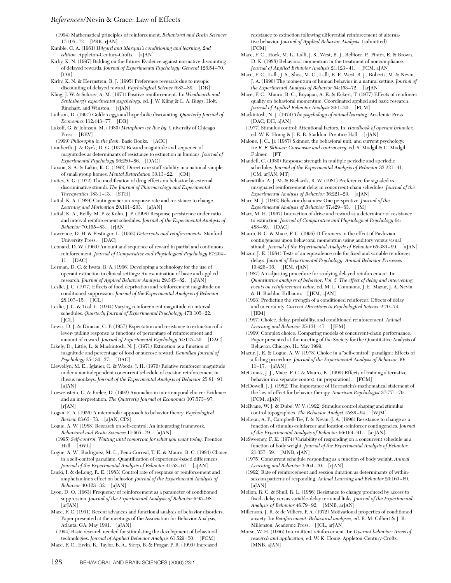#### *References/*Nevin & Grace: Law of Effects

(1994) Mathematical principles of reinforcement. *Behavioral and Brain Sciences* 17:105–72. [PRK, rJAN]

Kimble, G. A. (1961) *Hilgard and Marquis's conditioning and learning, 2nd edition.* Appleton-Century-Crofts. [aJAN]

- Kirby, K. N. (1997) Bidding on the future: Evidence against normative discounting of delayed rewards. *Journal of Experimental Psychology: General* 126:54–70. [DR]
- Kirby, K. N. & Herrnstein, R. J. (1995) Preference reversals due to myopic discounting of delayed reward. *Psychological Science* 6:83–89. [DR]

Kling, J. W. & Schrier, A. M. (1971) Positive reinforcement. In: *Woodworth and Schlosberg's experimental psychology,* ed. J. W. Kling & L. A. Riggs. Holt, Rinehart, and Winston. [rJAN]

Laibson, D. (1997) Golden eggs and hyperbolic discounting. *Quarterly Journal of Economics* 112:443–77. [DR]

Lakoff, G. & Johnson, M. (1980) *Metaphors we live by.* University of Chicago Press. [REV]

(1999) *Philosophy in the flesh.* Basic Books. [ACC]

Lamberth, J. & Dyck, D. G. (1972) Reward magnitude and sequence of magnitudes as determinants of resistance to extinction in humans. *Journal of Experimental Psychology* 96:280–86. [DAC]

Larson, S. A. & Lakin, K. C. (1992) Direct care staff stability in a national sample of small group homes. *Mental Retardation* 30:13–22. [CM]

Laties, V. G. (1972) The modification of drug effects on behavior by external discriminative stimuli. *The Journal of Pharmacology and Experimental Therapeutics* 183:1–13. [STH]

Lattal, K. A. (1989) Contingencies on response rate and resistance to change. *Learning and Motivation* 20:191–203. [aJAN]

- Lattal, K. A., Reilly, M. P. & Kohn, J. P. (1998) Response persistence under ratio and interval reinforcement schedules. *Journal of the Experimental Analysis of Behavior* 70:165–83. [rJAN]
- Lawrence, D. H. & Festinger, L. (1962) *Deterrents and reinforcements.* Stanford University Press. [DAC]

Leonard, D. W. (1969) Amount and sequence of reward in partial and continuous reinforcement. *Journal of Comparative and Physiological Psychology* 67:204– 11. [DAC]

Lerman, D. C. & Iwata, B. A. (1996) Developing a technology for the use of operant extinction in clinical settings: An examination of basic and applied research. *Journal of Applied Behavior Analysis* 29:345–82. [aJAN]

Leslie, J. C. (1977) Effects of food deprivation and reinforcement magnitude on conditioned suppression. *Journal of the Experimental Analysis of Behavior* 28:107–15. [JCL]

Leslie, J. C. & Toal, L. (1994) Varying reinforcement magnitude on interval schedules. *Quarterly Journal of Experimental Psychology* 47B:105–22.  $[|CL]$ 

Lewis, D. J. & Duncan, C. P. (1957) Expectation and resistance to extinction of a lever- pulling response as functions of percentage of reinforcement and amount of reward. *Journal of Experimental Psychology* 54:115–20. [DAC]

Likely, D., Little, L. & Mackintosh, N. J. (1971) Extinction as a function of magnitude and percentage of food or sucrose reward. *Canadian Journal of Psychology* 25:130–37. [DAC]

Llewellyn, M. E., Iglauer, C. & Woods, J. H. (1976) Relative reinforcer magnitude under a nonindependent concurrent schedule of cocaine reinforcement in rhesus monkeys. *Journal of the Experimental Analysis of Behavior* 25:81–91.  $[a]$ AN]

Loewenstein, G. & Prelec, D. (1992) Anomalies in intertemporal choice: Evidence and an interpretation. *The Quarterly Journal of Economics* 107:573–97.  $[r|AN]$ 

- Logan, F. A. (1956) A micromolar approach to behavior theory. *Psychological Review* 63:63–73. [aJAN, CPS]
- Logue, A. W. (1988) Research on self-control: An integrating framework. *Behavioral and Brain Sciences* 11:665–79. [aJAN]

(1995) *Self-control: Waiting until tomorrow for what you want today.* Prentice Hall. [AWL]

Logue, A. W., Rodriguez, M. L., Pena-Correal, T. E. & Mauro, B. C. (1984) Choice in a self-control paradigm: Quantification of experience-based differences. *Journal of the Experimental Analysis of Behavior* 41:53–67. [aJAN]

Lucki, I. & deLong, R. E. (1983) Control rate of response or reinforcement and amphetamine's effect on behavior. *Journal of the Experimental Analysis of Behavior* 40:123–32. [aJAN]

Lyon, D. O. (1963) Frequency of reinforcement as a parameter of conditioned suppression. *Journal of the Experimental Analysis of Behavior* 6:95–98. [ar**J**AN]

Mace, F. C. (1991) Recent advances and functional analysis of behavior disorders. Paper presented at the meetings of the Association for Behavior Analysis, Atlanta, GA, May 1991. [aJAN]

(1994) Basic research needed for stimulating the development of behavioral technologies. *Journal of Applied Behavior Analysis* 61:529–50. [FCM]

Mace, F. C., Ervin, R., Taylor, B. A., Sierp, B. & Progar, P. R. (1999) Increased

resistance to extinction following differential reinforcement of alternative behavior. *Journal of Applied Behavior Analysis.* (submitted) [FCM]

Mace, F. C., Hock, M. L., Lalli, J. S., West, B. J., Belfiore, P., Pinter, E. & Brown, D. K. (1988) Behavioral momentum in the treatment of noncompliance. *Journal of Applied Behavior Analysis* 21:123–41. [FCM, aJAN]

Mace, F. C., Lalli, J. S., Shea, M. C., Lalli, E. P., West, B. J., Roberts, M. & Nevin, J. A. (1990) The momentum of human behavior in a natural setting. *Journal of the Experimental Analysis of Behavior* 54:163–72. [arJAN]

Mace, F. C., Mauro, B. C., Boyajian, A. E. & Eckert, T. (1977) Effects of reinforcer quality on behavioral momentum: Coordinated applied and basic research. *Journal of Applied Behavior Analysis* 30:1–20. [FCM]

Mackintosh, N. J. (1974) *The psychology of animal learning.* Academic Press. [DAC, DH, aJAN]

(1977) Stimulus control: Attentional factors. In: *Handbook of operant behavior,* ed. W. K. Honig & J. E. R. Staddon. Prentice Hall. [rJAN]

Malone, J. C., Jr. (1987) Skinner, the behavioral unit, and current psychology. In: *B. F. Skinner: Consensus and controversy,* ed. S. Modgil & C. Modgil. Falmer. [FT]

Mandell, C. (1980) Response strength in multiple periodic and aperiodic schedules. *Journal of the Experimental Analysis of Behavior* 33:221–41. [CM, arJAN, MT]

Marcattilio, A. J. M. & Richards, R. W. (1981) Preference for signaled vs. unsignaled reinforcement delay in concurrent-chain schedules. *Journal of the Experimental Analysis of Behavior* 36:221–29. [aJAN]

Marr, M. J. (1992) Behavior dynamics: One perspective. *Journal of the Experimental Analysis of Behavior* 57:429–63. [JM]

Marx, M. H. (1967) Interaction of drive and reward as a determiner of resistance to extinction. *Journal of Comparative and Physiological Psychology* 64: 488–89. [DAC]

Mauro, B. C. & Mace, F. C. (1996) Differences in the effect of Pavlovian contingencies upon behavioral momentum using auditory versus visual stimuli. *Journal of the Experimental Analysis of Behavior* 65:389–99. [aJAN]

Mazur, J. E. (1984) Tests of an equivalence rule for fixed and variable reinforcer delays. *Journal of Experimental Psychology: Animal Behavior Processes* 10:426–36. [JEM, rJAN]

(1987) An adjusting procedure for studying delayed reinforcement. In: *Quantitative analyses of behavior: Vol. 5. The effect of delay and intervening events on reinforcement value,* ed. M. L. Commons, J. E. Mazur, J. A. Nevin & H. Rachlin. Erlbaum. [JEM, aJAN]

(1993) Predicting the strength of a conditioned reinforcer: Effects of delay and uncertainty. *Current Directions in Psychological Science* 2:70–74.  $[$ [ $EM$ ]

(1997) Choice, delay, probability, and conditioned reinforcement. *Animal Learning and Behavior* 25:131–47. [JEM]

(1999) Complex choice: Comparing models of concurrent-chain performance. Paper presented at the meeting of the Society for the Quantitative Analysis of Behavior. Chicago, IL. May 1999.

Mazur, J. E. & Logue, A. W. (1978) Choice in a "self-control" paradigm: Effects of a fading procedure. *Journal of the Experimental Analysis of Behavior* 30: 11–17. [aJAN]

McComas, J. J., Mace, F. C. & Mauro, B. (1999) Effects of training alternative behavior in a separate context. (in preparation). [FCM]

McDowell, J. J. (1982) The importance of Herrnstein's mathematical statement of the law of effect for behavior therapy. *American Psychologist* 37:771–79. [FCM, aJAN]

McIlvane, W. J. & Dube, W. V. (1992) Stimulus control shaping and stimulus control topographies. *The Behavior Analyst* 15:89–94. [WJM]

McLean, A. P., Campbell-Tie, P. & Nevin, J. A. (1996) Resistance to change as a function of stimulus-reinforcer and location-reinforcer contingencies. *Journal of the Experimental Analysis of Behavior* 66:169–91. [arJAN]

McSweeney, F. K. (1974) Variability of responding on a concurrent schedule as a function of body weight. *Journal of the Experimental Analysis of Behavior* 21:357–59. [MNB, rJAN]

(1975) Concurrent schedule responding as a function of body weight. *Animal Learning and Behavior* 3:264–70. [rJAN]

(1992) Rate of reinforcement and session duration as determinants of withinsession patterns of responding. *Animal Learning and Behavior* 20:160–69.  $[a]$ AN]

Mellon, R. C. & Shull, R. L. (1986) Resistance to change produced by access to fixed- delay versus variable-delay terminal links. *Journal of the Experimental Analysis of Behavior* 46:79–92. [MNB, arJAN]

Millenson, J. R. & de Villiers, P. A. (1972) Motivational properties of conditioned anxiety. In: *Reinforcement: Behavioral analyses,* ed. R. M. Gilbert & J. R. Millenson. Academic Press. [JCL, arJAN]

Morse, W. H. (1966) Intermittent reinforcement. In: *Operant behavior: Areas of research and application,* ed. W. K. Honig. Appleton-Century-Crofts. [MNB, aJAN]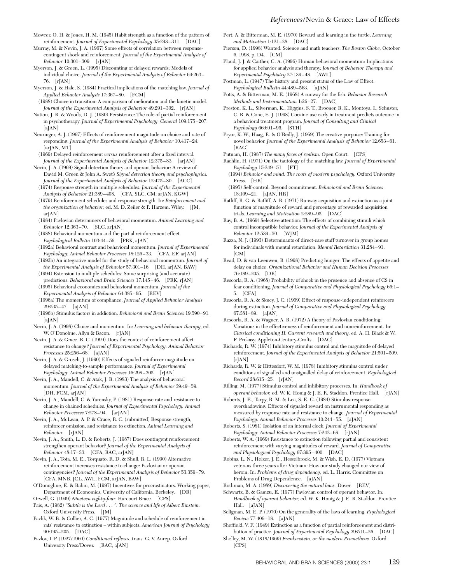- Mowrer, O. H. & Jones, H. M. (1945) Habit strength as a function of the pattern of reinforcement. *Journal of Experimental Psychology* 35:293–311. [DAC]
- Murray, M. & Nevin, J. A. (1967) Some effects of correlation between responsecontingent shock and reinforcement. *Journal of the Experimental Analysis of Behavior* 10:301–309. [rJAN]
- Myerson, J. & Green, L. (1995) Discounting of delayed rewards: Models of individual choice. *Journal of the Experimental Analysis of Behavior* 64:263– 76. [rJAN]
- Myerson, J. & Hale, S. (1984) Practical implications of the matching law. *Journal of Applied Behavior Analysis* 17:367–80. [FCM]
- (1988) Choice in transition: A comparison of melioration and the kinetic model. *Journal of the Experimental Analysis of Behavior* 49:291–302. [rJAN]
- Nation, J. R. & Woods, D. J. (1980) Persistence: The role of partial reinforcement in psychotherapy. *Journal of Experimental Psychology: General* 109:175–207.  $[a|AN]$
- Neuringer, A. J. (1967) Effects of reinforcement magnitude on choice and rate of responding. *Journal of the Experimental Analysis of Behavior* 10:417–24.  $\left[$ ar $\left[$ AN, MT $\right]$
- (1969) Delayed reinforcement *versus* reinforcement after a fixed interval. *Journal of the Experimental Analysis of Behavior* 12:375–83. [arJAN]
- Nevin, J. A. (1969) Signal detection theory and operant behavior: A review of David M. Green & John A. Swet's *Signal detection theory and psychophysics. Journal of the Experimental Analysis of Behavior* 12:475–80. [ACC]
- (1974) Response strength in multiple schedules. *Journal of the Experimental Analysis of Behavior* 21:389–408. [CFA, SLC, CM, arJAN, KGW]
- (1979) Reinforcement schedules and response strength. In: *Reinforcement and the organization of behavior,* ed. M. D. Zeiler & P. Harzem. Wiley. [JM, arJAN]
- (1984) Pavlovian determiners of behavioral momentum. *Animal Learning and Behavior* 12:363–70. [SLC, arJAN]
- (1988) Behavioral momentum and the partial reinforcement effect. *Psychological Bulletin* 103:44–56. [PRK, aJAN]
- (1992a) Behavioral contrast and behavioral momentum. *Journal of Experimental Psychology: Animal Behavior Processes* 18:126–33. [CFA, EF, arJAN]
- (1992b) An integrative model for the study of behavioral momentum. *Journal of the Experimental Analysis of Behavior* 57:301–16. [DH, arJAN, BAW]
- (1994) Extension to multiple schedules: Some surprising (and accurate) predictions. *Behavioral and Brain Sciences* 17:145–46. [PRK, rJAN]
- (1995) Behavioral economics and behavioral momentum. *Journal of the Experimental Analysis of Behavior* 64:385–95. [REV]
- (1996a) The momentum of compliance. *Journal of Applied Behavior Analysis* 29:535–47. [aJAN]
- (1996b) Stimulus factors in addiction. *Behavioral and Brain Sciences* 19:590–91.  $[a]$ AN]
- Nevin, J. A. (1998) Choice and momentum. In: *Learning and behavior therapy,* ed. W. O'Donohue. Allyn & Bacon. [rJAN]
- Nevin, J. A. & Grace, R. C. (1999) Does the context of reinforcement affect resistance to change? *Journal of Experimental Psychology: Animal Behavior Processes* 25:256–68. [aJAN]
- Nevin, J. A. & Grosch, J. (1990) Effects of signaled reinforcer magnitude on delayed matching-to-sample performance. *Journal of Experimental Psychology: Animal Behavior Processes* 16:298–305. [rJAN]
- Nevin, J. A., Mandell, C. & Atak, J. R. (1983) The analysis of behavioral momentum. *Journal of the Experimental Analysis of Behavior* 39:49–59. [DH, FCM, arJAN]
- Nevin, J. A., Mandell, C. & Yarensky, P. (1981) Response rate and resistance to change in chained schedules. *Journal of Experimental Psychology: Animal Behavior Processes* 7:278–94. [arJAN]
- Nevin, J. A., McLean, A. P. & Grace, R. C. (submitted) Response strength, reinforcer omission, and resistance to extinction. *Animal Learning and Behavior.* [rJAN]
- Nevin, J. A., Smith, L. D. & Roberts, J. (1987) Does contingent reinforcement strengthen operant behavior? *Journal of the Experimental Analysis of Behavior* 48:17–33. [CFA, RAG, arJAN]
- Nevin, J. A., Tota, M. E., Torquato, R. D. & Shull, R. L. (1990) Alternative reinforcement increases resistance to change: Pavlovian or operant contingencies? *Journal of the Experimental Analysis of Behavior* 53:359–79. [CFA, MNB, JCL, AWL, FCM, arJAN, BAW]
- O'Donoghue, E. & Rabin, M. (1997) Incentives for procrastinators. Working paper, Department of Economics, University of California, Berkeley. [DR]
- Orwell, G. (1949) *Nineteen eighty-four.* Harcourt Brace. [CPS]
- Pais, A. (1982) *"Subtle is the Lord . . . ": The science and life of Albert Einstein.* Oxford University Press. [JM]
- Pavlik, W. B. & Collier, A. C. (1977) Magnitude and schedule of reinforcement in rats' resistance to extinction – within subjects. *American Journal of Psychology* 90:195–205. [DAC]
- Pavlov, I. P. (1927/1960) *Conditioned reflexes,* trans. G. V. Anrep. Oxford University Press/Dover. [RAG, aJAN]
- Pert, A. & Bitterman, M. E. (1970) Reward and learning in the turtle. *Learning and Motivation* 1:121–28. [DAC]
- Pierson, D. (1998) Wanted: Science and math teachers. *The Boston Globe,* October 6, 1998, p. D4. [CM]
- Plaud, J. J. & Gaither, G. A. (1996) Human behavioral momentum: Implications for applied behavior analysis and therapy. *Journal of Behavior Therapy and Experimental Psychiatry* 27:139–48. [AWL]
- Postman, L. (1947) The history and present status of the Law of Effect. *Psychological Bulletin* 44:489–563. [aJAN]
- Potts, A. & Bitterman, M. E. (1968) A runway for the fish. *Behavior Research Methods and Instrumentation* 1:26–27. [DAC]
- Preston, K. L., Silverman, K., Higgins, S. T., Brooner, R. K., Montoya, I., Schuster, C. R. & Cone, E. J. (1998) Cocaine use early in treatment predicts outcome in a behavioral treatment program. *Journal of Consulting and Clinical Psychology* 66:691–96. [STH]
- Pryor, K. W., Haag, R. & O'Reilly, J. (1969) The creative porpoise: Training for novel behavior. *Journal of the Experimental Analysis of Behavior* 12:653–61. [RAG]
- Putnam, H. (1987) *The many faces of realism.* Open Court. [CPS]
- Rachlin, H. (1971) On the tautology of the matching law. *Journal of Experimental Psychology* 15:249–51. [FT]
- (1994) *Behavior and mind: The roots of modern psychology.* Oxford University Press. [HR]
- (1995) Self-control: Beyond commitment. *Behavioral and Brain Sciences* 18:109–21. [aJAN, HR]
- Ratliff, R. G. & Ratliff, A. R. (1971) Runway acquisition and extinction as a joint function of magnitude of reward and percentage of rewarded acquisition trials. *Learning and Motivation* 2:289–95. [DAC]
- Ray, B. A. (1969) Selective attention: The effects of combining stimuli which control incompatible behavior. *Journal of the Experimental Analysis of Behavior* 12:539–50. [WJM]
- Razza, N. J. (1993) Determinants of direct-care staff turnover in group homes for individuals with mental retardation. *Mental Retardation* 31:284–91.  $[CM]$
- Read, D. & van Leeuwen, B. (1998) Predicting hunger: The effects of appetite and delay on choice. *Organizational Behavior and Human Decision Processes* 76:189–205. [DR]
- Rescorla, R. A. (1968) Probability of shock in the presence and absence of CS in fear conditioning. *Journal of Comparative and Physiological Psychology* 66:1– 5. [CFA]
- Rescorla, R. A. & Skucy, J. C. (1969) Effect of response-independent reinforcers during extinction. *Journal of Comparative and Physiological Psychology* 67:381–89. [aJAN]
- Rescorla, R. A. & Wagner, A. R. (1972) A theory of Pavlovian conditioning: Variations in the effectiveness of reinforcement and nonreinforcement. In: *Classical conditioning II: Current research and theory,* ed. A. H. Black & W. F. Prokasy. Appleton-Century-Crofts. [DAC]
- Richards, R. W. (1974) Inhibitory stimulus control and the magnitude of delayed reinforcement. *Journal of the Experimental Analysis of Behavior* 21:501–509.  $[r|AN]$
- Richards, R. W. & Hittesdorf, W. M. (1978) Inhibitory stimulus control under conditions of signalled and unsignalled delay of reinforcement. *Psychological Record* 28:615–25. [rJAN]
- Rilling, M. (1977) Stimulus control and inhibitory processes. In: *Handbook of operant behavior,* ed. W. K. Honig & J. E. R. Staddon. Prentice Hall. [rJAN]
- Roberts, J. E., Tarpy, R. M. & Lea, S. E. G. (1984) Stimulus-response overshadowing: Effects of signaled reward on instrumental responding as measured by response rate and resistance to change. *Journal of Experimental Psychology: Animal Behavior Processes* 10:244–55. [aJAN]
- Roberts, S. (1981) Isolation of an internal clock. *Journal of Experimental Psychology: Animal Behavior Processes* 7:242–68. [rJAN]
- Roberts, W. A. (1969) Resistance to extinction following partial and consistent reinforcement with varying magnitudes of reward. *Journal of Comparative and Physiological Psychology* 67:395–400. [DAC]
- Robins, L. N., Helzer, J. E., Hesselbrook, M. & Wish, E. D. (1977) Vietnam veterans three years after Vietnam: How our study changed our view of heroin. In: *Problems of drug dependency,* ed. L. Harris. Committee on Problems of Drug Dependence. [aJAN]
- Rothman, M. A. (1989) *Discovering the natural laws.* Dover. [REV]
- Schwartz, B. & Gamzu, E. (1977) Pavlovian control of operant behavior. In: *Handbook of operant behavior,* ed. W. K. Honig & J. E. R. Staddon. Prentice Hall. [aJAN]
- Seligman, M. E. P. (1970) On the generality of the laws of learning. *Psychological Review* 77:406–18. [aJAN]
- Sheffield, V. F. (1949) Extinction as a function of partial reinforcement and distribution of practice. *Journal of Experimental Psychology* 39:511–26. [DAC]
- Shelley, M. W. (1818/1969) *Frankenstein, or the modern Prometheus.* Oxford. [CPS]